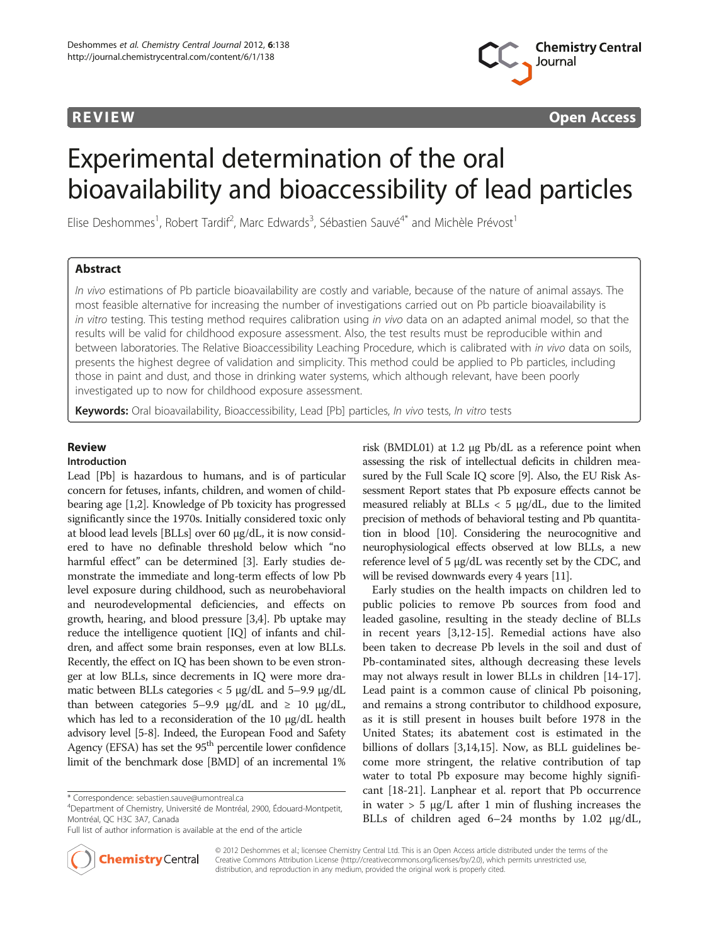

**REVIEW CONSIDERING CONSIDERING CONSIDERING CONSIDERING CONSIDERING CONSIDERING CONSIDERING CONSIDERING CONSIDERING CONSIDERING CONSIDERING CONSIDERING CONSIDERING CONSIDERING CONSIDERING CONSIDERING CONSIDERING CONSIDER** 

# Experimental determination of the oral bioavailability and bioaccessibility of lead particles

Elise Deshommes<sup>1</sup>, Robert Tardif<sup>2</sup>, Marc Edwards<sup>3</sup>, Sébastien Sauvé<sup>4\*</sup> and Michèle Prévost<sup>1</sup>

# Abstract

In vivo estimations of Pb particle bioavailability are costly and variable, because of the nature of animal assays. The most feasible alternative for increasing the number of investigations carried out on Pb particle bioavailability is in vitro testing. This testing method requires calibration using in vivo data on an adapted animal model, so that the results will be valid for childhood exposure assessment. Also, the test results must be reproducible within and between laboratories. The Relative Bioaccessibility Leaching Procedure, which is calibrated with in vivo data on soils, presents the highest degree of validation and simplicity. This method could be applied to Pb particles, including those in paint and dust, and those in drinking water systems, which although relevant, have been poorly investigated up to now for childhood exposure assessment.

Keywords: Oral bioavailability, Bioaccessibility, Lead [Pb] particles, In vivo tests, In vitro tests

# Review

### Introduction

Lead [Pb] is hazardous to humans, and is of particular concern for fetuses, infants, children, and women of childbearing age [\[1,2](#page-27-0)]. Knowledge of Pb toxicity has progressed significantly since the 1970s. Initially considered toxic only at blood lead levels [BLLs] over 60 μg/dL, it is now considered to have no definable threshold below which "no harmful effect" can be determined [\[3\]](#page-27-0). Early studies demonstrate the immediate and long-term effects of low Pb level exposure during childhood, such as neurobehavioral and neurodevelopmental deficiencies, and effects on growth, hearing, and blood pressure [[3](#page-27-0),[4](#page-27-0)]. Pb uptake may reduce the intelligence quotient [IQ] of infants and children, and affect some brain responses, even at low BLLs. Recently, the effect on IQ has been shown to be even stronger at low BLLs, since decrements in IQ were more dramatic between BLLs categories < 5 μg/dL and 5–9.9 μg/dL than between categories 5–9.9 μg/dL and  $\geq$  10 μg/dL, which has led to a reconsideration of the 10 μg/dL health advisory level [\[5-8](#page-27-0)]. Indeed, the European Food and Safety Agency (EFSA) has set the  $95<sup>th</sup>$  percentile lower confidence limit of the benchmark dose [BMD] of an incremental 1%



Early studies on the health impacts on children led to public policies to remove Pb sources from food and leaded gasoline, resulting in the steady decline of BLLs in recent years [\[3,12](#page-27-0)-[15](#page-27-0)]. Remedial actions have also been taken to decrease Pb levels in the soil and dust of Pb-contaminated sites, although decreasing these levels may not always result in lower BLLs in children [\[14-17](#page-27-0)]. Lead paint is a common cause of clinical Pb poisoning, and remains a strong contributor to childhood exposure, as it is still present in houses built before 1978 in the United States; its abatement cost is estimated in the billions of dollars [\[3,14,15](#page-27-0)]. Now, as BLL guidelines become more stringent, the relative contribution of tap water to total Pb exposure may become highly significant [\[18](#page-27-0)-[21\]](#page-27-0). Lanphear et al. report that Pb occurrence in water  $> 5 \mu g/L$  after 1 min of flushing increases the BLLs of children aged 6–24 months by 1.02 μg/dL,



© 2012 Deshommes et al.; licensee Chemistry Central Ltd. This is an Open Access article distributed under the terms of the Creative Commons Attribution License [\(http://creativecommons.org/licenses/by/2.0\)](http://creativecommons.org/licenses/by/2.0), which permits unrestricted use, distribution, and reproduction in any medium, provided the original work is properly cited.

<sup>\*</sup> Correspondence: [sebastien.sauve@umontreal.ca](mailto:sebastien.sauve@umontreal.ca) <sup>4</sup>

Department of Chemistry, Université de Montréal, 2900, Édouard-Montpetit, Montréal, QC H3C 3A7, Canada

Full list of author information is available at the end of the article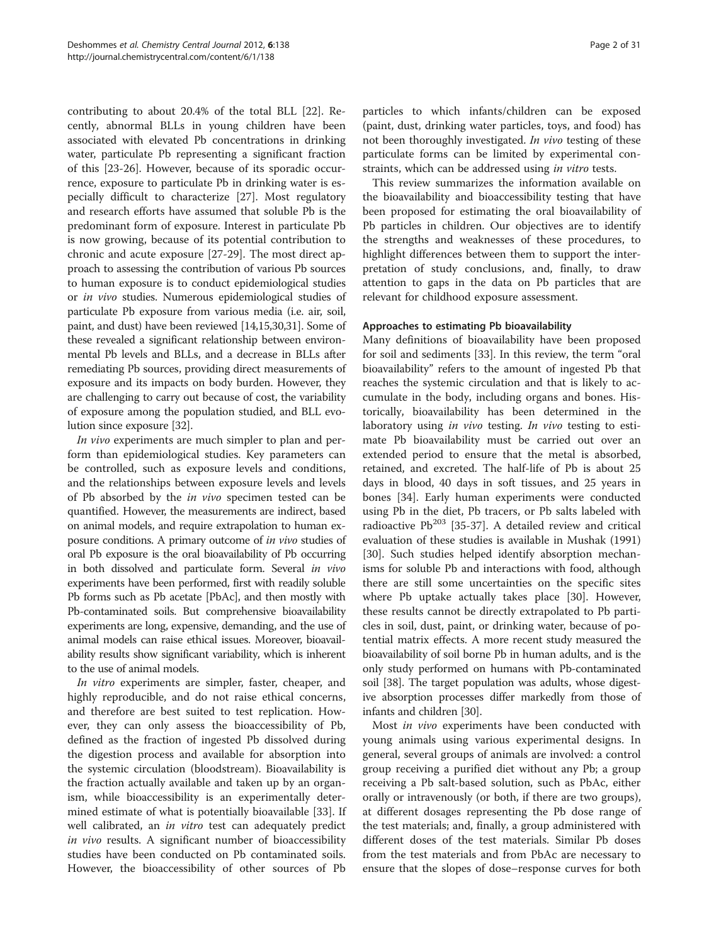contributing to about 20.4% of the total BLL [[22\]](#page-27-0). Recently, abnormal BLLs in young children have been associated with elevated Pb concentrations in drinking water, particulate Pb representing a significant fraction of this [\[23](#page-27-0)-[26\]](#page-27-0). However, because of its sporadic occurrence, exposure to particulate Pb in drinking water is especially difficult to characterize [[27](#page-27-0)]. Most regulatory and research efforts have assumed that soluble Pb is the predominant form of exposure. Interest in particulate Pb is now growing, because of its potential contribution to chronic and acute exposure [[27-29\]](#page-27-0). The most direct approach to assessing the contribution of various Pb sources to human exposure is to conduct epidemiological studies or in vivo studies. Numerous epidemiological studies of particulate Pb exposure from various media (i.e. air, soil, paint, and dust) have been reviewed [\[14,15,30,31\]](#page-27-0). Some of these revealed a significant relationship between environmental Pb levels and BLLs, and a decrease in BLLs after remediating Pb sources, providing direct measurements of exposure and its impacts on body burden. However, they are challenging to carry out because of cost, the variability of exposure among the population studied, and BLL evolution since exposure [\[32\]](#page-27-0).

In vivo experiments are much simpler to plan and perform than epidemiological studies. Key parameters can be controlled, such as exposure levels and conditions, and the relationships between exposure levels and levels of Pb absorbed by the in vivo specimen tested can be quantified. However, the measurements are indirect, based on animal models, and require extrapolation to human exposure conditions. A primary outcome of in vivo studies of oral Pb exposure is the oral bioavailability of Pb occurring in both dissolved and particulate form. Several in vivo experiments have been performed, first with readily soluble Pb forms such as Pb acetate [PbAc], and then mostly with Pb-contaminated soils. But comprehensive bioavailability experiments are long, expensive, demanding, and the use of animal models can raise ethical issues. Moreover, bioavailability results show significant variability, which is inherent to the use of animal models.

In vitro experiments are simpler, faster, cheaper, and highly reproducible, and do not raise ethical concerns, and therefore are best suited to test replication. However, they can only assess the bioaccessibility of Pb, defined as the fraction of ingested Pb dissolved during the digestion process and available for absorption into the systemic circulation (bloodstream). Bioavailability is the fraction actually available and taken up by an organism, while bioaccessibility is an experimentally determined estimate of what is potentially bioavailable [\[33\]](#page-27-0). If well calibrated, an *in vitro* test can adequately predict in vivo results. A significant number of bioaccessibility studies have been conducted on Pb contaminated soils. However, the bioaccessibility of other sources of Pb

particles to which infants/children can be exposed (paint, dust, drinking water particles, toys, and food) has not been thoroughly investigated. In vivo testing of these particulate forms can be limited by experimental constraints, which can be addressed using in vitro tests.

This review summarizes the information available on the bioavailability and bioaccessibility testing that have been proposed for estimating the oral bioavailability of Pb particles in children. Our objectives are to identify the strengths and weaknesses of these procedures, to highlight differences between them to support the interpretation of study conclusions, and, finally, to draw attention to gaps in the data on Pb particles that are relevant for childhood exposure assessment.

### Approaches to estimating Pb bioavailability

Many definitions of bioavailability have been proposed for soil and sediments [[33](#page-27-0)]. In this review, the term "oral bioavailability" refers to the amount of ingested Pb that reaches the systemic circulation and that is likely to accumulate in the body, including organs and bones. Historically, bioavailability has been determined in the laboratory using *in vivo* testing. In vivo testing to estimate Pb bioavailability must be carried out over an extended period to ensure that the metal is absorbed, retained, and excreted. The half-life of Pb is about 25 days in blood, 40 days in soft tissues, and 25 years in bones [[34\]](#page-27-0). Early human experiments were conducted using Pb in the diet, Pb tracers, or Pb salts labeled with radioactive  $Pb^{203}$  [[35-37](#page-27-0)]. A detailed review and critical evaluation of these studies is available in Mushak ([1991](#page-27-0)) [[30\]](#page-27-0). Such studies helped identify absorption mechanisms for soluble Pb and interactions with food, although there are still some uncertainties on the specific sites where Pb uptake actually takes place [\[30](#page-27-0)]. However, these results cannot be directly extrapolated to Pb particles in soil, dust, paint, or drinking water, because of potential matrix effects. A more recent study measured the bioavailability of soil borne Pb in human adults, and is the only study performed on humans with Pb-contaminated soil [\[38\]](#page-27-0). The target population was adults, whose digestive absorption processes differ markedly from those of infants and children [\[30\]](#page-27-0).

Most in vivo experiments have been conducted with young animals using various experimental designs. In general, several groups of animals are involved: a control group receiving a purified diet without any Pb; a group receiving a Pb salt-based solution, such as PbAc, either orally or intravenously (or both, if there are two groups), at different dosages representing the Pb dose range of the test materials; and, finally, a group administered with different doses of the test materials. Similar Pb doses from the test materials and from PbAc are necessary to ensure that the slopes of dose–response curves for both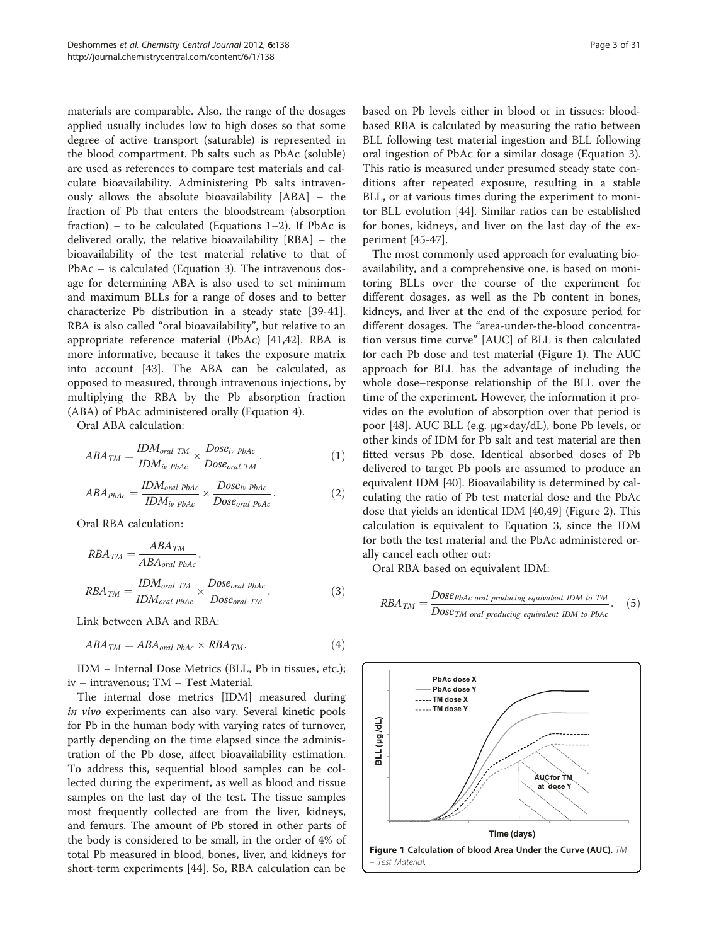materials are comparable. Also, the range of the dosages applied usually includes low to high doses so that some degree of active transport (saturable) is represented in the blood compartment. Pb salts such as PbAc (soluble) are used as references to compare test materials and calculate bioavailability. Administering Pb salts intravenously allows the absolute bioavailability [ABA] – the fraction of Pb that enters the bloodstream (absorption fraction) – to be calculated (Equations  $1-2$ ). If PbAc is delivered orally, the relative bioavailability [RBA] – the bioavailability of the test material relative to that of PbAc – is calculated (Equation 3). The intravenous dosage for determining ABA is also used to set minimum and maximum BLLs for a range of doses and to better characterize Pb distribution in a steady state [\[39-41](#page-27-0)]. RBA is also called "oral bioavailability", but relative to an appropriate reference material (PbAc) [[41,42](#page-27-0)]. RBA is more informative, because it takes the exposure matrix into account [\[43](#page-27-0)]. The ABA can be calculated, as opposed to measured, through intravenous injections, by multiplying the RBA by the Pb absorption fraction (ABA) of PbAc administered orally (Equation 4).

Oral ABA calculation:

$$
ABA_{TM} = \frac{IDM_{oral TM}}{IDM_{iv PbAc}} \times \frac{Dose_{iv PbAc}}{Dose_{oral TM}}.
$$
\n(1)

$$
ABA_{PbAc} = \frac{IDM_{oral\ PbAc}}{IDM_{iv\ PbAc}} \times \frac{Dose_{iv\ PbAc}}{Dose_{oral\ PbAc}}.
$$
 (2)

Oral RBA calculation:

$$
RBA_{TM} = \frac{ABA_{TM}}{ABA_{oral PbAc}}.
$$
  
\n
$$
RBA_{TM} = \frac{IDM_{oral TM}}{IDM_{oral PbAc}} \times \frac{Dose_{oral PbAc}}{Dose_{oral TM}}.
$$
\n(3)

Link between ABA and RBA:

$$
ABA_{TM} = ABA_{oral\ PbAc} \times RBA_{TM}.\tag{4}
$$

IDM – Internal Dose Metrics (BLL, Pb in tissues, etc.); iv – intravenous; TM – Test Material.

The internal dose metrics [IDM] measured during in vivo experiments can also vary. Several kinetic pools for Pb in the human body with varying rates of turnover, partly depending on the time elapsed since the administration of the Pb dose, affect bioavailability estimation. To address this, sequential blood samples can be collected during the experiment, as well as blood and tissue samples on the last day of the test. The tissue samples most frequently collected are from the liver, kidneys, and femurs. The amount of Pb stored in other parts of the body is considered to be small, in the order of 4% of total Pb measured in blood, bones, liver, and kidneys for short-term experiments [\[44](#page-27-0)]. So, RBA calculation can be based on Pb levels either in blood or in tissues: bloodbased RBA is calculated by measuring the ratio between BLL following test material ingestion and BLL following oral ingestion of PbAc for a similar dosage (Equation 3). This ratio is measured under presumed steady state conditions after repeated exposure, resulting in a stable BLL, or at various times during the experiment to monitor BLL evolution [[44](#page-27-0)]. Similar ratios can be established for bones, kidneys, and liver on the last day of the experiment [[45-47](#page-27-0)].

The most commonly used approach for evaluating bioavailability, and a comprehensive one, is based on monitoring BLLs over the course of the experiment for different dosages, as well as the Pb content in bones, kidneys, and liver at the end of the exposure period for different dosages. The "area-under-the-blood concentration versus time curve" [AUC] of BLL is then calculated for each Pb dose and test material (Figure 1). The AUC approach for BLL has the advantage of including the whole dose–response relationship of the BLL over the time of the experiment. However, the information it provides on the evolution of absorption over that period is poor [\[48](#page-27-0)]. AUC BLL (e.g. μg×day/dL), bone Pb levels, or other kinds of IDM for Pb salt and test material are then fitted versus Pb dose. Identical absorbed doses of Pb delivered to target Pb pools are assumed to produce an equivalent IDM [\[40\]](#page-27-0). Bioavailability is determined by calculating the ratio of Pb test material dose and the PbAc dose that yields an identical IDM [\[40,49](#page-27-0)] (Figure [2](#page-3-0)). This calculation is equivalent to Equation 3, since the IDM for both the test material and the PbAc administered orally cancel each other out:

Oral RBA based on equivalent IDM:

$$
RBA_{TM} = \frac{Dose_{PbAc} \text{ oral producing equivalent IDM to TM}}{Dose_{TM} \text{ oral producing equivalent IDM to PbAc}}.
$$
 (5)

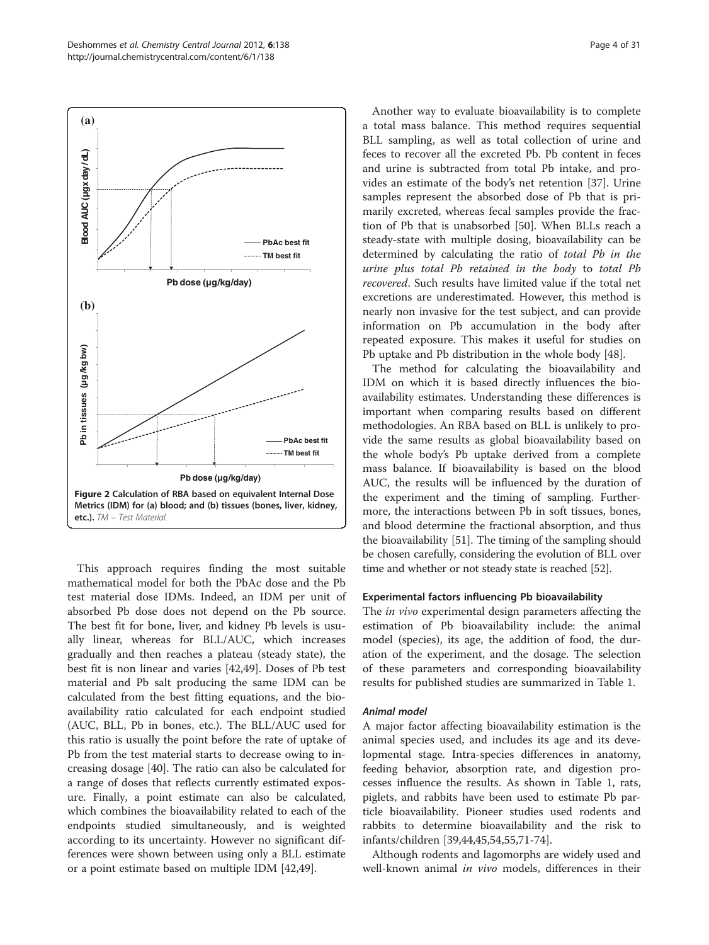<span id="page-3-0"></span>

This approach requires finding the most suitable mathematical model for both the PbAc dose and the Pb test material dose IDMs. Indeed, an IDM per unit of absorbed Pb dose does not depend on the Pb source. The best fit for bone, liver, and kidney Pb levels is usually linear, whereas for BLL/AUC, which increases gradually and then reaches a plateau (steady state), the best fit is non linear and varies [\[42,49](#page-27-0)]. Doses of Pb test material and Pb salt producing the same IDM can be calculated from the best fitting equations, and the bioavailability ratio calculated for each endpoint studied (AUC, BLL, Pb in bones, etc.). The BLL/AUC used for this ratio is usually the point before the rate of uptake of Pb from the test material starts to decrease owing to increasing dosage [[40\]](#page-27-0). The ratio can also be calculated for a range of doses that reflects currently estimated exposure. Finally, a point estimate can also be calculated, which combines the bioavailability related to each of the endpoints studied simultaneously, and is weighted according to its uncertainty. However no significant differences were shown between using only a BLL estimate or a point estimate based on multiple IDM [\[42,49\]](#page-27-0).

Another way to evaluate bioavailability is to complete a total mass balance. This method requires sequential BLL sampling, as well as total collection of urine and feces to recover all the excreted Pb. Pb content in feces and urine is subtracted from total Pb intake, and provides an estimate of the body's net retention [[37](#page-27-0)]. Urine samples represent the absorbed dose of Pb that is primarily excreted, whereas fecal samples provide the fraction of Pb that is unabsorbed [[50\]](#page-28-0). When BLLs reach a steady-state with multiple dosing, bioavailability can be determined by calculating the ratio of total Pb in the urine plus total Pb retained in the body to total Pb recovered. Such results have limited value if the total net excretions are underestimated. However, this method is nearly non invasive for the test subject, and can provide information on Pb accumulation in the body after repeated exposure. This makes it useful for studies on Pb uptake and Pb distribution in the whole body [[48](#page-27-0)].

The method for calculating the bioavailability and IDM on which it is based directly influences the bioavailability estimates. Understanding these differences is important when comparing results based on different methodologies. An RBA based on BLL is unlikely to provide the same results as global bioavailability based on the whole body's Pb uptake derived from a complete mass balance. If bioavailability is based on the blood AUC, the results will be influenced by the duration of the experiment and the timing of sampling. Furthermore, the interactions between Pb in soft tissues, bones, and blood determine the fractional absorption, and thus the bioavailability [\[51](#page-28-0)]. The timing of the sampling should be chosen carefully, considering the evolution of BLL over time and whether or not steady state is reached [\[52\]](#page-28-0).

### Experimental factors influencing Pb bioavailability

The *in vivo* experimental design parameters affecting the estimation of Pb bioavailability include: the animal model (species), its age, the addition of food, the duration of the experiment, and the dosage. The selection of these parameters and corresponding bioavailability results for published studies are summarized in Table [1.](#page-4-0)

# Animal model

A major factor affecting bioavailability estimation is the animal species used, and includes its age and its developmental stage. Intra-species differences in anatomy, feeding behavior, absorption rate, and digestion processes influence the results. As shown in Table [1,](#page-4-0) rats, piglets, and rabbits have been used to estimate Pb particle bioavailability. Pioneer studies used rodents and rabbits to determine bioavailability and the risk to infants/children [[39,44](#page-27-0),[45](#page-27-0),[54](#page-28-0),[55](#page-28-0),[71](#page-28-0)-[74\]](#page-28-0).

Although rodents and lagomorphs are widely used and well-known animal in vivo models, differences in their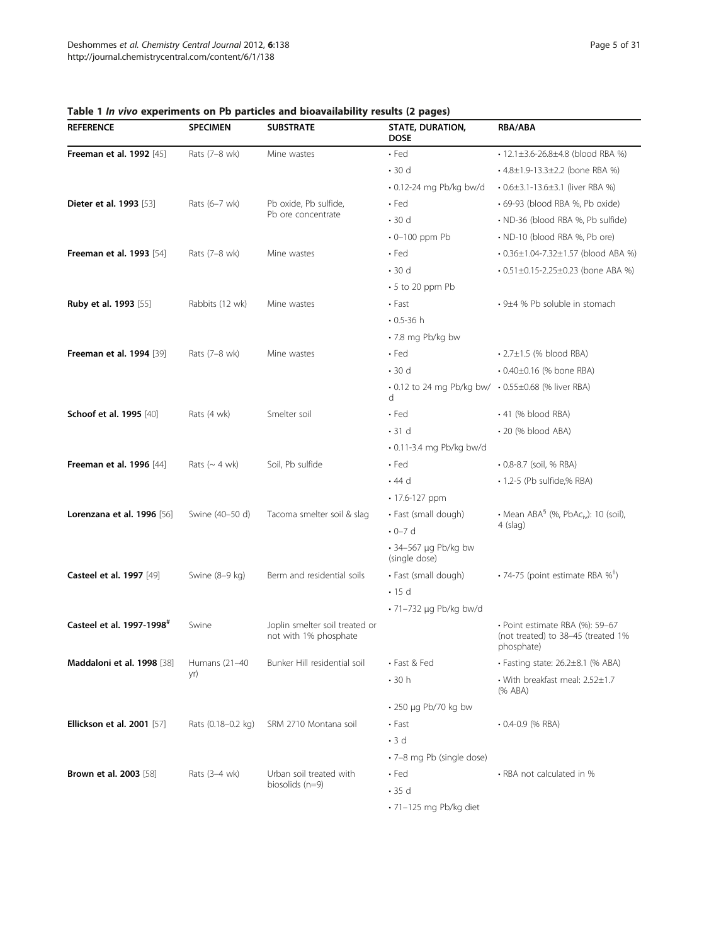| <b>REFERENCE</b>                      | <b>SPECIMEN</b>              | <b>SUBSTRATE</b>                                        | . .<br>-<br>STATE, DURATION,<br><b>DOSE</b>              | <b>RBA/ABA</b>                                                                      |
|---------------------------------------|------------------------------|---------------------------------------------------------|----------------------------------------------------------|-------------------------------------------------------------------------------------|
| <b>Freeman et al. 1992</b> [45]       | Rats (7-8 wk)                | Mine wastes                                             | $\cdot$ Fed                                              | • 12.1±3.6-26.8±4.8 (blood RBA %)                                                   |
|                                       |                              |                                                         | $\cdot$ 30 d                                             | • 4.8±1.9-13.3±2.2 (bone RBA %)                                                     |
|                                       |                              |                                                         | $\cdot$ 0.12-24 mg Pb/kg bw/d                            | $\cdot$ 0.6 $\pm$ 3.1-13.6 $\pm$ 3.1 (liver RBA %)                                  |
| <b>Dieter et al. 1993</b> [53]        | Rats (6-7 wk)                | Pb oxide, Pb sulfide,                                   | $\cdot$ Fed                                              | · 69-93 (blood RBA %, Pb oxide)                                                     |
|                                       |                              | Pb ore concentrate                                      | $\cdot$ 30 d                                             | · ND-36 (blood RBA %, Pb sulfide)                                                   |
|                                       |                              |                                                         | $\cdot$ 0-100 ppm Pb                                     | • ND-10 (blood RBA %, Pb ore)                                                       |
| <b>Freeman et al. 1993</b> [54]       | Rats (7-8 wk)                | Mine wastes                                             | $\cdot$ Fed                                              | • 0.36±1.04-7.32±1.57 (blood ABA %)                                                 |
|                                       |                              |                                                         | $\cdot$ 30 d                                             | $\cdot$ 0.51±0.15-2.25±0.23 (bone ABA %)                                            |
|                                       |                              |                                                         | $\cdot$ 5 to 20 ppm Pb                                   |                                                                                     |
| <b>Ruby et al. 1993</b> [55]          | Rabbits (12 wk)              | Mine wastes                                             | $\cdot$ Fast                                             | • 9±4 % Pb soluble in stomach                                                       |
|                                       |                              |                                                         | $0.5 - 36 h$                                             |                                                                                     |
|                                       |                              |                                                         | • 7.8 mg Pb/kg bw                                        |                                                                                     |
| <b>Freeman et al. 1994</b> [39]       | Rats (7-8 wk)                | Mine wastes                                             | $\cdot$ Fed                                              | $\cdot$ 2.7 $\pm$ 1.5 (% blood RBA)                                                 |
|                                       |                              |                                                         | $\cdot$ 30 d                                             | • 0.40±0.16 (% bone RBA)                                                            |
|                                       |                              |                                                         | • 0.12 to 24 mg Pb/kg bw/ • 0.55±0.68 (% liver RBA)<br>d |                                                                                     |
| Schoof et al. 1995 [40]               | Rats (4 wk)                  | Smelter soil                                            | $\cdot$ Fed                                              | $\cdot$ 41 (% blood RBA)                                                            |
|                                       |                              |                                                         | $\cdot$ 31 d                                             | • 20 (% blood ABA)                                                                  |
|                                       |                              |                                                         | $\cdot$ 0.11-3.4 mg Pb/kg bw/d                           |                                                                                     |
| <b>Freeman et al. 1996</b> [44]       | Rats $({\sim 4 \text{ wk}})$ | Soil, Pb sulfide                                        | $\cdot$ Fed                                              | • 0.8-8.7 (soil, % RBA)                                                             |
|                                       |                              |                                                         | $\cdot$ 44 d                                             | • 1.2-5 (Pb sulfide,% RBA)                                                          |
|                                       |                              |                                                         | • 17.6-127 ppm                                           |                                                                                     |
| Lorenzana et al. 1996 [56]            | Swine (40-50 d)              | Tacoma smelter soil & slag                              | • Fast (small dough)                                     | • Mean $ABA^{\S}$ (%, $PbAc_{iv}$ ): 10 (soil),                                     |
|                                       |                              |                                                         | $\cdot$ 0-7 d                                            | 4 (slag)                                                                            |
|                                       |                              |                                                         | $\cdot$ 34-567 µg Pb/kg bw<br>(single dose)              |                                                                                     |
| <b>Casteel et al. 1997</b> [49]       | Swine (8-9 kg)               | Berm and residential soils                              | • Fast (small dough)                                     | • 74-75 (point estimate RBA $\%^{\dagger}$ )                                        |
|                                       |                              |                                                         | $\cdot$ 15 d                                             |                                                                                     |
|                                       |                              |                                                         | $\cdot$ 71-732 µg Pb/kg bw/d                             |                                                                                     |
| Casteel et al. 1997-1998 <sup>#</sup> | Swine                        | Joplin smelter soil treated or<br>not with 1% phosphate |                                                          | · Point estimate RBA (%): 59-67<br>(not treated) to 38-45 (treated 1%<br>phosphate) |
| Maddaloni et al. 1998 [38]            | Humans (21-40                | Bunker Hill residential soil                            | • Fast & Fed                                             | · Fasting state: 26.2±8.1 (% ABA)                                                   |
|                                       | yr)                          |                                                         | $\cdot$ 30 h                                             | • With breakfast meal: 2.52±1.7<br>(% ABA)                                          |
|                                       |                              |                                                         | • 250 µg Pb/70 kg bw                                     |                                                                                     |
| <b>Ellickson et al. 2001</b> [57]     | Rats (0.18-0.2 kg)           | SRM 2710 Montana soil                                   | $\cdot$ Fast                                             | $\cdot$ 0.4-0.9 (% RBA)                                                             |
|                                       |                              |                                                         | $\cdot$ 3 d                                              |                                                                                     |
|                                       |                              |                                                         | · 7-8 mg Pb (single dose)                                |                                                                                     |
| <b>Brown et al. 2003</b> [58]         | Rats (3-4 wk)                | Urban soil treated with                                 | $\cdot$ Fed                                              | • RBA not calculated in %                                                           |
|                                       |                              | biosolids $(n=9)$                                       | $\cdot$ 35 d                                             |                                                                                     |
|                                       |                              |                                                         | $\cdot$ 71-125 mg Pb/kg diet                             |                                                                                     |

<span id="page-4-0"></span>Table 1 In vivo experiments on Pb particles and bioavailability results (2 pages)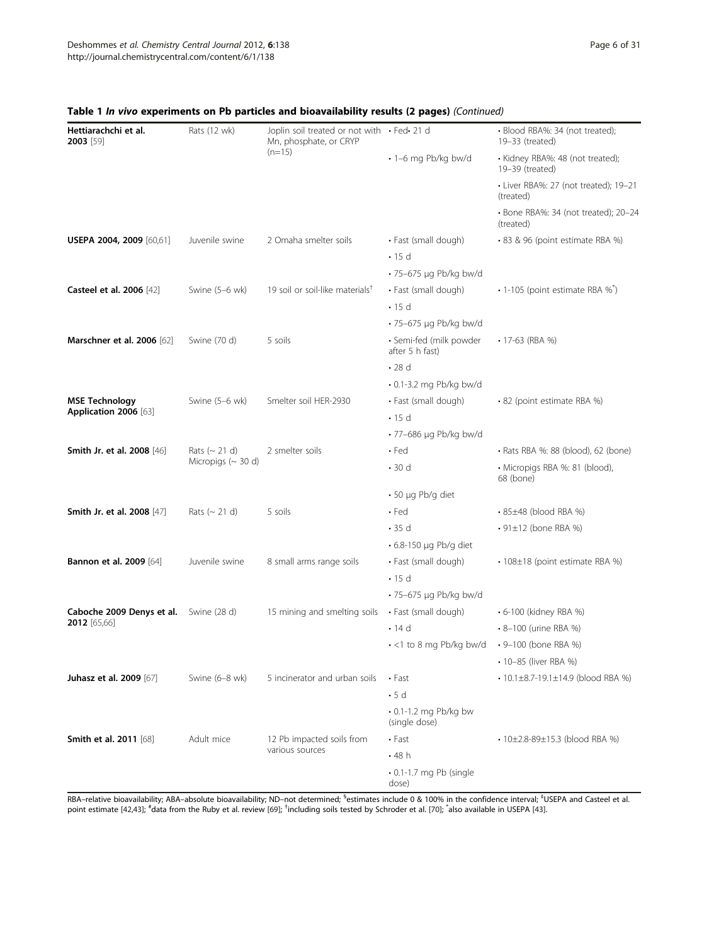| Hettiarachchi et al.<br>2003 [59]      | Rats (12 wk)                                                    | Joplin soil treated or not with · Fed· 21 d<br>Mn, phosphate, or CRYP |                                              | · Blood RBA%: 34 (not treated);<br>19-33 (treated)  |
|----------------------------------------|-----------------------------------------------------------------|-----------------------------------------------------------------------|----------------------------------------------|-----------------------------------------------------|
|                                        |                                                                 | $(n=15)$                                                              | · 1-6 mg Pb/kg bw/d                          | · Kidney RBA%: 48 (not treated);<br>19-39 (treated) |
|                                        |                                                                 |                                                                       |                                              | · Liver RBA%: 27 (not treated); 19-21<br>(treated)  |
|                                        |                                                                 |                                                                       |                                              | · Bone RBA%: 34 (not treated); 20-24<br>(treated)   |
| USEPA 2004, 2009 [60,61]               | Juvenile swine                                                  | 2 Omaha smelter soils                                                 | • Fast (small dough)                         | • 83 & 96 (point estimate RBA %)                    |
|                                        |                                                                 |                                                                       | $\cdot$ 15 d                                 |                                                     |
|                                        |                                                                 |                                                                       | • 75-675 µg Pb/kg bw/d                       |                                                     |
| Casteel et al. 2006 [42]               | Swine (5-6 wk)                                                  | 19 soil or soil-like materials <sup>†</sup>                           | • Fast (small dough)                         | • 1-105 (point estimate RBA %*)                     |
|                                        |                                                                 |                                                                       | $\cdot$ 15 d                                 |                                                     |
|                                        |                                                                 |                                                                       | • 75-675 µg Pb/kg bw/d                       |                                                     |
| <b>Marschner et al. 2006</b> [62]      | Swine (70 d)                                                    | 5 soils                                                               | · Semi-fed (milk powder<br>after 5 h fast)   | $\cdot$ 17-63 (RBA %)                               |
|                                        |                                                                 |                                                                       | $\cdot$ 28 d                                 |                                                     |
|                                        |                                                                 |                                                                       | • 0.1-3.2 mg Pb/kg bw/d                      |                                                     |
| <b>MSE Technology</b>                  | Swine (5-6 wk)                                                  | Smelter soil HER-2930                                                 | • Fast (small dough)                         | • 82 (point estimate RBA %)                         |
| Application 2006 [63]                  |                                                                 |                                                                       | $\cdot$ 15 d                                 |                                                     |
|                                        |                                                                 |                                                                       | • 77-686 µg Pb/kg bw/d                       |                                                     |
| Smith Jr. et al. 2008 [46]             | Rats $({\sim} 21 \text{ d})$<br>Micropigs $(\sim 30 \text{ d})$ | 2 smelter soils                                                       | $\cdot$ Fed                                  | • Rats RBA %: 88 (blood), 62 (bone)                 |
|                                        |                                                                 |                                                                       | $\cdot$ 30 d                                 | · Micropigs RBA %: 81 (blood),<br>68 (bone)         |
|                                        |                                                                 |                                                                       | $\cdot$ 50 µg Pb/g diet                      |                                                     |
| <b>Smith Jr. et al. 2008</b> [47]      | Rats $({\sim} 21 \text{ d})$                                    | 5 soils                                                               | $\cdot$ Fed                                  | $\cdot$ 85 $\pm$ 48 (blood RBA %)                   |
|                                        |                                                                 |                                                                       | $\cdot$ 35 d                                 | $\cdot$ 91 $\pm$ 12 (bone RBA %)                    |
|                                        |                                                                 |                                                                       | $\cdot$ 6.8-150 µg Pb/g diet                 |                                                     |
| <b>Bannon et al. 2009</b> [64]         | Juvenile swine                                                  | 8 small arms range soils                                              | • Fast (small dough)                         | • 108±18 (point estimate RBA %)                     |
|                                        |                                                                 |                                                                       | $\cdot$ 15 d                                 |                                                     |
|                                        |                                                                 |                                                                       | • 75-675 µg Pb/kg bw/d                       |                                                     |
| Caboche 2009 Denys et al. Swine (28 d) |                                                                 | 15 mining and smelting soils                                          | • Fast (small dough)                         | • 6-100 (kidney RBA %)                              |
| 2012 [65,66]                           |                                                                 |                                                                       | $\cdot$ 14 d                                 | • 8-100 (urine RBA %)                               |
|                                        |                                                                 |                                                                       | $\cdot$ <1 to 8 mg Pb/kg bw/d                | • 9-100 (bone RBA %)                                |
|                                        |                                                                 |                                                                       |                                              | • 10-85 (liver RBA %)                               |
| Juhasz et al. 2009 [67]                | Swine (6-8 wk)                                                  | 5 incinerator and urban soils                                         | $\cdot$ Fast                                 | $\cdot$ 10.1±8.7-19.1±14.9 (blood RBA %)            |
|                                        |                                                                 |                                                                       | $\cdot$ 5 d                                  |                                                     |
|                                        |                                                                 |                                                                       | $\cdot$ 0.1-1.2 mg Pb/kg bw<br>(single dose) |                                                     |
| <b>Smith et al. 2011</b> [68]          | Adult mice                                                      | 12 Pb impacted soils from                                             | $\cdot$ Fast                                 | • 10±2.8-89±15.3 (blood RBA %)                      |
|                                        |                                                                 | various sources                                                       | .48h                                         |                                                     |
|                                        |                                                                 |                                                                       | $\cdot$ 0.1-1.7 mg Pb (single<br>dose)       |                                                     |
|                                        |                                                                 |                                                                       |                                              |                                                     |

# Table 1 In vivo experiments on Pb particles and bioavailability results (2 pages) (Continued)

RBA–relative bioavailability; ABA–absolute bioavailability; ND–not determined; <sup>§</sup>estimates include 0 & 100% in the confidence interval; <sup>‡</sup>USEPA and Casteel et al. point estimate [\[42,43](#page-27-0)]; "data from the Ruby et al. review [[69\]](#page-28-0); <sup>†</sup>including soils tested by Schroder et al. [\[70](#page-28-0)]; <sup>\*</sup>also available in USEPA [\[43\]](#page-27-0).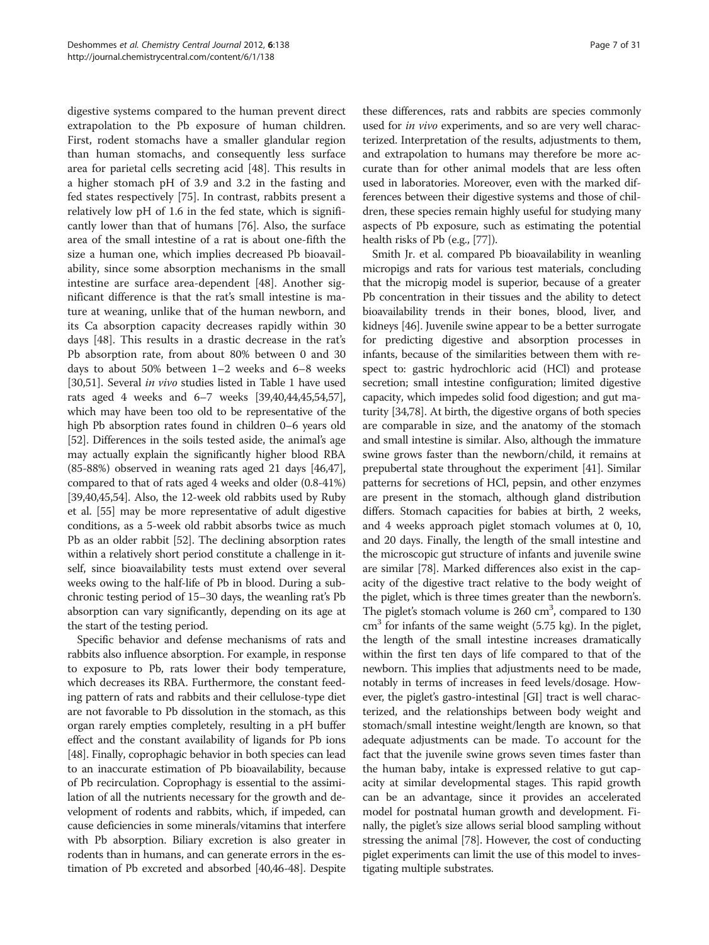digestive systems compared to the human prevent direct extrapolation to the Pb exposure of human children. First, rodent stomachs have a smaller glandular region than human stomachs, and consequently less surface area for parietal cells secreting acid [[48](#page-27-0)]. This results in a higher stomach pH of 3.9 and 3.2 in the fasting and fed states respectively [\[75](#page-28-0)]. In contrast, rabbits present a relatively low pH of 1.6 in the fed state, which is significantly lower than that of humans [[76](#page-28-0)]. Also, the surface area of the small intestine of a rat is about one-fifth the size a human one, which implies decreased Pb bioavailability, since some absorption mechanisms in the small intestine are surface area-dependent [[48](#page-27-0)]. Another significant difference is that the rat's small intestine is mature at weaning, unlike that of the human newborn, and its Ca absorption capacity decreases rapidly within 30 days [[48\]](#page-27-0). This results in a drastic decrease in the rat's Pb absorption rate, from about 80% between 0 and 30 days to about 50% between 1–2 weeks and 6–8 weeks [[30,](#page-27-0)[51\]](#page-28-0). Several in vivo studies listed in Table [1](#page-4-0) have used rats aged 4 weeks and 6–7 weeks [\[39,40,44,45](#page-27-0)[,54,57](#page-28-0)], which may have been too old to be representative of the high Pb absorption rates found in children 0–6 years old [[52](#page-28-0)]. Differences in the soils tested aside, the animal's age may actually explain the significantly higher blood RBA (85-88%) observed in weaning rats aged 21 days [\[46,47](#page-27-0)], compared to that of rats aged 4 weeks and older (0.8-41%) [[39,40,45,](#page-27-0)[54](#page-28-0)]. Also, the 12-week old rabbits used by Ruby et al. [\[55\]](#page-28-0) may be more representative of adult digestive conditions, as a 5-week old rabbit absorbs twice as much Pb as an older rabbit [[52](#page-28-0)]. The declining absorption rates within a relatively short period constitute a challenge in itself, since bioavailability tests must extend over several weeks owing to the half-life of Pb in blood. During a subchronic testing period of 15–30 days, the weanling rat's Pb absorption can vary significantly, depending on its age at the start of the testing period.

Specific behavior and defense mechanisms of rats and rabbits also influence absorption. For example, in response to exposure to Pb, rats lower their body temperature, which decreases its RBA. Furthermore, the constant feeding pattern of rats and rabbits and their cellulose-type diet are not favorable to Pb dissolution in the stomach, as this organ rarely empties completely, resulting in a pH buffer effect and the constant availability of ligands for Pb ions [[48](#page-27-0)]. Finally, coprophagic behavior in both species can lead to an inaccurate estimation of Pb bioavailability, because of Pb recirculation. Coprophagy is essential to the assimilation of all the nutrients necessary for the growth and development of rodents and rabbits, which, if impeded, can cause deficiencies in some minerals/vitamins that interfere with Pb absorption. Biliary excretion is also greater in rodents than in humans, and can generate errors in the estimation of Pb excreted and absorbed [\[40,46-48\]](#page-27-0). Despite

these differences, rats and rabbits are species commonly used for *in vivo* experiments, and so are very well characterized. Interpretation of the results, adjustments to them, and extrapolation to humans may therefore be more accurate than for other animal models that are less often used in laboratories. Moreover, even with the marked differences between their digestive systems and those of children, these species remain highly useful for studying many aspects of Pb exposure, such as estimating the potential health risks of Pb (e.g., [\[77\]](#page-28-0)).

Smith Jr. et al. compared Pb bioavailability in weanling micropigs and rats for various test materials, concluding that the micropig model is superior, because of a greater Pb concentration in their tissues and the ability to detect bioavailability trends in their bones, blood, liver, and kidneys [\[46\]](#page-27-0). Juvenile swine appear to be a better surrogate for predicting digestive and absorption processes in infants, because of the similarities between them with respect to: gastric hydrochloric acid (HCl) and protease secretion; small intestine configuration; limited digestive capacity, which impedes solid food digestion; and gut maturity [\[34,](#page-27-0)[78](#page-28-0)]. At birth, the digestive organs of both species are comparable in size, and the anatomy of the stomach and small intestine is similar. Also, although the immature swine grows faster than the newborn/child, it remains at prepubertal state throughout the experiment [\[41\]](#page-27-0). Similar patterns for secretions of HCl, pepsin, and other enzymes are present in the stomach, although gland distribution differs. Stomach capacities for babies at birth, 2 weeks, and 4 weeks approach piglet stomach volumes at 0, 10, and 20 days. Finally, the length of the small intestine and the microscopic gut structure of infants and juvenile swine are similar [\[78\]](#page-28-0). Marked differences also exist in the capacity of the digestive tract relative to the body weight of the piglet, which is three times greater than the newborn's. The piglet's stomach volume is  $260 \text{ cm}^3$ , compared to  $130$  $\text{cm}^3$  for infants of the same weight (5.75 kg). In the piglet, the length of the small intestine increases dramatically within the first ten days of life compared to that of the newborn. This implies that adjustments need to be made, notably in terms of increases in feed levels/dosage. However, the piglet's gastro-intestinal [GI] tract is well characterized, and the relationships between body weight and stomach/small intestine weight/length are known, so that adequate adjustments can be made. To account for the fact that the juvenile swine grows seven times faster than the human baby, intake is expressed relative to gut capacity at similar developmental stages. This rapid growth can be an advantage, since it provides an accelerated model for postnatal human growth and development. Finally, the piglet's size allows serial blood sampling without stressing the animal [[78](#page-28-0)]. However, the cost of conducting piglet experiments can limit the use of this model to investigating multiple substrates.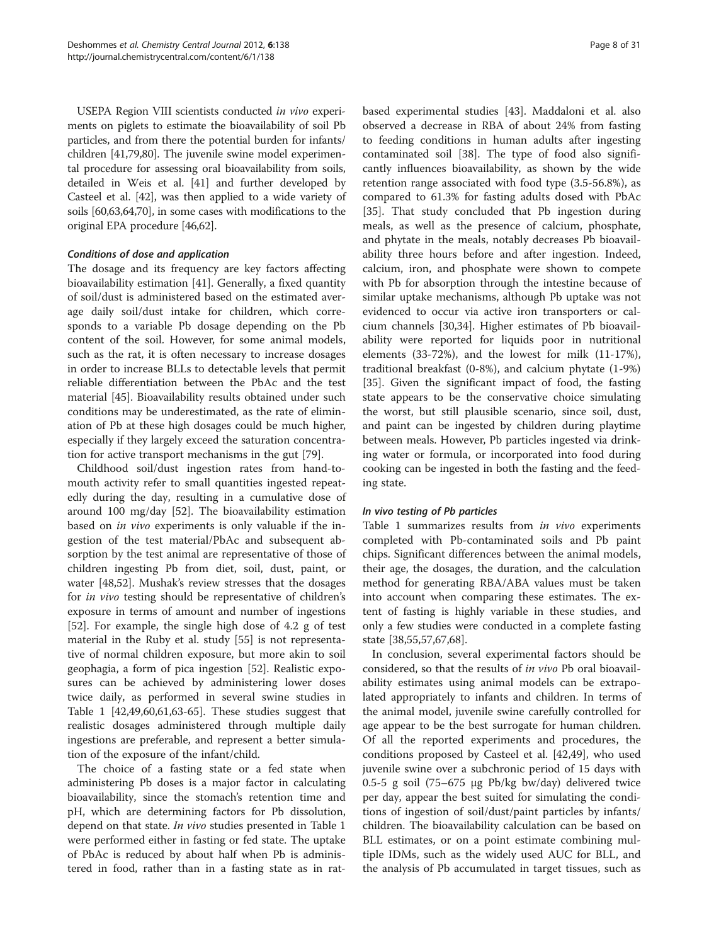USEPA Region VIII scientists conducted in vivo experiments on piglets to estimate the bioavailability of soil Pb particles, and from there the potential burden for infants/ children [[41](#page-27-0),[79,80\]](#page-28-0). The juvenile swine model experimental procedure for assessing oral bioavailability from soils, detailed in Weis et al. [\[41\]](#page-27-0) and further developed by Casteel et al. [[42](#page-27-0)], was then applied to a wide variety of soils [[60](#page-28-0),[63,64,70](#page-28-0)], in some cases with modifications to the original EPA procedure [[46](#page-27-0)[,62\]](#page-28-0).

### Conditions of dose and application

The dosage and its frequency are key factors affecting bioavailability estimation [\[41](#page-27-0)]. Generally, a fixed quantity of soil/dust is administered based on the estimated average daily soil/dust intake for children, which corresponds to a variable Pb dosage depending on the Pb content of the soil. However, for some animal models, such as the rat, it is often necessary to increase dosages in order to increase BLLs to detectable levels that permit reliable differentiation between the PbAc and the test material [[45](#page-27-0)]. Bioavailability results obtained under such conditions may be underestimated, as the rate of elimination of Pb at these high dosages could be much higher, especially if they largely exceed the saturation concentration for active transport mechanisms in the gut [[79\]](#page-28-0).

Childhood soil/dust ingestion rates from hand-tomouth activity refer to small quantities ingested repeatedly during the day, resulting in a cumulative dose of around 100 mg/day [\[52](#page-28-0)]. The bioavailability estimation based on in vivo experiments is only valuable if the ingestion of the test material/PbAc and subsequent absorption by the test animal are representative of those of children ingesting Pb from diet, soil, dust, paint, or water [[48,](#page-27-0)[52\]](#page-28-0). Mushak's review stresses that the dosages for in vivo testing should be representative of children's exposure in terms of amount and number of ingestions [[52\]](#page-28-0). For example, the single high dose of 4.2 g of test material in the Ruby et al. study [[55\]](#page-28-0) is not representative of normal children exposure, but more akin to soil geophagia, a form of pica ingestion [\[52\]](#page-28-0). Realistic exposures can be achieved by administering lower doses twice daily, as performed in several swine studies in Table [1](#page-4-0) [\[42,49](#page-27-0)[,60,61,63](#page-28-0)-[65\]](#page-28-0). These studies suggest that realistic dosages administered through multiple daily ingestions are preferable, and represent a better simulation of the exposure of the infant/child.

The choice of a fasting state or a fed state when administering Pb doses is a major factor in calculating bioavailability, since the stomach's retention time and pH, which are determining factors for Pb dissolution, depend on that state. *In vivo* studies presented in Table [1](#page-4-0) were performed either in fasting or fed state. The uptake of PbAc is reduced by about half when Pb is administered in food, rather than in a fasting state as in rat-

based experimental studies [\[43\]](#page-27-0). Maddaloni et al. also observed a decrease in RBA of about 24% from fasting to feeding conditions in human adults after ingesting contaminated soil [\[38](#page-27-0)]. The type of food also significantly influences bioavailability, as shown by the wide retention range associated with food type (3.5-56.8%), as compared to 61.3% for fasting adults dosed with PbAc [[35\]](#page-27-0). That study concluded that Pb ingestion during meals, as well as the presence of calcium, phosphate, and phytate in the meals, notably decreases Pb bioavailability three hours before and after ingestion. Indeed, calcium, iron, and phosphate were shown to compete with Pb for absorption through the intestine because of similar uptake mechanisms, although Pb uptake was not evidenced to occur via active iron transporters or calcium channels [\[30,34\]](#page-27-0). Higher estimates of Pb bioavailability were reported for liquids poor in nutritional elements (33-72%), and the lowest for milk (11-17%), traditional breakfast (0-8%), and calcium phytate (1-9%) [[35\]](#page-27-0). Given the significant impact of food, the fasting state appears to be the conservative choice simulating the worst, but still plausible scenario, since soil, dust, and paint can be ingested by children during playtime between meals. However, Pb particles ingested via drinking water or formula, or incorporated into food during cooking can be ingested in both the fasting and the feeding state.

### In vivo testing of Pb particles

Table [1](#page-4-0) summarizes results from *in vivo* experiments completed with Pb-contaminated soils and Pb paint chips. Significant differences between the animal models, their age, the dosages, the duration, and the calculation method for generating RBA/ABA values must be taken into account when comparing these estimates. The extent of fasting is highly variable in these studies, and only a few studies were conducted in a complete fasting state [[38,](#page-27-0)[55,57,67](#page-28-0),[68](#page-28-0)].

In conclusion, several experimental factors should be considered, so that the results of in vivo Pb oral bioavailability estimates using animal models can be extrapolated appropriately to infants and children. In terms of the animal model, juvenile swine carefully controlled for age appear to be the best surrogate for human children. Of all the reported experiments and procedures, the conditions proposed by Casteel et al. [[42](#page-27-0),[49](#page-27-0)], who used juvenile swine over a subchronic period of 15 days with 0.5-5 g soil (75–675 μg Pb/kg bw/day) delivered twice per day, appear the best suited for simulating the conditions of ingestion of soil/dust/paint particles by infants/ children. The bioavailability calculation can be based on BLL estimates, or on a point estimate combining multiple IDMs, such as the widely used AUC for BLL, and the analysis of Pb accumulated in target tissues, such as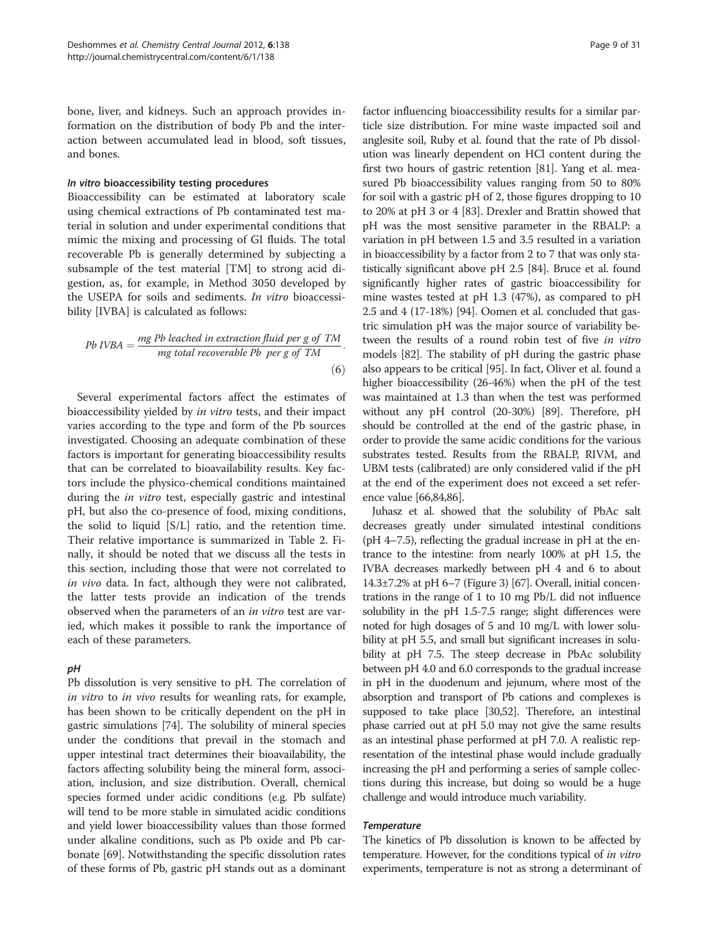bone, liver, and kidneys. Such an approach provides information on the distribution of body Pb and the interaction between accumulated lead in blood, soft tissues, and bones.

#### In vitro bioaccessibility testing procedures

Bioaccessibility can be estimated at laboratory scale using chemical extractions of Pb contaminated test material in solution and under experimental conditions that mimic the mixing and processing of GI fluids. The total recoverable Pb is generally determined by subjecting a subsample of the test material [TM] to strong acid digestion, as, for example, in Method 3050 developed by the USEPA for soils and sediments. In vitro bioaccessibility [IVBA] is calculated as follows:

$$
Pb\ IVBA = \frac{mg\ Pb\ leached\ in\ extraction\ fluid\ per\ g\ of\ TM}{mg\ total\ recover the\ Pb\ per\ g\ of\ TM}.
$$
\n
$$
(6)
$$

Several experimental factors affect the estimates of bioaccessibility yielded by in vitro tests, and their impact varies according to the type and form of the Pb sources investigated. Choosing an adequate combination of these factors is important for generating bioaccessibility results that can be correlated to bioavailability results. Key factors include the physico-chemical conditions maintained during the *in vitro* test, especially gastric and intestinal pH, but also the co-presence of food, mixing conditions, the solid to liquid [S/L] ratio, and the retention time. Their relative importance is summarized in Table [2](#page-9-0). Finally, it should be noted that we discuss all the tests in this section, including those that were not correlated to in vivo data. In fact, although they were not calibrated, the latter tests provide an indication of the trends observed when the parameters of an in vitro test are varied, which makes it possible to rank the importance of each of these parameters.

### pH

Pb dissolution is very sensitive to pH. The correlation of in vitro to in vivo results for weanling rats, for example, has been shown to be critically dependent on the pH in gastric simulations [\[74\]](#page-28-0). The solubility of mineral species under the conditions that prevail in the stomach and upper intestinal tract determines their bioavailability, the factors affecting solubility being the mineral form, association, inclusion, and size distribution. Overall, chemical species formed under acidic conditions (e.g. Pb sulfate) will tend to be more stable in simulated acidic conditions and yield lower bioaccessibility values than those formed under alkaline conditions, such as Pb oxide and Pb carbonate [[69](#page-28-0)]. Notwithstanding the specific dissolution rates of these forms of Pb, gastric pH stands out as a dominant

factor influencing bioaccessibility results for a similar particle size distribution. For mine waste impacted soil and anglesite soil, Ruby et al. found that the rate of Pb dissolution was linearly dependent on HCl content during the first two hours of gastric retention [\[81\]](#page-28-0). Yang et al. measured Pb bioaccessibility values ranging from 50 to 80% for soil with a gastric pH of 2, those figures dropping to 10 to 20% at pH 3 or 4 [\[83\]](#page-28-0). Drexler and Brattin showed that pH was the most sensitive parameter in the RBALP: a variation in pH between 1.5 and 3.5 resulted in a variation in bioaccessibility by a factor from 2 to 7 that was only statistically significant above pH 2.5 [[84](#page-28-0)]. Bruce et al. found significantly higher rates of gastric bioaccessibility for mine wastes tested at pH 1.3 (47%), as compared to pH 2.5 and 4 (17-18%) [\[94](#page-29-0)]. Oomen et al. concluded that gastric simulation pH was the major source of variability between the results of a round robin test of five in vitro models [\[82\]](#page-28-0). The stability of pH during the gastric phase also appears to be critical [\[95](#page-29-0)]. In fact, Oliver et al. found a higher bioaccessibility (26-46%) when the pH of the test was maintained at 1.3 than when the test was performed without any pH control (20-30%) [\[89\]](#page-28-0). Therefore, pH should be controlled at the end of the gastric phase, in order to provide the same acidic conditions for the various substrates tested. Results from the RBALP, RIVM, and UBM tests (calibrated) are only considered valid if the pH at the end of the experiment does not exceed a set reference value [\[66,84,86](#page-28-0)].

Juhasz et al. showed that the solubility of PbAc salt decreases greatly under simulated intestinal conditions (pH 4–7.5), reflecting the gradual increase in pH at the entrance to the intestine: from nearly 100% at pH 1.5, the IVBA decreases markedly between pH 4 and 6 to about 14.3±7.2% at pH 6–7 (Figure [3](#page-10-0)) [[67](#page-28-0)]. Overall, initial concentrations in the range of 1 to 10 mg Pb/L did not influence solubility in the pH 1.5-7.5 range; slight differences were noted for high dosages of 5 and 10 mg/L with lower solubility at pH 5.5, and small but significant increases in solubility at pH 7.5. The steep decrease in PbAc solubility between pH 4.0 and 6.0 corresponds to the gradual increase in pH in the duodenum and jejunum, where most of the absorption and transport of Pb cations and complexes is supposed to take place [\[30,](#page-27-0)[52](#page-28-0)]. Therefore, an intestinal phase carried out at pH 5.0 may not give the same results as an intestinal phase performed at pH 7.0. A realistic representation of the intestinal phase would include gradually increasing the pH and performing a series of sample collections during this increase, but doing so would be a huge challenge and would introduce much variability.

### Temperature

The kinetics of Pb dissolution is known to be affected by temperature. However, for the conditions typical of in vitro experiments, temperature is not as strong a determinant of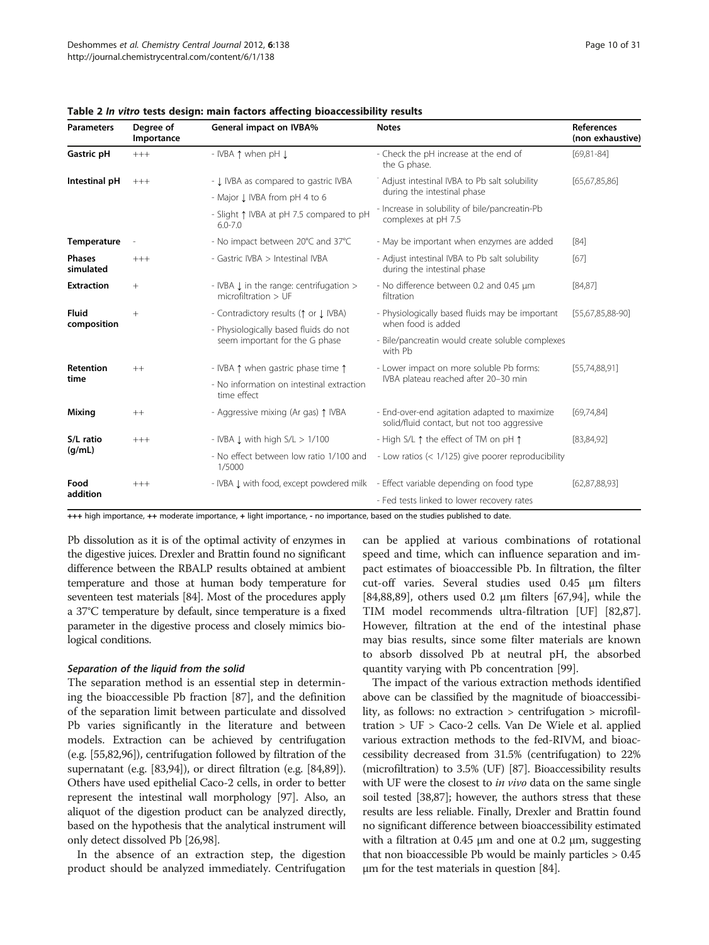| <b>Parameters</b>          | Degree of<br>Importance | <b>General impact on IVBA%</b>                                                    | <b>Notes</b>                                                                                | <b>References</b><br>(non exhaustive) |  |
|----------------------------|-------------------------|-----------------------------------------------------------------------------------|---------------------------------------------------------------------------------------------|---------------------------------------|--|
| Gastric pH                 | $+++$                   | - IVBA 1 when pH J                                                                | - Check the pH increase at the end of<br>the G phase.                                       | $[69, 81 - 84]$                       |  |
| Intestinal pH              | $+++$                   | - J. IVBA as compared to gastric IVBA                                             | Adjust intestinal IVBA to Pb salt solubility                                                | [65, 67, 85, 86]                      |  |
|                            |                         | - Major J. IVBA from pH 4 to 6                                                    | during the intestinal phase                                                                 |                                       |  |
|                            |                         | - Slight 1 IVBA at pH 7.5 compared to pH<br>$6.0 - 7.0$                           | - Increase in solubility of bile/pancreatin-Pb<br>complexes at pH 7.5                       |                                       |  |
| Temperature                |                         | - No impact between 20°C and 37°C                                                 | - May be important when enzymes are added                                                   | $[84]$                                |  |
| <b>Phases</b><br>simulated | $+++$                   | - Gastric IVBA > Intestinal IVBA                                                  | - Adjust intestinal IVBA to Pb salt solubility<br>during the intestinal phase               | [67]                                  |  |
| <b>Extraction</b>          | $+$                     | - IVBA L in the range: centrifugation ><br>microfiltration > UF                   | - No difference between 0.2 and 0.45 µm<br>filtration                                       |                                       |  |
| Fluid<br>composition       | $^{+}$                  | - Contradictory results ( $\uparrow$ or $\downarrow$ IVBA)                        | - Physiologically based fluids may be important                                             | [55,67,85,88-90]                      |  |
|                            |                         | - Physiologically based fluids do not                                             | when food is added                                                                          |                                       |  |
|                            |                         | seem important for the G phase                                                    | - Bile/pancreatin would create soluble complexes<br>with Ph                                 |                                       |  |
| Retention                  | $++$                    | - IVBA 1 when gastric phase time 1                                                | - Lower impact on more soluble Pb forms:                                                    | [55, 74, 88, 91]                      |  |
| time                       |                         | - No information on intestinal extraction<br>time effect                          | IVBA plateau reached after 20-30 min                                                        |                                       |  |
| Mixing                     | $++$                    | - Aggressive mixing (Ar gas) 1 IVBA                                               | - End-over-end agitation adapted to maximize<br>solid/fluid contact, but not too aggressive | [69, 74, 84]                          |  |
| S/L ratio                  | $+++$                   | - IVBA $\downarrow$ with high $S/L > 1/100$                                       | - High S/L 1 the effect of TM on pH 1                                                       | [83, 84, 92]                          |  |
| (q/mL)                     |                         | - No effect between low ratio 1/100 and<br>1/5000                                 | - Low ratios (< 1/125) give poorer reproducibility                                          |                                       |  |
| Food                       | $+++$                   | - IVBA L with food, except powdered milk - Effect variable depending on food type |                                                                                             | [62, 87, 88, 93]                      |  |
| addition                   |                         |                                                                                   | - Fed tests linked to lower recovery rates                                                  |                                       |  |

<span id="page-9-0"></span>Table 2 In vitro tests design: main factors affecting bioaccessibility results

+++ high importance, ++ moderate importance, + light importance, - no importance, based on the studies published to date.

Pb dissolution as it is of the optimal activity of enzymes in the digestive juices. Drexler and Brattin found no significant difference between the RBALP results obtained at ambient temperature and those at human body temperature for seventeen test materials [\[84\]](#page-28-0). Most of the procedures apply a 37°C temperature by default, since temperature is a fixed parameter in the digestive process and closely mimics biological conditions.

### Separation of the liquid from the solid

The separation method is an essential step in determining the bioaccessible Pb fraction [[87\]](#page-28-0), and the definition of the separation limit between particulate and dissolved Pb varies significantly in the literature and between models. Extraction can be achieved by centrifugation (e.g. [[55,82](#page-28-0)[,96\]](#page-29-0)), centrifugation followed by filtration of the supernatant (e.g. [[83](#page-28-0)[,94](#page-29-0)]), or direct filtration (e.g. [\[84,89](#page-28-0)]). Others have used epithelial Caco-2 cells, in order to better represent the intestinal wall morphology [[97](#page-29-0)]. Also, an aliquot of the digestion product can be analyzed directly, based on the hypothesis that the analytical instrument will only detect dissolved Pb [\[26](#page-27-0)[,98\]](#page-29-0).

In the absence of an extraction step, the digestion product should be analyzed immediately. Centrifugation can be applied at various combinations of rotational speed and time, which can influence separation and impact estimates of bioaccessible Pb. In filtration, the filter cut-off varies. Several studies used 0.45 μm filters [[84,88,89\]](#page-28-0), others used 0.2 μm filters [\[67](#page-28-0)[,94](#page-29-0)], while the TIM model recommends ultra-filtration [UF] [\[82,87](#page-28-0)]. However, filtration at the end of the intestinal phase may bias results, since some filter materials are known to absorb dissolved Pb at neutral pH, the absorbed quantity varying with Pb concentration [\[99\]](#page-29-0).

The impact of the various extraction methods identified above can be classified by the magnitude of bioaccessibility, as follows: no extraction > centrifugation > microfiltration > UF > Caco-2 cells. Van De Wiele et al. applied various extraction methods to the fed-RIVM, and bioaccessibility decreased from 31.5% (centrifugation) to 22% (microfiltration) to 3.5% (UF) [[87](#page-28-0)]. Bioaccessibility results with UF were the closest to *in vivo* data on the same single soil tested [[38](#page-27-0)[,87](#page-28-0)]; however, the authors stress that these results are less reliable. Finally, Drexler and Brattin found no significant difference between bioaccessibility estimated with a filtration at  $0.45 \mu m$  and one at  $0.2 \mu m$ , suggesting that non bioaccessible Pb would be mainly particles > 0.45 μm for the test materials in question [[84](#page-28-0)].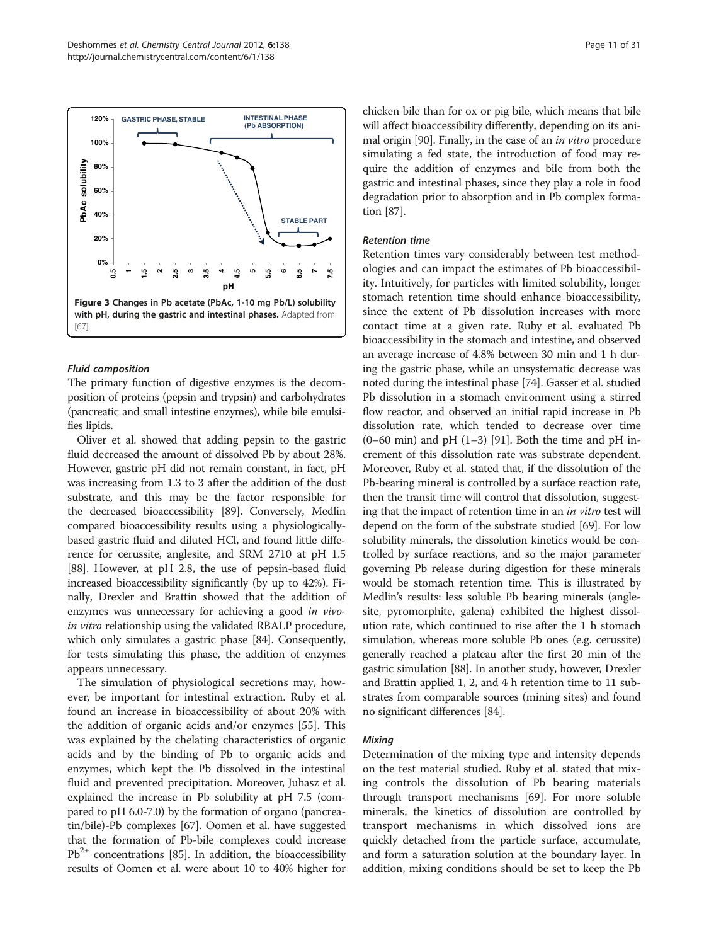<span id="page-10-0"></span>

# Fluid composition

The primary function of digestive enzymes is the decomposition of proteins (pepsin and trypsin) and carbohydrates (pancreatic and small intestine enzymes), while bile emulsifies lipids.

Oliver et al. showed that adding pepsin to the gastric fluid decreased the amount of dissolved Pb by about 28%. However, gastric pH did not remain constant, in fact, pH was increasing from 1.3 to 3 after the addition of the dust substrate, and this may be the factor responsible for the decreased bioaccessibility [\[89\]](#page-28-0). Conversely, Medlin compared bioaccessibility results using a physiologicallybased gastric fluid and diluted HCl, and found little difference for cerussite, anglesite, and SRM 2710 at pH 1.5 [[88](#page-28-0)]. However, at pH 2.8, the use of pepsin-based fluid increased bioaccessibility significantly (by up to 42%). Finally, Drexler and Brattin showed that the addition of enzymes was unnecessary for achieving a good in vivoin vitro relationship using the validated RBALP procedure, which only simulates a gastric phase [\[84\]](#page-28-0). Consequently, for tests simulating this phase, the addition of enzymes appears unnecessary.

The simulation of physiological secretions may, however, be important for intestinal extraction. Ruby et al. found an increase in bioaccessibility of about 20% with the addition of organic acids and/or enzymes [[55](#page-28-0)]. This was explained by the chelating characteristics of organic acids and by the binding of Pb to organic acids and enzymes, which kept the Pb dissolved in the intestinal fluid and prevented precipitation. Moreover, Juhasz et al. explained the increase in Pb solubility at pH 7.5 (compared to pH 6.0-7.0) by the formation of organo (pancreatin/bile)-Pb complexes [[67](#page-28-0)]. Oomen et al. have suggested that the formation of Pb-bile complexes could increase  $Pb^{2+}$  concentrations [[85](#page-28-0)]. In addition, the bioaccessibility results of Oomen et al. were about 10 to 40% higher for chicken bile than for ox or pig bile, which means that bile will affect bioaccessibility differently, depending on its animal origin [\[90\]](#page-28-0). Finally, in the case of an in vitro procedure simulating a fed state, the introduction of food may require the addition of enzymes and bile from both the gastric and intestinal phases, since they play a role in food degradation prior to absorption and in Pb complex formation [\[87\]](#page-28-0).

# Retention time

Retention times vary considerably between test methodologies and can impact the estimates of Pb bioaccessibility. Intuitively, for particles with limited solubility, longer stomach retention time should enhance bioaccessibility, since the extent of Pb dissolution increases with more contact time at a given rate. Ruby et al. evaluated Pb bioaccessibility in the stomach and intestine, and observed an average increase of 4.8% between 30 min and 1 h during the gastric phase, while an unsystematic decrease was noted during the intestinal phase [[74](#page-28-0)]. Gasser et al. studied Pb dissolution in a stomach environment using a stirred flow reactor, and observed an initial rapid increase in Pb dissolution rate, which tended to decrease over time  $(0-60 \text{ min})$  and pH  $(1-3)$  [[91](#page-29-0)]. Both the time and pH increment of this dissolution rate was substrate dependent. Moreover, Ruby et al. stated that, if the dissolution of the Pb-bearing mineral is controlled by a surface reaction rate, then the transit time will control that dissolution, suggesting that the impact of retention time in an in vitro test will depend on the form of the substrate studied [[69](#page-28-0)]. For low solubility minerals, the dissolution kinetics would be controlled by surface reactions, and so the major parameter governing Pb release during digestion for these minerals would be stomach retention time. This is illustrated by Medlin's results: less soluble Pb bearing minerals (anglesite, pyromorphite, galena) exhibited the highest dissolution rate, which continued to rise after the 1 h stomach simulation, whereas more soluble Pb ones (e.g. cerussite) generally reached a plateau after the first 20 min of the gastric simulation [[88](#page-28-0)]. In another study, however, Drexler and Brattin applied 1, 2, and 4 h retention time to 11 substrates from comparable sources (mining sites) and found no significant differences [[84](#page-28-0)].

# **Mixing**

Determination of the mixing type and intensity depends on the test material studied. Ruby et al. stated that mixing controls the dissolution of Pb bearing materials through transport mechanisms [\[69\]](#page-28-0). For more soluble minerals, the kinetics of dissolution are controlled by transport mechanisms in which dissolved ions are quickly detached from the particle surface, accumulate, and form a saturation solution at the boundary layer. In addition, mixing conditions should be set to keep the Pb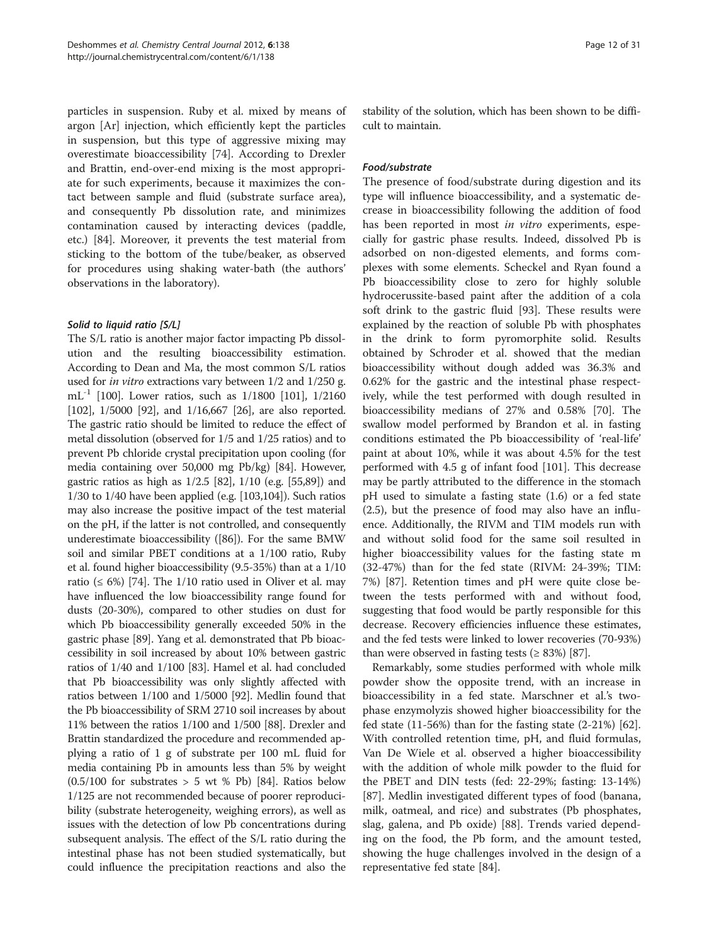particles in suspension. Ruby et al. mixed by means of argon [Ar] injection, which efficiently kept the particles in suspension, but this type of aggressive mixing may overestimate bioaccessibility [\[74\]](#page-28-0). According to Drexler and Brattin, end-over-end mixing is the most appropriate for such experiments, because it maximizes the contact between sample and fluid (substrate surface area), and consequently Pb dissolution rate, and minimizes contamination caused by interacting devices (paddle, etc.) [[84](#page-28-0)]. Moreover, it prevents the test material from sticking to the bottom of the tube/beaker, as observed for procedures using shaking water-bath (the authors' observations in the laboratory).

# Solid to liquid ratio [S/L]

The S/L ratio is another major factor impacting Pb dissolution and the resulting bioaccessibility estimation. According to Dean and Ma, the most common S/L ratios used for in vitro extractions vary between 1/2 and 1/250 g. mL-1 [\[100\]](#page-29-0). Lower ratios, such as 1/1800 [[101](#page-29-0)], 1/2160 [[102](#page-29-0)], 1/5000 [[92](#page-29-0)], and 1/16,667 [[26](#page-27-0)], are also reported. The gastric ratio should be limited to reduce the effect of metal dissolution (observed for 1/5 and 1/25 ratios) and to prevent Pb chloride crystal precipitation upon cooling (for media containing over 50,000 mg Pb/kg) [\[84\]](#page-28-0). However, gastric ratios as high as 1/2.5 [[82](#page-28-0)], 1/10 (e.g. [[55,89](#page-28-0)]) and 1/30 to 1/40 have been applied (e.g. [\[103,104](#page-29-0)]). Such ratios may also increase the positive impact of the test material on the pH, if the latter is not controlled, and consequently underestimate bioaccessibility ([\[86](#page-28-0)]). For the same BMW soil and similar PBET conditions at a 1/100 ratio, Ruby et al. found higher bioaccessibility (9.5-35%) than at a 1/10 ratio ( $\leq 6\%$ ) [[74](#page-28-0)]. The 1/10 ratio used in Oliver et al. may have influenced the low bioaccessibility range found for dusts (20-30%), compared to other studies on dust for which Pb bioaccessibility generally exceeded 50% in the gastric phase [\[89\]](#page-28-0). Yang et al. demonstrated that Pb bioaccessibility in soil increased by about 10% between gastric ratios of 1/40 and 1/100 [\[83\]](#page-28-0). Hamel et al. had concluded that Pb bioaccessibility was only slightly affected with ratios between 1/100 and 1/5000 [\[92](#page-29-0)]. Medlin found that the Pb bioaccessibility of SRM 2710 soil increases by about 11% between the ratios 1/100 and 1/500 [\[88\]](#page-28-0). Drexler and Brattin standardized the procedure and recommended applying a ratio of 1 g of substrate per 100 mL fluid for media containing Pb in amounts less than 5% by weight  $(0.5/100$  for substrates  $> 5$  wt % Pb) [[84](#page-28-0)]. Ratios below 1/125 are not recommended because of poorer reproducibility (substrate heterogeneity, weighing errors), as well as issues with the detection of low Pb concentrations during subsequent analysis. The effect of the S/L ratio during the intestinal phase has not been studied systematically, but could influence the precipitation reactions and also the stability of the solution, which has been shown to be difficult to maintain.

# Food/substrate

The presence of food/substrate during digestion and its type will influence bioaccessibility, and a systematic decrease in bioaccessibility following the addition of food has been reported in most in vitro experiments, especially for gastric phase results. Indeed, dissolved Pb is adsorbed on non-digested elements, and forms complexes with some elements. Scheckel and Ryan found a Pb bioaccessibility close to zero for highly soluble hydrocerussite-based paint after the addition of a cola soft drink to the gastric fluid [\[93\]](#page-29-0). These results were explained by the reaction of soluble Pb with phosphates in the drink to form pyromorphite solid. Results obtained by Schroder et al. showed that the median bioaccessibility without dough added was 36.3% and 0.62% for the gastric and the intestinal phase respectively, while the test performed with dough resulted in bioaccessibility medians of 27% and 0.58% [\[70](#page-28-0)]. The swallow model performed by Brandon et al. in fasting conditions estimated the Pb bioaccessibility of 'real-life' paint at about 10%, while it was about 4.5% for the test performed with 4.5 g of infant food [[101\]](#page-29-0). This decrease may be partly attributed to the difference in the stomach pH used to simulate a fasting state (1.6) or a fed state (2.5), but the presence of food may also have an influence. Additionally, the RIVM and TIM models run with and without solid food for the same soil resulted in higher bioaccessibility values for the fasting state m (32-47%) than for the fed state (RIVM: 24-39%; TIM: 7%) [[87\]](#page-28-0). Retention times and pH were quite close between the tests performed with and without food, suggesting that food would be partly responsible for this decrease. Recovery efficiencies influence these estimates, and the fed tests were linked to lower recoveries (70-93%) than were observed in fasting tests  $(≥ 83%)$  [\[87\]](#page-28-0).

Remarkably, some studies performed with whole milk powder show the opposite trend, with an increase in bioaccessibility in a fed state. Marschner et al.'s twophase enzymolyzis showed higher bioaccessibility for the fed state  $(11-56%)$  than for the fasting state  $(2-21%)$  [\[62](#page-28-0)]. With controlled retention time, pH, and fluid formulas, Van De Wiele et al. observed a higher bioaccessibility with the addition of whole milk powder to the fluid for the PBET and DIN tests (fed: 22-29%; fasting: 13-14%) [[87\]](#page-28-0). Medlin investigated different types of food (banana, milk, oatmeal, and rice) and substrates (Pb phosphates, slag, galena, and Pb oxide) [\[88](#page-28-0)]. Trends varied depending on the food, the Pb form, and the amount tested, showing the huge challenges involved in the design of a representative fed state [\[84](#page-28-0)].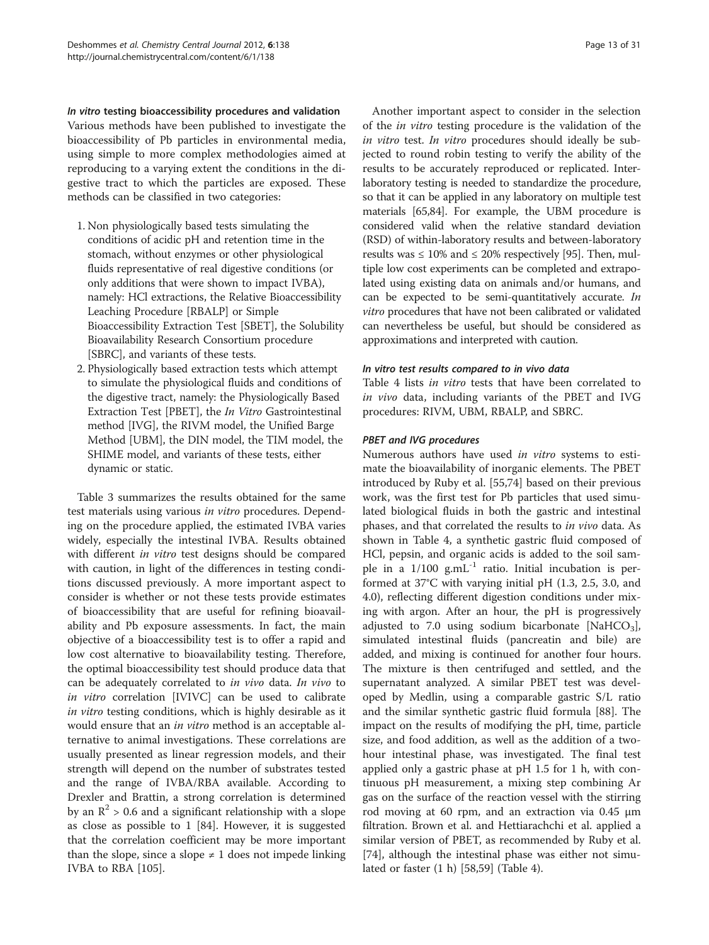In vitro testing bioaccessibility procedures and validation Various methods have been published to investigate the bioaccessibility of Pb particles in environmental media, using simple to more complex methodologies aimed at reproducing to a varying extent the conditions in the digestive tract to which the particles are exposed. These methods can be classified in two categories:

- 1. Non physiologically based tests simulating the conditions of acidic pH and retention time in the stomach, without enzymes or other physiological fluids representative of real digestive conditions (or only additions that were shown to impact IVBA), namely: HCl extractions, the Relative Bioaccessibility Leaching Procedure [RBALP] or Simple Bioaccessibility Extraction Test [SBET], the Solubility Bioavailability Research Consortium procedure [SBRC], and variants of these tests.
- 2. Physiologically based extraction tests which attempt to simulate the physiological fluids and conditions of the digestive tract, namely: the Physiologically Based Extraction Test [PBET], the In Vitro Gastrointestinal method [IVG], the RIVM model, the Unified Barge Method [UBM], the DIN model, the TIM model, the SHIME model, and variants of these tests, either dynamic or static.

Table [3](#page-13-0) summarizes the results obtained for the same test materials using various in vitro procedures. Depending on the procedure applied, the estimated IVBA varies widely, especially the intestinal IVBA. Results obtained with different in vitro test designs should be compared with caution, in light of the differences in testing conditions discussed previously. A more important aspect to consider is whether or not these tests provide estimates of bioaccessibility that are useful for refining bioavailability and Pb exposure assessments. In fact, the main objective of a bioaccessibility test is to offer a rapid and low cost alternative to bioavailability testing. Therefore, the optimal bioaccessibility test should produce data that can be adequately correlated to in vivo data. In vivo to in vitro correlation [IVIVC] can be used to calibrate in vitro testing conditions, which is highly desirable as it would ensure that an *in vitro* method is an acceptable alternative to animal investigations. These correlations are usually presented as linear regression models, and their strength will depend on the number of substrates tested and the range of IVBA/RBA available. According to Drexler and Brattin, a strong correlation is determined by an  $\mathbb{R}^2$  > 0.6 and a significant relationship with a slope as close as possible to 1 [\[84](#page-28-0)]. However, it is suggested that the correlation coefficient may be more important than the slope, since a slope  $\neq$  1 does not impede linking IVBA to RBA [[105](#page-29-0)].

Another important aspect to consider in the selection of the in vitro testing procedure is the validation of the in vitro test. In vitro procedures should ideally be subjected to round robin testing to verify the ability of the results to be accurately reproduced or replicated. Interlaboratory testing is needed to standardize the procedure, so that it can be applied in any laboratory on multiple test materials [\[65,84\]](#page-28-0). For example, the UBM procedure is considered valid when the relative standard deviation (RSD) of within-laboratory results and between-laboratory results was  $\leq 10\%$  and  $\leq 20\%$  respectively [[95](#page-29-0)]. Then, multiple low cost experiments can be completed and extrapolated using existing data on animals and/or humans, and can be expected to be semi-quantitatively accurate. In vitro procedures that have not been calibrated or validated can nevertheless be useful, but should be considered as approximations and interpreted with caution.

# In vitro test results compared to in vivo data

Table [4](#page-15-0) lists in vitro tests that have been correlated to in vivo data, including variants of the PBET and IVG procedures: RIVM, UBM, RBALP, and SBRC.

# PBET and IVG procedures

Numerous authors have used in vitro systems to estimate the bioavailability of inorganic elements. The PBET introduced by Ruby et al. [\[55,74](#page-28-0)] based on their previous work, was the first test for Pb particles that used simulated biological fluids in both the gastric and intestinal phases, and that correlated the results to in vivo data. As shown in Table [4,](#page-15-0) a synthetic gastric fluid composed of HCl, pepsin, and organic acids is added to the soil sample in a  $1/100$  g.mL $^{-1}$  ratio. Initial incubation is performed at 37°C with varying initial pH (1.3, 2.5, 3.0, and 4.0), reflecting different digestion conditions under mixing with argon. After an hour, the pH is progressively adjusted to 7.0 using sodium bicarbonate [NaHCO<sub>3</sub>], simulated intestinal fluids (pancreatin and bile) are added, and mixing is continued for another four hours. The mixture is then centrifuged and settled, and the supernatant analyzed. A similar PBET test was developed by Medlin, using a comparable gastric S/L ratio and the similar synthetic gastric fluid formula [[88](#page-28-0)]. The impact on the results of modifying the pH, time, particle size, and food addition, as well as the addition of a twohour intestinal phase, was investigated. The final test applied only a gastric phase at pH 1.5 for 1 h, with continuous pH measurement, a mixing step combining Ar gas on the surface of the reaction vessel with the stirring rod moving at 60 rpm, and an extraction via 0.45 μm filtration. Brown et al. and Hettiarachchi et al. applied a similar version of PBET, as recommended by Ruby et al. [[74\]](#page-28-0), although the intestinal phase was either not simulated or faster (1 h) [\[58,59\]](#page-28-0) (Table [4](#page-15-0)).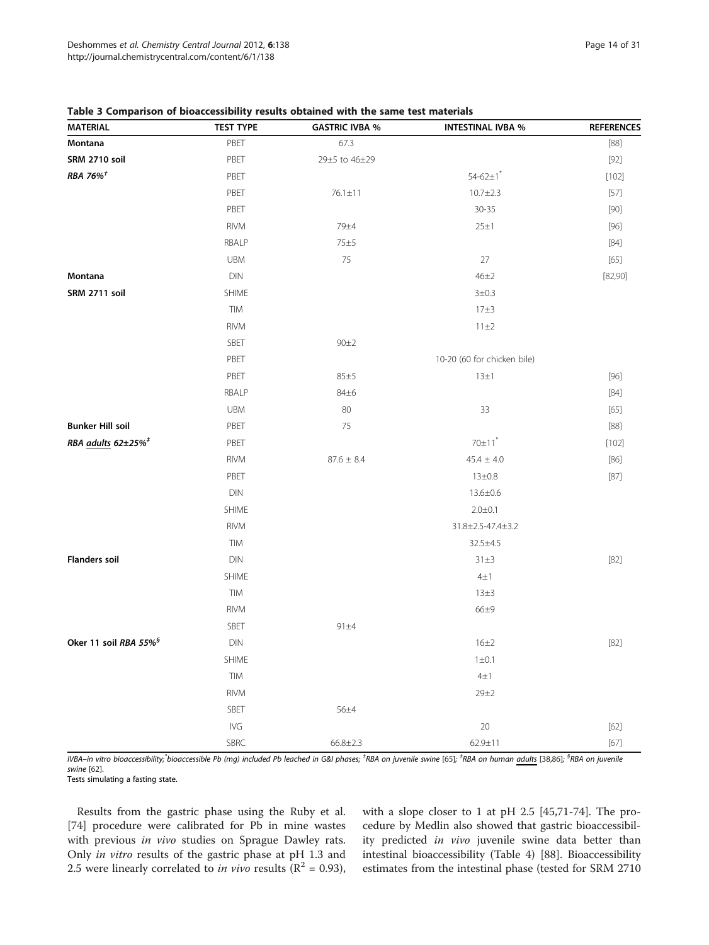| <b>MATERIAL</b>                   | <sub></sub><br><b>TEST TYPE</b> | <b>GASTRIC IVBA %</b> | <b>INTESTINAL IVBA %</b>    | <b>REFERENCES</b> |
|-----------------------------------|---------------------------------|-----------------------|-----------------------------|-------------------|
| Montana                           | PBET                            | 67.3                  |                             | $[88]$            |
| SRM 2710 soil                     | PBET                            | 29±5 to 46±29         |                             | $[92]$            |
| RBA 76% $^{\dagger}$              | PBET                            |                       | $54 - 62 \pm 1$             | [102]             |
|                                   | PBET                            | $76.1 \pm 11$         | $10.7 + 2.3$                | [57]              |
|                                   | PBET                            |                       | $30 - 35$                   | $[90]$            |
|                                   | RIVM                            | 79±4                  | 25±1                        | $[96]$            |
|                                   | RBALP                           | 75±5                  |                             | $[84]$            |
|                                   | <b>UBM</b>                      | 75                    | 27                          | $[65]$            |
| Montana                           | DIN                             |                       | $46\pm2$                    | [82,90]           |
| SRM 2711 soil                     | SHIME                           |                       | 3 ± 0.3                     |                   |
|                                   | TIM                             |                       | 17±3                        |                   |
|                                   | <b>RIVM</b>                     |                       | 11±2                        |                   |
|                                   | SBET                            | 90±2                  |                             |                   |
|                                   | PBET                            |                       | 10-20 (60 for chicken bile) |                   |
|                                   | PBET                            | 85±5                  | 13±1                        | $[96]$            |
|                                   | RBALP                           | 84±6                  |                             | $[84]$            |
|                                   | UBM                             | 80                    | 33                          | $[65]$            |
| <b>Bunker Hill soil</b>           | PBET                            | 75                    |                             | $[88]$            |
| RBA adults 62±25% <sup>#</sup>    | PBET                            |                       | $70\pm11$ <sup>*</sup>      | [102]             |
|                                   | <b>RIVM</b>                     | $87.6\,\pm\,8.4$      | $45.4 \pm 4.0$              | $[86]$            |
|                                   | PBET                            |                       | $13 \pm 0.8$                | [87]              |
|                                   | DIN                             |                       | $13.6 \pm 0.6$              |                   |
|                                   | SHIME                           |                       | $2.0 \pm 0.1$               |                   |
|                                   | <b>RIVM</b>                     |                       | 31.8±2.5-47.4±3.2           |                   |
|                                   | TIM                             |                       | 32.5±4.5                    |                   |
| <b>Flanders soil</b>              | DIN                             |                       | $31\pm3$                    | $[82]$            |
|                                   | SHIME                           |                       | $4\pm1$                     |                   |
|                                   | TIM                             |                       | $13\pm3$                    |                   |
|                                   | <b>RIVM</b>                     |                       | $66\pm9$                    |                   |
|                                   | SBET                            | 91±4                  |                             |                   |
| Oker 11 soil RBA 55% <sup>§</sup> | <b>DIN</b>                      |                       | $16 + 2$                    | $[82]$            |
|                                   | SHIME                           |                       | $1 \pm 0.1$                 |                   |
|                                   | TIM                             |                       | $4\pm1$                     |                   |
|                                   | <b>RIVM</b>                     |                       | 29±2                        |                   |
|                                   | SBET                            | 56±4                  |                             |                   |
|                                   | IVG                             |                       | $20\,$                      | $[62]$            |
|                                   | SBRC                            | $66.8 \pm 2.3$        | 62.9±11                     | $[67]$            |

# <span id="page-13-0"></span>Table 3 Comparison of bioaccessibility results obtained with the same test materials

IVBA–in vitro bioaccessibility;<sup>\*</sup>bioaccessible Pb (mg) included Pb leached in G&I phases; <sup>†</sup>RBA on juvenile swine [[65\]](#page-28-0); <sup>‡</sup>RBA on human adults [\[38,](#page-27-0)[86](#page-28-0)]; <sup>\$</sup>RBA on juvenile swine [[62\]](#page-28-0).

Tests simulating a fasting state.

Results from the gastric phase using the Ruby et al. [[74\]](#page-28-0) procedure were calibrated for Pb in mine wastes with previous in vivo studies on Sprague Dawley rats. Only in vitro results of the gastric phase at pH 1.3 and 2.5 were linearly correlated to *in vivo* results ( $\mathbb{R}^2 = 0.93$ ), with a slope closer to 1 at pH 2.5 [\[45](#page-27-0)[,71](#page-28-0)-[74\]](#page-28-0). The procedure by Medlin also showed that gastric bioaccessibility predicted in vivo juvenile swine data better than intestinal bioaccessibility (Table [4\)](#page-15-0) [\[88](#page-28-0)]. Bioaccessibility estimates from the intestinal phase (tested for SRM 2710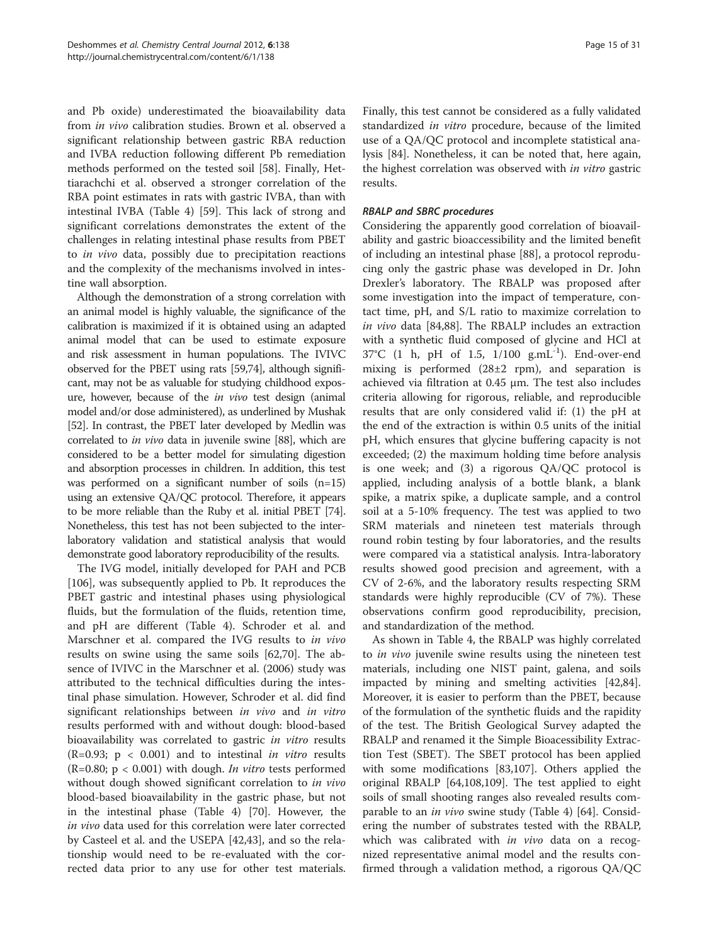and Pb oxide) underestimated the bioavailability data from in vivo calibration studies. Brown et al. observed a significant relationship between gastric RBA reduction and IVBA reduction following different Pb remediation methods performed on the tested soil [[58](#page-28-0)]. Finally, Hettiarachchi et al. observed a stronger correlation of the RBA point estimates in rats with gastric IVBA, than with intestinal IVBA (Table [4](#page-15-0)) [[59\]](#page-28-0). This lack of strong and significant correlations demonstrates the extent of the challenges in relating intestinal phase results from PBET to in vivo data, possibly due to precipitation reactions and the complexity of the mechanisms involved in intestine wall absorption.

Although the demonstration of a strong correlation with an animal model is highly valuable, the significance of the calibration is maximized if it is obtained using an adapted animal model that can be used to estimate exposure and risk assessment in human populations. The IVIVC observed for the PBET using rats [[59,74\]](#page-28-0), although significant, may not be as valuable for studying childhood exposure, however, because of the in vivo test design (animal model and/or dose administered), as underlined by Mushak [[52](#page-28-0)]. In contrast, the PBET later developed by Medlin was correlated to in vivo data in juvenile swine [[88](#page-28-0)], which are considered to be a better model for simulating digestion and absorption processes in children. In addition, this test was performed on a significant number of soils (n=15) using an extensive QA/QC protocol. Therefore, it appears to be more reliable than the Ruby et al. initial PBET [\[74](#page-28-0)]. Nonetheless, this test has not been subjected to the interlaboratory validation and statistical analysis that would demonstrate good laboratory reproducibility of the results.

The IVG model, initially developed for PAH and PCB [[106\]](#page-29-0), was subsequently applied to Pb. It reproduces the PBET gastric and intestinal phases using physiological fluids, but the formulation of the fluids, retention time, and pH are different (Table [4](#page-15-0)). Schroder et al. and Marschner et al. compared the IVG results to in vivo results on swine using the same soils [\[62,70\]](#page-28-0). The absence of IVIVC in the Marschner et al. (2006) study was attributed to the technical difficulties during the intestinal phase simulation. However, Schroder et al. did find significant relationships between in vivo and in vitro results performed with and without dough: blood-based bioavailability was correlated to gastric in vitro results  $(R=0.93; p < 0.001)$  and to intestinal *in vitro* results (R=0.80;  $p < 0.001$ ) with dough. *In vitro* tests performed without dough showed significant correlation to in vivo blood-based bioavailability in the gastric phase, but not in the intestinal phase (Table [4\)](#page-15-0) [\[70\]](#page-28-0). However, the in vivo data used for this correlation were later corrected by Casteel et al. and the USEPA [\[42,43](#page-27-0)], and so the relationship would need to be re-evaluated with the corrected data prior to any use for other test materials.

Finally, this test cannot be considered as a fully validated standardized in vitro procedure, because of the limited use of a QA/QC protocol and incomplete statistical analysis [[84\]](#page-28-0). Nonetheless, it can be noted that, here again, the highest correlation was observed with *in vitro* gastric results.

# RBALP and SBRC procedures

Considering the apparently good correlation of bioavailability and gastric bioaccessibility and the limited benefit of including an intestinal phase [\[88](#page-28-0)], a protocol reproducing only the gastric phase was developed in Dr. John Drexler's laboratory. The RBALP was proposed after some investigation into the impact of temperature, contact time, pH, and S/L ratio to maximize correlation to in vivo data [\[84,88](#page-28-0)]. The RBALP includes an extraction with a synthetic fluid composed of glycine and HCl at 37°C (1 h, pH of 1.5, 1/100 g.mL-1). End-over-end mixing is performed (28±2 rpm), and separation is achieved via filtration at 0.45 μm. The test also includes criteria allowing for rigorous, reliable, and reproducible results that are only considered valid if: (1) the pH at the end of the extraction is within 0.5 units of the initial pH, which ensures that glycine buffering capacity is not exceeded; (2) the maximum holding time before analysis is one week; and (3) a rigorous QA/QC protocol is applied, including analysis of a bottle blank, a blank spike, a matrix spike, a duplicate sample, and a control soil at a 5-10% frequency. The test was applied to two SRM materials and nineteen test materials through round robin testing by four laboratories, and the results were compared via a statistical analysis. Intra-laboratory results showed good precision and agreement, with a CV of 2-6%, and the laboratory results respecting SRM standards were highly reproducible (CV of 7%). These observations confirm good reproducibility, precision, and standardization of the method.

As shown in Table [4](#page-15-0), the RBALP was highly correlated to in vivo juvenile swine results using the nineteen test materials, including one NIST paint, galena, and soils impacted by mining and smelting activities [\[42](#page-27-0)[,84](#page-28-0)]. Moreover, it is easier to perform than the PBET, because of the formulation of the synthetic fluids and the rapidity of the test. The British Geological Survey adapted the RBALP and renamed it the Simple Bioacessibility Extraction Test (SBET). The SBET protocol has been applied with some modifications [\[83](#page-28-0)[,107](#page-29-0)]. Others applied the original RBALP [[64,](#page-28-0)[108,109\]](#page-29-0). The test applied to eight soils of small shooting ranges also revealed results comparable to an *in vivo* swine study (Table [4](#page-15-0)) [[64\]](#page-28-0). Considering the number of substrates tested with the RBALP, which was calibrated with *in vivo* data on a recognized representative animal model and the results confirmed through a validation method, a rigorous QA/QC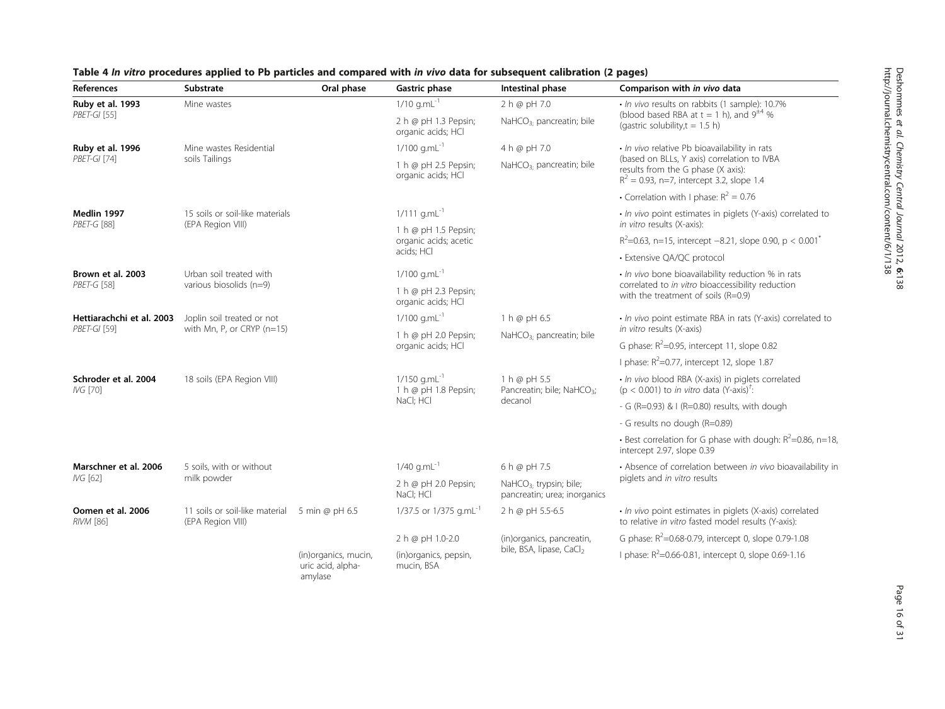| References                              | Substrate                                            | Oral phase                                           | <b>Gastric phase</b>                               | Intestinal phase                                                    | Comparison with in vivo data                                                                                                      |  |
|-----------------------------------------|------------------------------------------------------|------------------------------------------------------|----------------------------------------------------|---------------------------------------------------------------------|-----------------------------------------------------------------------------------------------------------------------------------|--|
| Ruby et al. 1993                        | Mine wastes                                          |                                                      | $1/10$ g.mL $^{-1}$                                | 2 h @ pH 7.0                                                        | · In vivo results on rabbits (1 sample): 10.7%                                                                                    |  |
| PBET-GI [55]                            |                                                      |                                                      | 2 h @ pH 1.3 Pepsin;<br>organic acids; HCl         | NaHCO <sub>3</sub> . pancreatin; bile                               | (blood based RBA at $t = 1$ h), and $9^{\pm 4}$ %<br>(gastric solubility, $t = 1.5$ h)                                            |  |
| Ruby et al. 1996                        | Mine wastes Residential                              |                                                      | $1/100$ g.mL <sup>-1</sup>                         | 4 h @ pH 7.0                                                        | · In vivo relative Pb bioavailability in rats                                                                                     |  |
| PBET-GI [74]                            | soils Tailings                                       |                                                      | 1 h @ pH 2.5 Pepsin;<br>organic acids; HCl         | NaHCO <sub>3</sub> : pancreatin; bile                               | (based on BLLs, Y axis) correlation to IVBA<br>results from the G phase (X axis):<br>$R^2 = 0.93$ , n=7, intercept 3.2, slope 1.4 |  |
|                                         |                                                      |                                                      |                                                    |                                                                     | • Correlation with I phase: $R^2 = 0.76$                                                                                          |  |
| Medlin 1997<br>PBET-G [88]              | 15 soils or soil-like materials<br>(EPA Region VIII) |                                                      | $1/111$ g.mL <sup>-1</sup>                         |                                                                     | · In vivo point estimates in piglets (Y-axis) correlated to<br>in vitro results (X-axis):                                         |  |
|                                         |                                                      |                                                      | 1 h @ pH 1.5 Pepsin;<br>organic acids; acetic      |                                                                     | $R^2$ =0.63, n=15, intercept -8.21, slope 0.90, p < 0.001 <sup>*</sup>                                                            |  |
|                                         |                                                      |                                                      | acids; HCl                                         |                                                                     | • Extensive QA/QC protocol                                                                                                        |  |
| Brown et al. 2003                       | Urban soil treated with                              |                                                      | $1/100$ g.mL <sup>-1</sup>                         |                                                                     | · In vivo bone bioavailability reduction % in rats                                                                                |  |
| <b>PBET-G [58]</b>                      | various biosolids (n=9)                              |                                                      | 1 h @ pH 2.3 Pepsin;<br>organic acids; HCl         |                                                                     | correlated to in vitro bioaccessibility reduction<br>with the treatment of soils (R=0.9)                                          |  |
| Hettiarachchi et al. 2003               | Joplin soil treated or not                           |                                                      | $1/100$ g.mL $^{-1}$                               | 1 h @ pH 6.5                                                        | • In vivo point estimate RBA in rats (Y-axis) correlated to                                                                       |  |
| PBET-GI [59]                            | with Mn, P, or CRYP $(n=15)$                         |                                                      | 1 h @ pH 2.0 Pepsin;                               | NaHCO <sub>3:</sub> pancreatin; bile                                | in vitro results (X-axis)                                                                                                         |  |
|                                         |                                                      |                                                      | organic acids; HCl                                 |                                                                     | G phase: $R^2$ =0.95, intercept 11, slope 0.82                                                                                    |  |
|                                         |                                                      |                                                      |                                                    |                                                                     | I phase: $R^2$ =0.77, intercept 12, slope 1.87                                                                                    |  |
| Schroder et al. 2004<br><b>IVG [70]</b> | 18 soils (EPA Region VIII)                           |                                                      | $1/150$ g.mL <sup>-1</sup><br>1 h @ pH 1.8 Pepsin; | 1 h @ pH 5.5<br>Pancreatin; bile; NaHCO <sub>3</sub> ;<br>decanol   | · In vivo blood RBA (X-axis) in piglets correlated<br>( $p < 0.001$ ) to <i>in vitro</i> data (Y-axis) <sup>†</sup> :             |  |
|                                         |                                                      |                                                      | NaCl; HCl                                          |                                                                     | - G (R=0.93) & I (R=0.80) results, with dough                                                                                     |  |
|                                         |                                                      |                                                      |                                                    |                                                                     | - G results no dough (R=0.89)                                                                                                     |  |
|                                         |                                                      |                                                      |                                                    |                                                                     | • Best correlation for G phase with dough: $R^2$ =0.86, n=18,<br>intercept 2.97, slope 0.39                                       |  |
| Marschner et al. 2006                   | 5 soils, with or without                             |                                                      | $1/40$ g.mL $^{-1}$                                | 6 h @ pH 7.5                                                        | • Absence of correlation between in vivo bioavailability in                                                                       |  |
| IVG [62]                                | milk powder                                          |                                                      | 2 h @ pH 2.0 Pepsin;<br>NaCl; HCl                  | NaHCO <sub>3</sub> , trypsin; bile;<br>pancreatin; urea; inorganics | piglets and in vitro results                                                                                                      |  |
| Oomen et al. 2006<br>RIVM [86]          | 11 soils or soil-like material<br>(EPA Region VIII)  | 5 min @ pH 6.5                                       | 1/37.5 or 1/375 g.mL <sup>-1</sup>                 | 2 h @ pH 5.5-6.5                                                    | · In vivo point estimates in piglets (X-axis) correlated<br>to relative in vitro fasted model results (Y-axis):                   |  |
|                                         |                                                      |                                                      | 2 h @ pH 1.0-2.0                                   | (in)organics, pancreatin,                                           | G phase: $R^2$ =0.68-0.79, intercept 0, slope 0.79-1.08                                                                           |  |
|                                         |                                                      | (in)organics, mucin,<br>uric acid, alpha-<br>amylase | (in)organics, pepsin,<br>mucin, BSA                | bile, BSA, lipase, CaCl <sub>2</sub>                                | I phase: $R^2$ =0.66-0.81, intercept 0, slope 0.69-1.16                                                                           |  |

# <span id="page-15-0"></span>Table 4 In vitro procedures applied to Pb particles and compared with in vivo data for subsequent calibration (2 pages)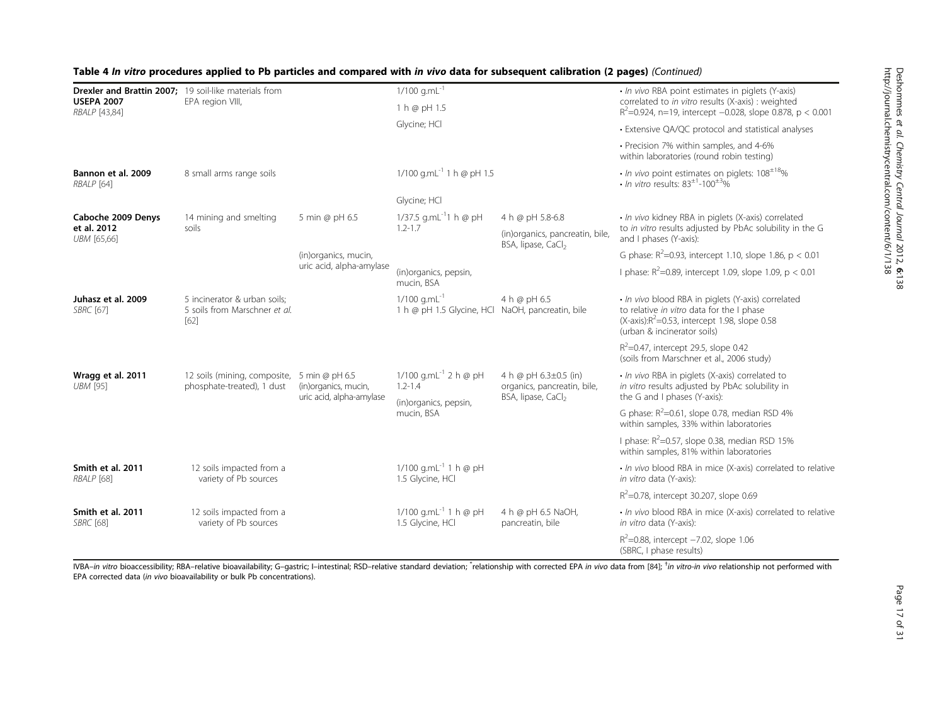| Drexler and Brattin 2007; 19 soil-like materials from<br><b>USEPA 2007</b> | EPA region VIII,                                                          |                          | $1/100$ g.mL $^{-1}$<br>1 h @ pH 1.5                                           |                                                                                        | · In vivo RBA point estimates in piglets (Y-axis)<br>correlated to in vitro results (X-axis) : weighted                                                                             |  |
|----------------------------------------------------------------------------|---------------------------------------------------------------------------|--------------------------|--------------------------------------------------------------------------------|----------------------------------------------------------------------------------------|-------------------------------------------------------------------------------------------------------------------------------------------------------------------------------------|--|
| RBALP [43,84]                                                              |                                                                           |                          |                                                                                |                                                                                        | $R^2$ =0.924, n=19, intercept -0.028, slope 0.878, p < 0.001                                                                                                                        |  |
|                                                                            |                                                                           |                          | Glycine; HCl                                                                   |                                                                                        | • Extensive QA/QC protocol and statistical analyses                                                                                                                                 |  |
|                                                                            |                                                                           |                          |                                                                                |                                                                                        | • Precision 7% within samples, and 4-6%<br>within laboratories (round robin testing)                                                                                                |  |
| Bannon et al. 2009<br>RBALP [64]                                           | 8 small arms range soils                                                  |                          | 1/100 g.mL <sup>-1</sup> 1 h @ pH 1.5                                          |                                                                                        | $\cdot$ In vivo point estimates on piglets: 108 $^{\pm 18}$ %<br>• In vitro results: $83^{\pm1}$ -100 <sup><math>\pm3</math></sup> %                                                |  |
|                                                                            |                                                                           |                          | Glycine; HCl                                                                   |                                                                                        |                                                                                                                                                                                     |  |
| Caboche 2009 Denys                                                         | 14 mining and smelting                                                    | 5 min @ pH 6.5           | 1/37.5 g.mL <sup>-1</sup> 1 h @ pH                                             | 4 h @ pH 5.8-6.8                                                                       | · In vivo kidney RBA in piglets (X-axis) correlated                                                                                                                                 |  |
| et al. 2012<br>UBM [65,66]                                                 | soils                                                                     |                          | $1.2 - 1.7$                                                                    | (in)organics, pancreatin, bile,<br>BSA, lipase, CaCl <sub>2</sub>                      | to in vitro results adjusted by PbAc solubility in the G<br>and I phases (Y-axis):                                                                                                  |  |
|                                                                            |                                                                           | (in)organics, mucin,     |                                                                                |                                                                                        | G phase: $R^2$ =0.93, intercept 1.10, slope 1.86, p < 0.01                                                                                                                          |  |
|                                                                            |                                                                           | uric acid, alpha-amylase | (in)organics, pepsin,<br>mucin, BSA                                            |                                                                                        | I phase: $R^2$ =0.89, intercept 1.09, slope 1.09, p < 0.01                                                                                                                          |  |
| Juhasz et al. 2009<br><b>SBRC</b> [67]                                     | 5 incinerator & urban soils;<br>5 soils from Marschner et al.<br>$[62]$   |                          | $1/100$ g.mL <sup>-1</sup><br>1 h @ pH 1.5 Glycine, HCl NaOH, pancreatin, bile | 4 h @ pH 6.5                                                                           | · In vivo blood RBA in piglets (Y-axis) correlated<br>to relative in vitro data for the I phase<br>(X-axis): $R^2$ =0.53, intercept 1.98, slope 0.58<br>(urban & incinerator soils) |  |
|                                                                            |                                                                           |                          |                                                                                |                                                                                        | $R^2$ =0.47, intercept 29.5, slope 0.42<br>(soils from Marschner et al., 2006 study)                                                                                                |  |
| Wragg et al. 2011<br><b>UBM [95]</b>                                       | 12 soils (mining, composite, 5 min @ pH 6.5<br>phosphate-treated), 1 dust | (in)organics, mucin,     | 1/100 g.mL <sup>-1</sup> 2 h @ pH<br>$1.2 - 1.4$                               | 4 h @ pH 6.3±0.5 (in)<br>organics, pancreatin, bile,<br>BSA, lipase, CaCl <sub>2</sub> | · In vivo RBA in piglets (X-axis) correlated to<br>in vitro results adjusted by PbAc solubility in                                                                                  |  |
|                                                                            |                                                                           | uric acid, alpha-amylase | (in)organics, pepsin,                                                          |                                                                                        | the G and I phases (Y-axis):                                                                                                                                                        |  |
|                                                                            |                                                                           |                          | mucin, BSA                                                                     |                                                                                        | G phase: $R^2$ =0.61, slope 0.78, median RSD 4%<br>within samples, 33% within laboratories                                                                                          |  |
|                                                                            |                                                                           |                          |                                                                                |                                                                                        | I phase: $R^2$ =0.57, slope 0.38, median RSD 15%<br>within samples, 81% within laboratories                                                                                         |  |
| Smith et al. 2011<br>RBALP [68]                                            | 12 soils impacted from a<br>variety of Pb sources                         |                          | 1/100 g.mL $^{-1}$ 1 h @ pH<br>1.5 Glycine, HCl                                |                                                                                        | · In vivo blood RBA in mice (X-axis) correlated to relative<br>in vitro data (Y-axis):                                                                                              |  |
|                                                                            |                                                                           |                          |                                                                                |                                                                                        | $R^2$ =0.78, intercept 30.207, slope 0.69                                                                                                                                           |  |
| Smith et al. 2011<br><b>SBRC</b> [68]                                      | 12 soils impacted from a<br>variety of Pb sources                         |                          | 1/100 g.mL <sup>-1</sup> 1 h @ pH<br>1.5 Glycine, HCl                          | 4 h @ pH 6.5 NaOH,<br>pancreatin, bile                                                 | · In vivo blood RBA in mice (X-axis) correlated to relative<br>in vitro data (Y-axis):                                                                                              |  |
|                                                                            |                                                                           |                          |                                                                                |                                                                                        | $R^2$ =0.88, intercept -7.02, slope 1.06<br>(SBRC, I phase results)                                                                                                                 |  |

Table 4 In vitro procedures applied to Pb particles and compared with in vivo data for subsequent calibration (2 pages) (Continued)

IVBA-in vitro bioaccessibility; RBA-relative bioavailability; G-gastric; I-intestinal; RSD-relative standard deviation; "relationship with corrected EPA in vivo data from [[84\]](#page-28-0); <sup>†</sup>in vitro-in vivo relationship not performe EPA corrected data (in vivo bioavailability or bulk Pb concentrations).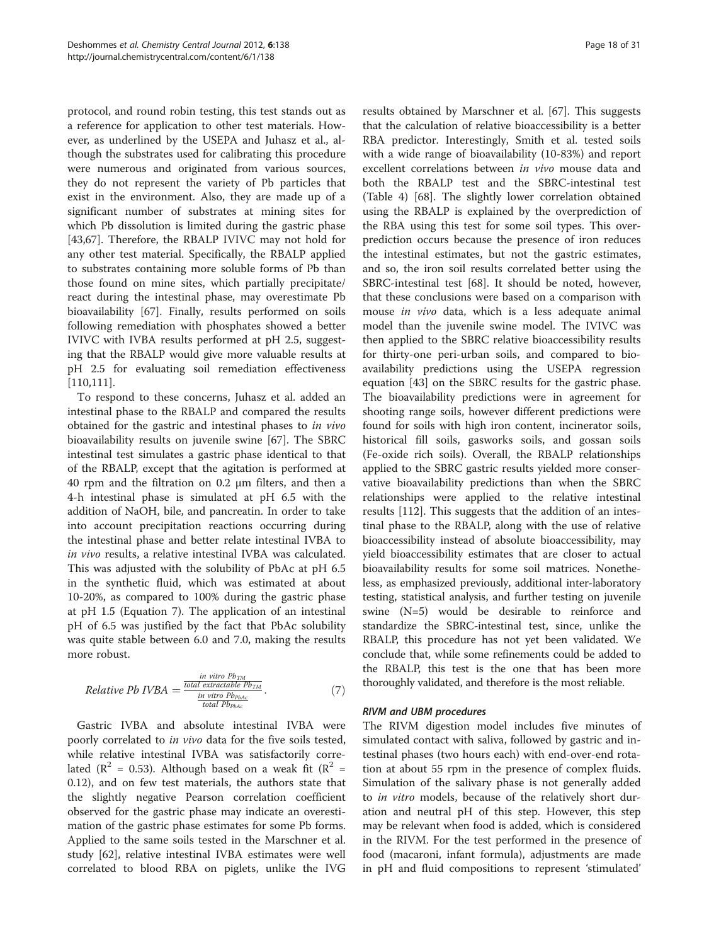protocol, and round robin testing, this test stands out as a reference for application to other test materials. However, as underlined by the USEPA and Juhasz et al., although the substrates used for calibrating this procedure were numerous and originated from various sources, they do not represent the variety of Pb particles that exist in the environment. Also, they are made up of a significant number of substrates at mining sites for which Pb dissolution is limited during the gastric phase [[43,](#page-27-0)[67\]](#page-28-0). Therefore, the RBALP IVIVC may not hold for any other test material. Specifically, the RBALP applied to substrates containing more soluble forms of Pb than those found on mine sites, which partially precipitate/ react during the intestinal phase, may overestimate Pb bioavailability [\[67\]](#page-28-0). Finally, results performed on soils following remediation with phosphates showed a better IVIVC with IVBA results performed at pH 2.5, suggesting that the RBALP would give more valuable results at pH 2.5 for evaluating soil remediation effectiveness [[110,111](#page-29-0)].

To respond to these concerns, Juhasz et al. added an intestinal phase to the RBALP and compared the results obtained for the gastric and intestinal phases to in vivo bioavailability results on juvenile swine [[67\]](#page-28-0). The SBRC intestinal test simulates a gastric phase identical to that of the RBALP, except that the agitation is performed at 40 rpm and the filtration on 0.2 μm filters, and then a 4-h intestinal phase is simulated at pH 6.5 with the addition of NaOH, bile, and pancreatin. In order to take into account precipitation reactions occurring during the intestinal phase and better relate intestinal IVBA to in vivo results, a relative intestinal IVBA was calculated. This was adjusted with the solubility of PbAc at pH 6.5 in the synthetic fluid, which was estimated at about 10-20%, as compared to 100% during the gastric phase at pH 1.5 (Equation 7). The application of an intestinal pH of 6.5 was justified by the fact that PbAc solubility was quite stable between 6.0 and 7.0, making the results more robust.

$$
Relative Pb IVBA = \frac{\frac{\text{in vitro } Pb_{TM}}{\text{total } \text{extractable } Pb_{TM}}}{\frac{\text{in vitro } Pb_{PbAC}}{\text{total } Pb_{PbAc}}}.
$$
\n(7)

Gastric IVBA and absolute intestinal IVBA were poorly correlated to in vivo data for the five soils tested, while relative intestinal IVBA was satisfactorily correlated ( $\mathbb{R}^2$  = 0.53). Although based on a weak fit ( $\mathbb{R}^2$  = 0.12), and on few test materials, the authors state that the slightly negative Pearson correlation coefficient observed for the gastric phase may indicate an overestimation of the gastric phase estimates for some Pb forms. Applied to the same soils tested in the Marschner et al. study [\[62\]](#page-28-0), relative intestinal IVBA estimates were well correlated to blood RBA on piglets, unlike the IVG

results obtained by Marschner et al. [[67\]](#page-28-0). This suggests that the calculation of relative bioaccessibility is a better RBA predictor. Interestingly, Smith et al. tested soils with a wide range of bioavailability (10-83%) and report excellent correlations between in vivo mouse data and both the RBALP test and the SBRC-intestinal test (Table [4\)](#page-15-0) [\[68](#page-28-0)]. The slightly lower correlation obtained using the RBALP is explained by the overprediction of the RBA using this test for some soil types. This overprediction occurs because the presence of iron reduces the intestinal estimates, but not the gastric estimates, and so, the iron soil results correlated better using the SBRC-intestinal test [\[68\]](#page-28-0). It should be noted, however, that these conclusions were based on a comparison with mouse in vivo data, which is a less adequate animal model than the juvenile swine model. The IVIVC was then applied to the SBRC relative bioaccessibility results for thirty-one peri-urban soils, and compared to bioavailability predictions using the USEPA regression equation [[43\]](#page-27-0) on the SBRC results for the gastric phase. The bioavailability predictions were in agreement for shooting range soils, however different predictions were found for soils with high iron content, incinerator soils, historical fill soils, gasworks soils, and gossan soils (Fe-oxide rich soils). Overall, the RBALP relationships applied to the SBRC gastric results yielded more conservative bioavailability predictions than when the SBRC relationships were applied to the relative intestinal results [[112\]](#page-29-0). This suggests that the addition of an intestinal phase to the RBALP, along with the use of relative bioaccessibility instead of absolute bioaccessibility, may yield bioaccessibility estimates that are closer to actual bioavailability results for some soil matrices. Nonetheless, as emphasized previously, additional inter-laboratory testing, statistical analysis, and further testing on juvenile swine (N=5) would be desirable to reinforce and standardize the SBRC-intestinal test, since, unlike the RBALP, this procedure has not yet been validated. We conclude that, while some refinements could be added to the RBALP, this test is the one that has been more thoroughly validated, and therefore is the most reliable.

### RIVM and UBM procedures

The RIVM digestion model includes five minutes of simulated contact with saliva, followed by gastric and intestinal phases (two hours each) with end-over-end rotation at about 55 rpm in the presence of complex fluids. Simulation of the salivary phase is not generally added to in vitro models, because of the relatively short duration and neutral pH of this step. However, this step may be relevant when food is added, which is considered in the RIVM. For the test performed in the presence of food (macaroni, infant formula), adjustments are made in pH and fluid compositions to represent 'stimulated'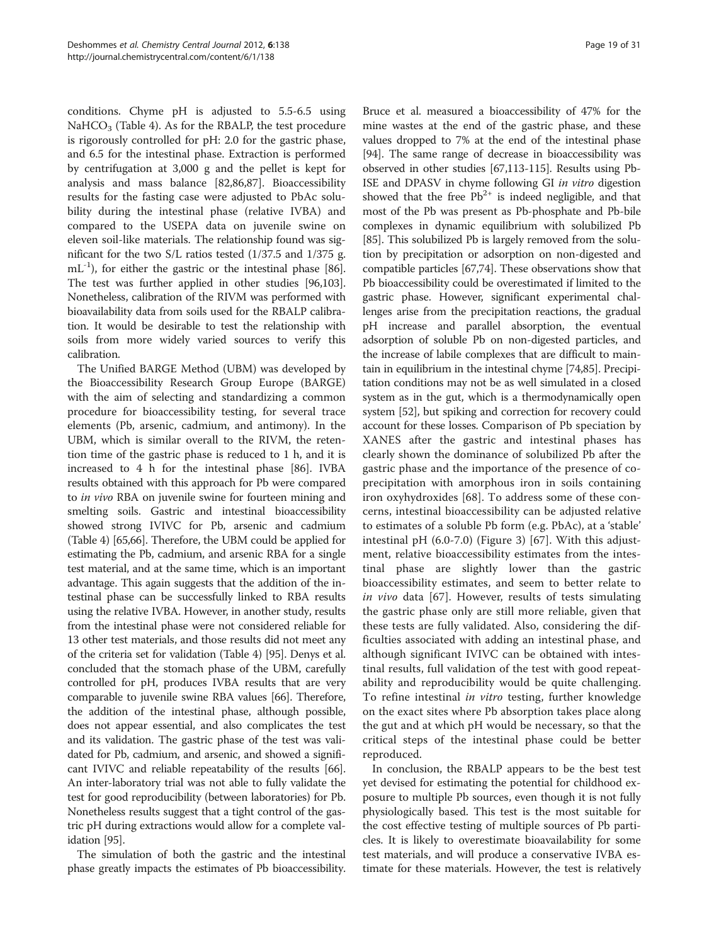conditions. Chyme pH is adjusted to 5.5-6.5 using NaHCO<sub>3</sub> (Table [4](#page-15-0)). As for the RBALP, the test procedure is rigorously controlled for pH: 2.0 for the gastric phase, and 6.5 for the intestinal phase. Extraction is performed by centrifugation at 3,000 g and the pellet is kept for analysis and mass balance [\[82,86,87](#page-28-0)]. Bioaccessibility results for the fasting case were adjusted to PbAc solubility during the intestinal phase (relative IVBA) and compared to the USEPA data on juvenile swine on eleven soil-like materials. The relationship found was significant for the two S/L ratios tested (1/37.5 and 1/375 g.  $mL^{-1}$ ), for either the gastric or the intestinal phase [[86](#page-28-0)]. The test was further applied in other studies [\[96,103](#page-29-0)]. Nonetheless, calibration of the RIVM was performed with bioavailability data from soils used for the RBALP calibration. It would be desirable to test the relationship with soils from more widely varied sources to verify this calibration.

The Unified BARGE Method (UBM) was developed by the Bioaccessibility Research Group Europe (BARGE) with the aim of selecting and standardizing a common procedure for bioaccessibility testing, for several trace elements (Pb, arsenic, cadmium, and antimony). In the UBM, which is similar overall to the RIVM, the retention time of the gastric phase is reduced to 1 h, and it is increased to 4 h for the intestinal phase [\[86](#page-28-0)]. IVBA results obtained with this approach for Pb were compared to in vivo RBA on juvenile swine for fourteen mining and smelting soils. Gastric and intestinal bioaccessibility showed strong IVIVC for Pb, arsenic and cadmium (Table [4](#page-15-0)) [[65,66](#page-28-0)]. Therefore, the UBM could be applied for estimating the Pb, cadmium, and arsenic RBA for a single test material, and at the same time, which is an important advantage. This again suggests that the addition of the intestinal phase can be successfully linked to RBA results using the relative IVBA. However, in another study, results from the intestinal phase were not considered reliable for 13 other test materials, and those results did not meet any of the criteria set for validation (Table [4](#page-15-0)) [\[95\]](#page-29-0). Denys et al. concluded that the stomach phase of the UBM, carefully controlled for pH, produces IVBA results that are very comparable to juvenile swine RBA values [[66](#page-28-0)]. Therefore, the addition of the intestinal phase, although possible, does not appear essential, and also complicates the test and its validation. The gastric phase of the test was validated for Pb, cadmium, and arsenic, and showed a significant IVIVC and reliable repeatability of the results [[66](#page-28-0)]. An inter-laboratory trial was not able to fully validate the test for good reproducibility (between laboratories) for Pb. Nonetheless results suggest that a tight control of the gastric pH during extractions would allow for a complete validation [\[95\]](#page-29-0).

The simulation of both the gastric and the intestinal phase greatly impacts the estimates of Pb bioaccessibility.

Bruce et al. measured a bioaccessibility of 47% for the mine wastes at the end of the gastric phase, and these values dropped to 7% at the end of the intestinal phase [[94](#page-29-0)]. The same range of decrease in bioaccessibility was observed in other studies [[67](#page-28-0)[,113-115\]](#page-29-0). Results using Pb-ISE and DPASV in chyme following GI in vitro digestion showed that the free  $Pb^{2+}$  is indeed negligible, and that most of the Pb was present as Pb-phosphate and Pb-bile complexes in dynamic equilibrium with solubilized Pb [[85](#page-28-0)]. This solubilized Pb is largely removed from the solution by precipitation or adsorption on non-digested and compatible particles [[67,74\]](#page-28-0). These observations show that Pb bioaccessibility could be overestimated if limited to the gastric phase. However, significant experimental challenges arise from the precipitation reactions, the gradual pH increase and parallel absorption, the eventual adsorption of soluble Pb on non-digested particles, and the increase of labile complexes that are difficult to maintain in equilibrium in the intestinal chyme [\[74,85\]](#page-28-0). Precipitation conditions may not be as well simulated in a closed system as in the gut, which is a thermodynamically open system [[52\]](#page-28-0), but spiking and correction for recovery could account for these losses. Comparison of Pb speciation by XANES after the gastric and intestinal phases has clearly shown the dominance of solubilized Pb after the gastric phase and the importance of the presence of coprecipitation with amorphous iron in soils containing iron oxyhydroxides [\[68](#page-28-0)]. To address some of these concerns, intestinal bioaccessibility can be adjusted relative to estimates of a soluble Pb form (e.g. PbAc), at a 'stable' intestinal pH (6.0-7.0) (Figure [3\)](#page-10-0) [\[67](#page-28-0)]. With this adjustment, relative bioaccessibility estimates from the intestinal phase are slightly lower than the gastric bioaccessibility estimates, and seem to better relate to in vivo data [[67\]](#page-28-0). However, results of tests simulating the gastric phase only are still more reliable, given that these tests are fully validated. Also, considering the difficulties associated with adding an intestinal phase, and although significant IVIVC can be obtained with intestinal results, full validation of the test with good repeatability and reproducibility would be quite challenging. To refine intestinal in vitro testing, further knowledge on the exact sites where Pb absorption takes place along the gut and at which pH would be necessary, so that the critical steps of the intestinal phase could be better reproduced.

In conclusion, the RBALP appears to be the best test yet devised for estimating the potential for childhood exposure to multiple Pb sources, even though it is not fully physiologically based. This test is the most suitable for the cost effective testing of multiple sources of Pb particles. It is likely to overestimate bioavailability for some test materials, and will produce a conservative IVBA estimate for these materials. However, the test is relatively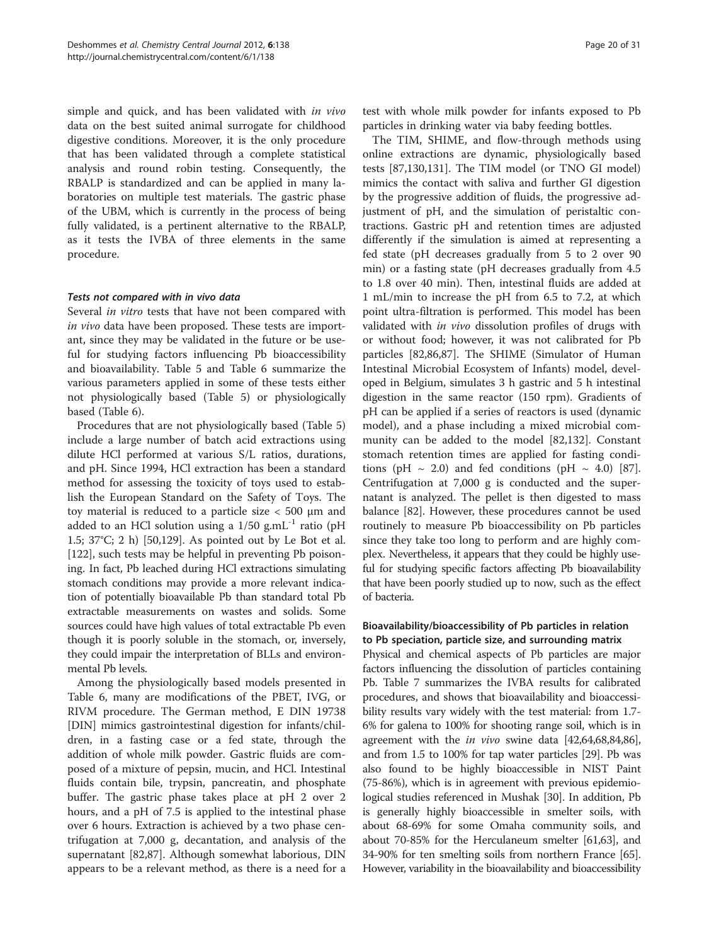simple and quick, and has been validated with in vivo data on the best suited animal surrogate for childhood digestive conditions. Moreover, it is the only procedure that has been validated through a complete statistical analysis and round robin testing. Consequently, the RBALP is standardized and can be applied in many laboratories on multiple test materials. The gastric phase of the UBM, which is currently in the process of being fully validated, is a pertinent alternative to the RBALP, as it tests the IVBA of three elements in the same procedure.

# Tests not compared with in vivo data

Several *in vitro* tests that have not been compared with in vivo data have been proposed. These tests are important, since they may be validated in the future or be useful for studying factors influencing Pb bioaccessibility and bioavailability. Table [5](#page-20-0) and Table [6](#page-21-0) summarize the various parameters applied in some of these tests either not physiologically based (Table [5](#page-20-0)) or physiologically based (Table [6\)](#page-21-0).

Procedures that are not physiologically based (Table [5](#page-20-0)) include a large number of batch acid extractions using dilute HCl performed at various S/L ratios, durations, and pH. Since 1994, HCl extraction has been a standard method for assessing the toxicity of toys used to establish the European Standard on the Safety of Toys. The toy material is reduced to a particle size < 500 μm and added to an HCl solution using a  $1/50$  g.mL<sup>-1</sup> ratio (pH 1.5; 37°C; 2 h) [\[50](#page-28-0)[,129](#page-29-0)]. As pointed out by Le Bot et al. [[122\]](#page-29-0), such tests may be helpful in preventing Pb poisoning. In fact, Pb leached during HCl extractions simulating stomach conditions may provide a more relevant indication of potentially bioavailable Pb than standard total Pb extractable measurements on wastes and solids. Some sources could have high values of total extractable Pb even though it is poorly soluble in the stomach, or, inversely, they could impair the interpretation of BLLs and environmental Pb levels.

Among the physiologically based models presented in Table [6](#page-21-0), many are modifications of the PBET, IVG, or RIVM procedure. The German method, E DIN 19738 [DIN] mimics gastrointestinal digestion for infants/children, in a fasting case or a fed state, through the addition of whole milk powder. Gastric fluids are composed of a mixture of pepsin, mucin, and HCl. Intestinal fluids contain bile, trypsin, pancreatin, and phosphate buffer. The gastric phase takes place at pH 2 over 2 hours, and a pH of 7.5 is applied to the intestinal phase over 6 hours. Extraction is achieved by a two phase centrifugation at 7,000 g, decantation, and analysis of the supernatant [[82,87\]](#page-28-0). Although somewhat laborious, DIN appears to be a relevant method, as there is a need for a

test with whole milk powder for infants exposed to Pb particles in drinking water via baby feeding bottles.

The TIM, SHIME, and flow-through methods using online extractions are dynamic, physiologically based tests [\[87,](#page-28-0)[130,131\]](#page-29-0). The TIM model (or TNO GI model) mimics the contact with saliva and further GI digestion by the progressive addition of fluids, the progressive adjustment of pH, and the simulation of peristaltic contractions. Gastric pH and retention times are adjusted differently if the simulation is aimed at representing a fed state (pH decreases gradually from 5 to 2 over 90 min) or a fasting state (pH decreases gradually from 4.5 to 1.8 over 40 min). Then, intestinal fluids are added at 1 mL/min to increase the pH from 6.5 to 7.2, at which point ultra-filtration is performed. This model has been validated with in vivo dissolution profiles of drugs with or without food; however, it was not calibrated for Pb particles [[82,86,87\]](#page-28-0). The SHIME (Simulator of Human Intestinal Microbial Ecosystem of Infants) model, developed in Belgium, simulates 3 h gastric and 5 h intestinal digestion in the same reactor (150 rpm). Gradients of pH can be applied if a series of reactors is used (dynamic model), and a phase including a mixed microbial community can be added to the model [[82,](#page-28-0)[132](#page-29-0)]. Constant stomach retention times are applied for fasting conditions (pH  $\sim$  2.0) and fed conditions (pH  $\sim$  4.0) [\[87](#page-28-0)]. Centrifugation at 7,000 g is conducted and the supernatant is analyzed. The pellet is then digested to mass balance [\[82\]](#page-28-0). However, these procedures cannot be used routinely to measure Pb bioaccessibility on Pb particles since they take too long to perform and are highly complex. Nevertheless, it appears that they could be highly useful for studying specific factors affecting Pb bioavailability that have been poorly studied up to now, such as the effect of bacteria.

# Bioavailability/bioaccessibility of Pb particles in relation to Pb speciation, particle size, and surrounding matrix

Physical and chemical aspects of Pb particles are major factors influencing the dissolution of particles containing Pb. Table [7](#page-23-0) summarizes the IVBA results for calibrated procedures, and shows that bioavailability and bioaccessibility results vary widely with the test material: from 1.7- 6% for galena to 100% for shooting range soil, which is in agreement with the *in vivo* swine data [\[42,](#page-27-0)[64,68,84,86](#page-28-0)], and from 1.5 to 100% for tap water particles [[29](#page-27-0)]. Pb was also found to be highly bioaccessible in NIST Paint (75-86%), which is in agreement with previous epidemiological studies referenced in Mushak [[30](#page-27-0)]. In addition, Pb is generally highly bioaccessible in smelter soils, with about 68-69% for some Omaha community soils, and about 70-85% for the Herculaneum smelter [\[61,63](#page-28-0)], and 34-90% for ten smelting soils from northern France [[65](#page-28-0)]. However, variability in the bioavailability and bioaccessibility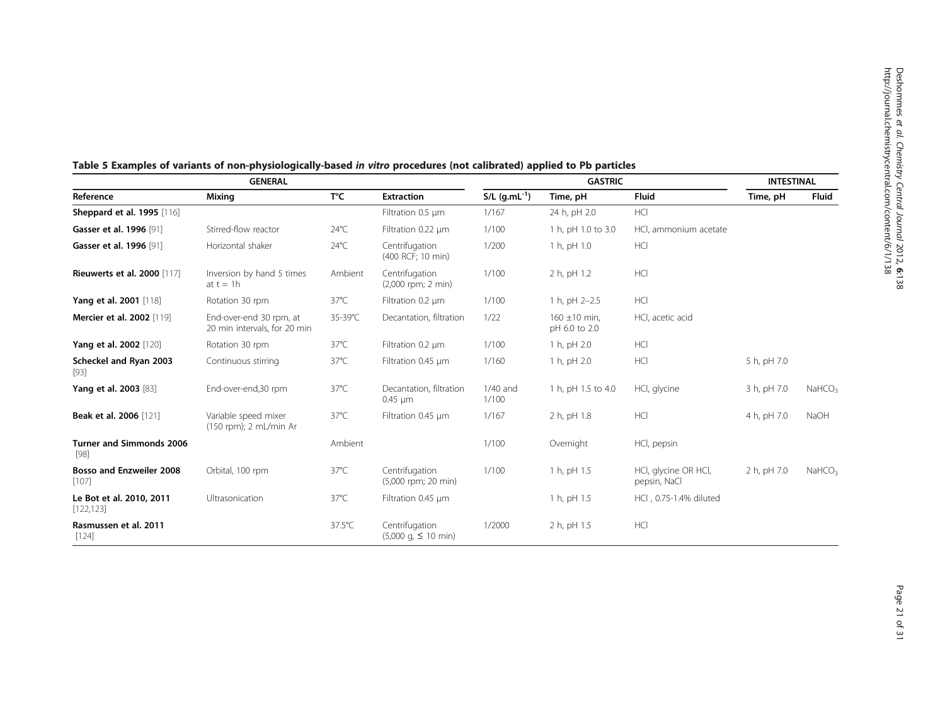| <b>GENERAL</b>                          |                                                         |                |                                                         | <b>GASTRIC</b>              |                                    |                                      | <b>INTESTINAL</b> |                       |
|-----------------------------------------|---------------------------------------------------------|----------------|---------------------------------------------------------|-----------------------------|------------------------------------|--------------------------------------|-------------------|-----------------------|
| Reference                               | Mixing                                                  | T°C            | <b>Extraction</b>                                       | $S/L$ (g.mL <sup>-1</sup> ) | Time, pH                           | <b>Fluid</b>                         | Time, pH          | <b>Fluid</b>          |
| <b>Sheppard et al. 1995</b> [116]       |                                                         |                | Filtration 0.5 µm                                       | 1/167                       | 24 h, pH 2.0                       | <b>HCI</b>                           |                   |                       |
| Gasser et al. 1996 [91]                 | Stirred-flow reactor                                    | $24^{\circ}$ C | Filtration 0.22 um                                      | 1/100                       | 1 h, pH 1.0 to 3.0                 | HCl, ammonium acetate                |                   |                       |
| Gasser et al. 1996 [91]                 | Horizontal shaker                                       | $24^{\circ}$ C | Centrifugation<br>(400 RCF; 10 min)                     | 1/200                       | 1 h, pH 1.0                        | HCI                                  |                   |                       |
| <b>Rieuwerts et al. 2000</b> [117]      | Inversion by hand 5 times<br>at $t = 1h$                | Ambient        | Centrifugation<br>$(2,000$ rpm; 2 min)                  | 1/100                       | 2 h, pH 1.2                        | HCI                                  |                   |                       |
| Yang et al. 2001 [118]                  | Rotation 30 rpm                                         | $37^{\circ}$ C | Filtration 0.2 µm                                       | 1/100                       | 1 h, pH 2-2.5                      | HCI                                  |                   |                       |
| Mercier et al. 2002 [119]               | End-over-end 30 rpm, at<br>20 min intervals, for 20 min | 35-39°C        | Decantation, filtration                                 | 1/22                        | $160 \pm 10$ min.<br>pH 6.0 to 2.0 | HCl, acetic acid                     |                   |                       |
| Yang et al. 2002 [120]                  | Rotation 30 rpm                                         | $37^{\circ}$ C | Filtration 0.2 µm                                       | 1/100                       | 1 h, pH 2.0                        | <b>HCI</b>                           |                   |                       |
| Scheckel and Ryan 2003<br>$[93]$        | Continuous stirring                                     | $37^{\circ}$ C | Filtration 0.45 um                                      | 1/160                       | 1 h, pH 2.0                        | HCI                                  | 5 h, pH 7.0       |                       |
| Yang et al. 2003 [83]                   | End-over-end,30 rpm                                     | $37^{\circ}$ C | Decantation, filtration<br>$0.45 \mu m$                 | $1/40$ and<br>1/100         | 1 h, pH 1.5 to 4.0                 | HCl, glycine                         | 3 h, pH 7.0       | NaHCO <sub>3</sub>    |
| Beak et al. 2006 [121]                  | Variable speed mixer<br>(150 rpm); 2 mL/min Ar          | $37^{\circ}$ C | Filtration 0.45 um                                      | 1/167                       | 2 h, pH 1.8                        | HCI                                  | 4 h, pH 7.0       | NaOH                  |
| <b>Turner and Simmonds 2006</b><br>[98] |                                                         | Ambient        |                                                         | 1/100                       | Overnight                          | HCl, pepsin                          |                   |                       |
| Bosso and Enzweiler 2008<br>$[107]$     | Orbital, 100 rpm                                        | $37^{\circ}$ C | Centrifugation<br>(5,000 rpm; 20 min)                   | 1/100                       | 1 h, pH 1.5                        | HCl, glycine OR HCl,<br>pepsin, NaCl | 2 h, pH 7.0       | $N$ aHCO <sub>3</sub> |
| Le Bot et al. 2010, 2011<br>[122, 123]  | Ultrasonication                                         | $37^{\circ}$ C | Filtration 0.45 µm                                      |                             | 1 h, pH 1.5                        | HCl, 0.75-1.4% diluted               |                   |                       |
| Rasmussen et al. 2011<br>$[124]$        |                                                         | 37.5°C         | Centrifugation<br>$(5,000 \text{ q}, 5,10 \text{ min})$ | 1/2000                      | 2 h, pH 1.5                        | HCI                                  |                   |                       |

# <span id="page-20-0"></span>Table 5 Examples of variants of non-physiologically-based in vitro procedures (not calibrated) applied to Pb particles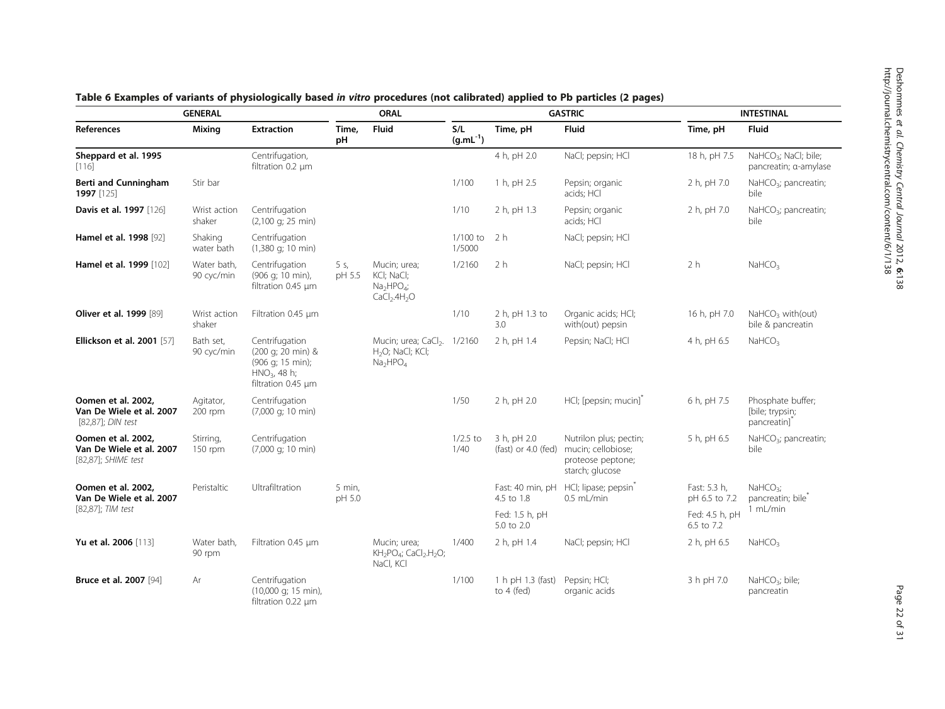| <b>GENERAL</b>                                                        |                           |                                                                                                 |                  | <b>ORAL</b>                                                                                                 | <b>GASTRIC</b>                                |                                      |                                                                                      | <b>INTESTINAL</b>             |                                                                  |
|-----------------------------------------------------------------------|---------------------------|-------------------------------------------------------------------------------------------------|------------------|-------------------------------------------------------------------------------------------------------------|-----------------------------------------------|--------------------------------------|--------------------------------------------------------------------------------------|-------------------------------|------------------------------------------------------------------|
| <b>References</b>                                                     | <b>Mixing</b>             | <b>Extraction</b>                                                                               | Time,<br>рH      | <b>Fluid</b>                                                                                                | S/L<br>$(\mathsf{g}.\mathsf{mL}^{\text{-1}})$ | Time, pH                             | <b>Fluid</b>                                                                         | Time, pH                      | <b>Fluid</b>                                                     |
| Sheppard et al. 1995<br>[116]                                         |                           | Centrifugation,<br>filtration 0.2 um                                                            |                  |                                                                                                             |                                               | 4 h, pH 2.0                          | NaCl; pepsin; HCl                                                                    | 18 h, pH 7.5                  | NaHCO <sub>3</sub> ; NaCl; bile;<br>pancreatin; a-amylase        |
| <b>Berti and Cunningham</b><br>1997 [125]                             | Stir bar                  |                                                                                                 |                  |                                                                                                             | 1/100                                         | 1 h, pH 2.5                          | Pepsin; organic<br>acids; HCl                                                        | 2 h, pH 7.0                   | NaHCO <sub>3</sub> ; pancreatin;<br>bile                         |
| Davis et al. 1997 [126]                                               | Wrist action<br>shaker    | Centrifugation<br>$(2,100 \text{ q}; 25 \text{ min})$                                           |                  |                                                                                                             | 1/10                                          | 2 h, pH 1.3                          | Pepsin; organic<br>acids; HCl                                                        | 2 h, pH 7.0                   | $NaHCO3$ ; pancreatin;<br>bile                                   |
| Hamel et al. 1998 [92]                                                | Shaking<br>water bath     | Centrifugation<br>$(1,380 \text{ q}; 10 \text{ min})$                                           |                  |                                                                                                             | $1/100$ to<br>1/5000                          | 2 <sub>h</sub>                       | NaCl; pepsin; HCl                                                                    |                               |                                                                  |
| Hamel et al. 1999 [102]                                               | Water bath.<br>90 cyc/min | Centrifugation<br>(906 g; 10 min),<br>filtration 0.45 µm                                        | 5 s,<br>pH 5.5   | Mucin; urea;<br>KCI; NaCI;<br>$Na2HPO4$ ;<br>CaCl <sub>2</sub> .4H <sub>2</sub> O                           | 1/2160                                        | 2 <sub>h</sub>                       | NaCl; pepsin; HCl                                                                    | 2 <sub>h</sub>                | NaHCO <sub>3</sub>                                               |
| Oliver et al. 1999 [89]                                               | Wrist action<br>shaker    | Filtration 0.45 µm                                                                              |                  |                                                                                                             | 1/10                                          | 2 h, pH 1.3 to<br>3.0                | Organic acids; HCl;<br>with(out) pepsin                                              | 16 h, pH 7.0                  | NaHCO <sub>3</sub> with(out)<br>bile & pancreatin                |
| <b>Ellickson et al. 2001</b> [57]                                     | Bath set,<br>90 cyc/min   | Centrifugation<br>(200 g; 20 min) &<br>(906 g; 15 min);<br>$HNO3$ , 48 h;<br>filtration 0.45 µm |                  | Mucin; urea; CaCl <sub>2</sub> . 1/2160<br>H <sub>2</sub> O; NaCl; KCl;<br>Na <sub>2</sub> HPO <sub>4</sub> |                                               | 2 h, pH 1.4                          | Pepsin; NaCl; HCl                                                                    | 4 h, pH 6.5                   | NaHCO <sub>3</sub>                                               |
| Oomen et al. 2002.<br>Van De Wiele et al. 2007<br>[82,87]; DIN test   | Agitator,<br>200 rpm      | Centrifugation<br>$(7,000 \text{ q}; 10 \text{ min})$                                           |                  |                                                                                                             | 1/50                                          | 2 h, pH 2.0                          | HCl; [pepsin; mucin] <sup>*</sup>                                                    | 6 h, pH 7.5                   | Phosphate buffer;<br>[bile; trypsin;<br>pancreatin] <sup>*</sup> |
| Oomen et al. 2002,<br>Van De Wiele et al. 2007<br>[82,87]; SHIME test | Stirring,<br>$150$ rpm    | Centrifugation<br>$(7,000 \text{ q}; 10 \text{ min})$                                           |                  |                                                                                                             | $1/2.5$ to<br>1/40                            | 3 h, pH 2.0<br>(fast) or $4.0$ (fed) | Nutrilon plus; pectin;<br>mucin; cellobiose;<br>proteose peptone;<br>starch; glucose | 5 h, pH 6.5                   | NaHCO <sub>3</sub> ; pancreatin;<br>bile                         |
| Oomen et al. 2002,<br>Van De Wiele et al. 2007                        | Peristaltic               | Ultrafiltration                                                                                 | 5 min,<br>pH 5.0 |                                                                                                             |                                               | Fast: 40 min, pH<br>4.5 to 1.8       | HCI; lipase; pepsin <sup>*</sup><br>$0.5$ mL/min                                     | Fast: 5.3 h,<br>pH 6.5 to 7.2 | $NaHCO3$ ;<br>pancreatin; bile <sup>®</sup>                      |
| [82,87]; TIM test                                                     |                           |                                                                                                 |                  |                                                                                                             |                                               | Fed: 1.5 h, pH<br>5.0 to 2.0         |                                                                                      | Fed: 4.5 h, pH<br>6.5 to 7.2  | 1 mL/min                                                         |
| Yu et al. 2006 [113]                                                  | Water bath,<br>90 rpm     | Filtration 0.45 µm                                                                              |                  | Mucin; urea;<br>KH <sub>2</sub> PO <sub>4</sub> ; CaCl <sub>2</sub> .H <sub>2</sub> O;<br>NaCl, KCl         | 1/400                                         | 2 h, pH 1.4                          | NaCl; pepsin; HCl                                                                    | 2 h, pH 6.5                   | NaHCO <sub>3</sub>                                               |
| <b>Bruce et al. 2007</b> [94]                                         | Ar                        | Centrifugation<br>$(10,000 \text{ q}; 15 \text{ min})$<br>filtration 0.22 µm                    |                  |                                                                                                             | 1/100                                         | 1 h pH 1.3 (fast)<br>to 4 (fed)      | Pepsin; HCl;<br>organic acids                                                        | 3 h pH 7.0                    | NaHCO <sub>3</sub> ; bile;<br>pancreatin                         |

# <span id="page-21-0"></span>Table 6 Examples of variants of physiologically based in vitro procedures (not calibrated) applied to Pb particles (2 pages)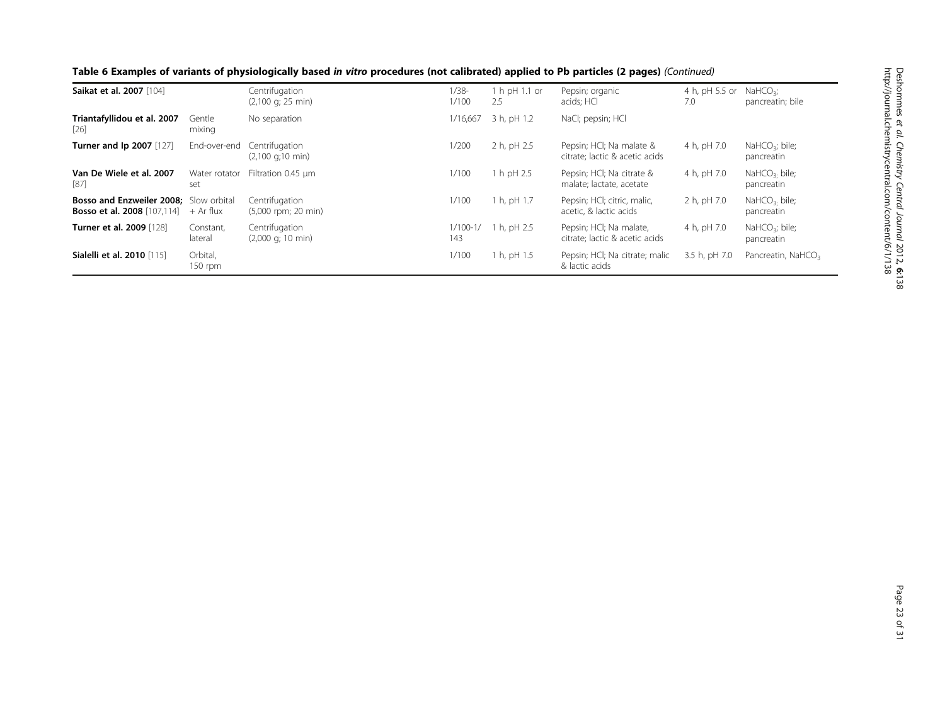| Saikat et al. 2007 [104]                                                            |                       | Centrifugation<br>$(2,100 \text{ q}; 25 \text{ min})$ | $1/38-$<br>1/100  | 1 h pH 1.1 or<br>2.5 | Pepsin; organic<br>acids; HCl                              | 4 h, pH 5.5 or<br>7.0 | NaHCO <sub>3</sub><br>pancreatin; bile   |
|-------------------------------------------------------------------------------------|-----------------------|-------------------------------------------------------|-------------------|----------------------|------------------------------------------------------------|-----------------------|------------------------------------------|
| Triantafyllidou et al. 2007<br> 26                                                  | Gentle<br>mixing      | No separation                                         | 1/16,667          | 3 h, pH 1.2          | NaCl; pepsin; HCl                                          |                       |                                          |
| <b>Turner and Ip 2007</b> [127]                                                     | End-over-end          | Centrifugation<br>$(2,100 \text{ q};10 \text{ min})$  | 1/200             | 2 h, pH 2.5          | Pepsin; HCI; Na malate &<br>citrate; lactic & acetic acids | 4 h, pH 7.0           | NaHC $O_3$ ; bile;<br>pancreatin         |
| Van De Wiele et al. 2007<br>$[87]$                                                  | Water rotator<br>set  | Filtration 0.45 µm                                    | 1/100             | 1 h pH 2.5           | Pepsin; HCI; Na citrate &<br>malate; lactate, acetate      | 4 h, pH 7.0           | NaHCO <sub>3</sub> . bile;<br>pancreatin |
| <b>Bosso and Enzweiler 2008:</b> Slow orbital<br><b>Bosso et al. 2008</b> [107,114] | + Ar flux             | Centrifugation<br>(5,000 rpm; 20 min)                 | 1/100             | 1 h, pH 1.7          | Pepsin; HCI; citric, malic,<br>acetic, & lactic acids      | 2 h, pH 7.0           | NaHCO <sub>3</sub> . bile;<br>pancreatin |
| <b>Turner et al. 2009</b> [128]                                                     | Constant,<br>lateral  | Centrifugation<br>$(2,000 \text{ q}; 10 \text{ min})$ | $1/100-1/$<br>143 | 1 h, pH 2.5          | Pepsin; HCI; Na malate,<br>citrate; lactic & acetic acids  | 4 h, pH 7.0           | NaHCO <sub>3</sub> ; bile;<br>pancreatin |
| Sialelli et al. 2010 [115]                                                          | Orbital,<br>$150$ rpm |                                                       | 1/100             | 1 h, pH 1.5          | Pepsin; HCI; Na citrate; malic<br>& lactic acids           | 3.5 h, pH 7.0         | Pancreatin, NaHCO <sub>3</sub>           |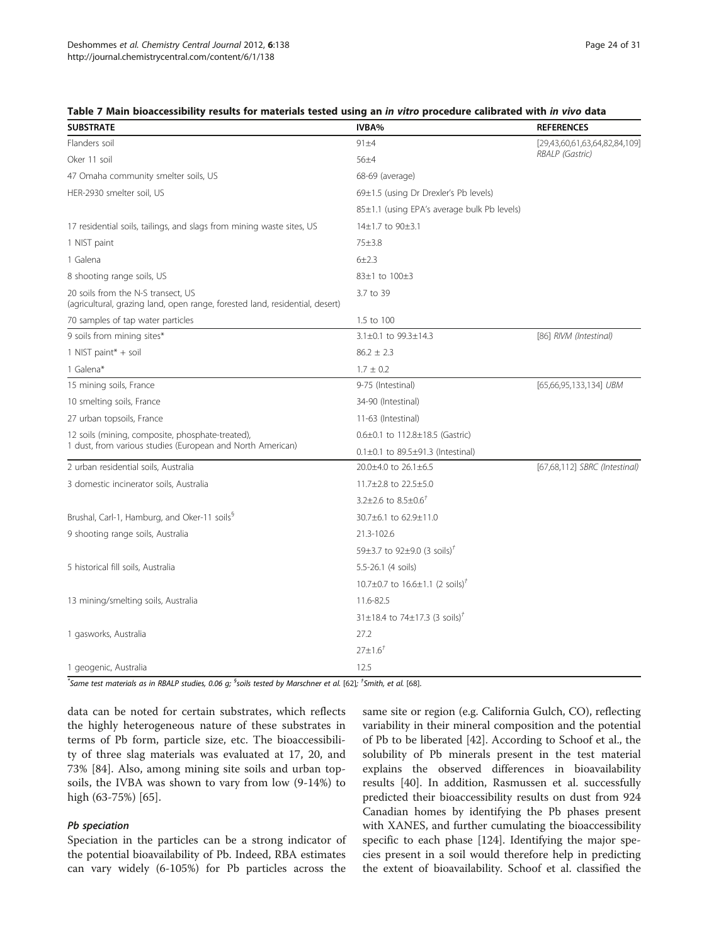| <b>SUBSTRATE</b>                                                                                                   | <b>IVBA%</b>                                      | <b>REFERENCES</b>             |  |  |
|--------------------------------------------------------------------------------------------------------------------|---------------------------------------------------|-------------------------------|--|--|
| Flanders soil                                                                                                      | $91 + 4$                                          | [29,43,60,61,63,64,82,84,109] |  |  |
| Oker 11 soil                                                                                                       | $56 + 4$                                          | RBALP (Gastric)               |  |  |
| 47 Omaha community smelter soils, US                                                                               | 68-69 (average)                                   |                               |  |  |
| HER-2930 smelter soil, US                                                                                          | 69±1.5 (using Dr Drexler's Pb levels)             |                               |  |  |
|                                                                                                                    | 85±1.1 (using EPA's average bulk Pb levels)       |                               |  |  |
| 17 residential soils, tailings, and slags from mining waste sites, US                                              | 14±1.7 to 90±3.1                                  |                               |  |  |
| 1 NIST paint                                                                                                       | $75 + 3.8$                                        |                               |  |  |
| 1 Galena                                                                                                           | $6 + 2.3$                                         |                               |  |  |
| 8 shooting range soils, US                                                                                         | 83±1 to 100±3                                     |                               |  |  |
| 20 soils from the N-S transect, US<br>(agricultural, grazing land, open range, forested land, residential, desert) | 3.7 to 39                                         |                               |  |  |
| 70 samples of tap water particles                                                                                  | 1.5 to 100                                        |                               |  |  |
| 9 soils from mining sites*                                                                                         | 3.1±0.1 to 99.3±14.3                              | [86] RIVM (Intestinal)        |  |  |
| 1 NIST paint* + soil                                                                                               | $86.2 \pm 2.3$                                    |                               |  |  |
| 1 Galena*                                                                                                          | $1.7 \pm 0.2$                                     |                               |  |  |
| 15 mining soils, France                                                                                            | 9-75 (Intestinal)                                 | [65,66,95,133,134] UBM        |  |  |
| 10 smelting soils, France                                                                                          | 34-90 (Intestinal)                                |                               |  |  |
| 27 urban topsoils, France                                                                                          | 11-63 (Intestinal)                                |                               |  |  |
| 12 soils (mining, composite, phosphate-treated),                                                                   | $0.6 \pm 0.1$ to $112.8 \pm 18.5$ (Gastric)       |                               |  |  |
| 1 dust, from various studies (European and North American)                                                         | $0.1 \pm 0.1$ to $89.5 \pm 91.3$ (Intestinal)     |                               |  |  |
| 2 urban residential soils, Australia                                                                               | 20.0±4.0 to 26.1±6.5                              | [67,68,112] SBRC (Intestinal) |  |  |
| 3 domestic incinerator soils, Australia                                                                            | 11.7±2.8 to 22.5±5.0                              |                               |  |  |
|                                                                                                                    | 3.2±2.6 to $8.5\pm0.6$ <sup>†</sup>               |                               |  |  |
| Brushal, Carl-1, Hamburg, and Oker-11 soils <sup>§</sup>                                                           | 30.7±6.1 to 62.9±11.0                             |                               |  |  |
| 9 shooting range soils, Australia                                                                                  | 21.3-102.6                                        |                               |  |  |
|                                                                                                                    | 59±3.7 to 92±9.0 (3 soils) <sup>†</sup>           |                               |  |  |
| 5 historical fill soils, Australia                                                                                 | 5.5-26.1 (4 soils)                                |                               |  |  |
|                                                                                                                    | 10.7±0.7 to $16.6 \pm 1.1$ (2 soils) <sup>†</sup> |                               |  |  |
| 13 mining/smelting soils, Australia                                                                                | 11.6-82.5                                         |                               |  |  |
|                                                                                                                    | 31±18.4 to 74±17.3 (3 soils) <sup>†</sup>         |                               |  |  |
| 1 gasworks, Australia                                                                                              | 27.2                                              |                               |  |  |
|                                                                                                                    | $27 \pm 1.6^{\dagger}$                            |                               |  |  |
| 1 geogenic, Australia                                                                                              | 12.5                                              |                               |  |  |

#### <span id="page-23-0"></span>Table 7 Main bioaccessibility results for materials tested using an in vitro procedure calibrated with in vivo data

 $^*$ Same test materials as in RBALP studies, 0.06 g;  $^{\$}$ soils tested by Marschner et al. [\[62\]](#page-28-0);  $^{\dag}$ Smith, et al. [[68\]](#page-28-0).

data can be noted for certain substrates, which reflects the highly heterogeneous nature of these substrates in terms of Pb form, particle size, etc. The bioaccessibility of three slag materials was evaluated at 17, 20, and 73% [\[84](#page-28-0)]. Also, among mining site soils and urban topsoils, the IVBA was shown to vary from low (9-14%) to high (63-75%) [\[65\]](#page-28-0).

# Pb speciation

Speciation in the particles can be a strong indicator of the potential bioavailability of Pb. Indeed, RBA estimates can vary widely (6-105%) for Pb particles across the

same site or region (e.g. California Gulch, CO), reflecting variability in their mineral composition and the potential of Pb to be liberated [[42\]](#page-27-0). According to Schoof et al., the solubility of Pb minerals present in the test material explains the observed differences in bioavailability results [[40](#page-27-0)]. In addition, Rasmussen et al. successfully predicted their bioaccessibility results on dust from 924 Canadian homes by identifying the Pb phases present with XANES, and further cumulating the bioaccessibility specific to each phase [[124](#page-29-0)]. Identifying the major species present in a soil would therefore help in predicting the extent of bioavailability. Schoof et al. classified the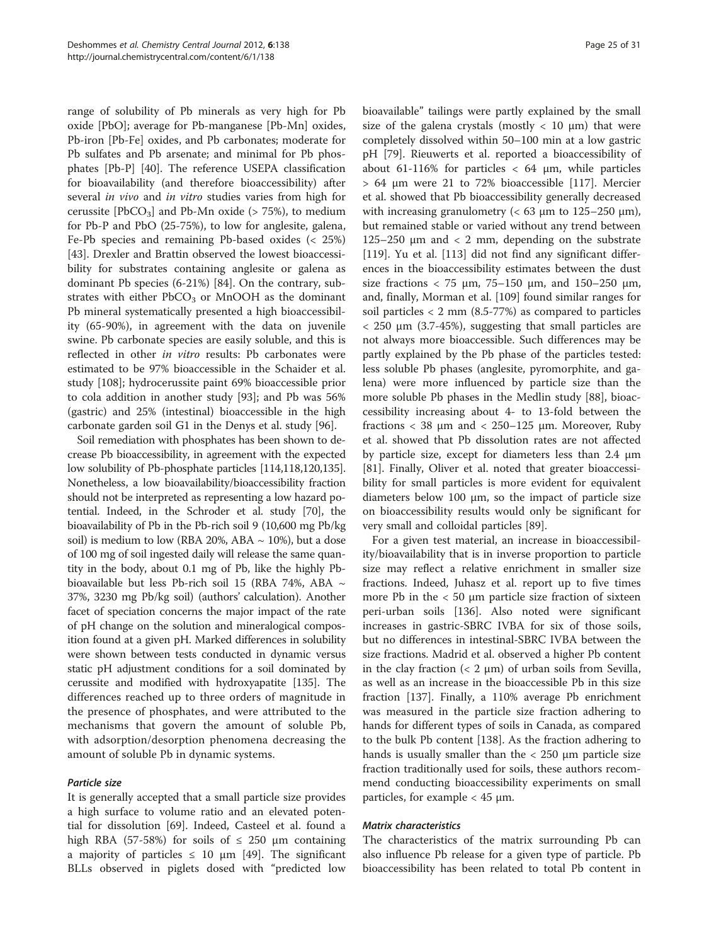range of solubility of Pb minerals as very high for Pb oxide [PbO]; average for Pb-manganese [Pb-Mn] oxides, Pb-iron [Pb-Fe] oxides, and Pb carbonates; moderate for Pb sulfates and Pb arsenate; and minimal for Pb phosphates [Pb-P] [\[40](#page-27-0)]. The reference USEPA classification for bioavailability (and therefore bioaccessibility) after several *in vivo* and *in vitro* studies varies from high for cerussite  $[PbCO<sub>3</sub>]$  and Pb-Mn oxide (> 75%), to medium for Pb-P and PbO (25-75%), to low for anglesite, galena, Fe-Pb species and remaining Pb-based oxides (< 25%) [[43\]](#page-27-0). Drexler and Brattin observed the lowest bioaccessibility for substrates containing anglesite or galena as dominant Pb species (6-21%) [[84](#page-28-0)]. On the contrary, substrates with either  $PbCO<sub>3</sub>$  or MnOOH as the dominant Pb mineral systematically presented a high bioaccessibility (65-90%), in agreement with the data on juvenile swine. Pb carbonate species are easily soluble, and this is reflected in other in vitro results: Pb carbonates were estimated to be 97% bioaccessible in the Schaider et al. study [[108\]](#page-29-0); hydrocerussite paint 69% bioaccessible prior to cola addition in another study [[93](#page-29-0)]; and Pb was 56% (gastric) and 25% (intestinal) bioaccessible in the high carbonate garden soil G1 in the Denys et al. study [[96\]](#page-29-0).

Soil remediation with phosphates has been shown to decrease Pb bioaccessibility, in agreement with the expected low solubility of Pb-phosphate particles [\[114,118,120,135](#page-29-0)]. Nonetheless, a low bioavailability/bioaccessibility fraction should not be interpreted as representing a low hazard potential. Indeed, in the Schroder et al. study [\[70\]](#page-28-0), the bioavailability of Pb in the Pb-rich soil 9 (10,600 mg Pb/kg soil) is medium to low (RBA 20%, ABA  $\sim$  10%), but a dose of 100 mg of soil ingested daily will release the same quantity in the body, about 0.1 mg of Pb, like the highly Pbbioavailable but less Pb-rich soil 15 (RBA 74%, ABA  $\sim$ 37%, 3230 mg Pb/kg soil) (authors' calculation). Another facet of speciation concerns the major impact of the rate of pH change on the solution and mineralogical composition found at a given pH. Marked differences in solubility were shown between tests conducted in dynamic versus static pH adjustment conditions for a soil dominated by cerussite and modified with hydroxyapatite [\[135](#page-29-0)]. The differences reached up to three orders of magnitude in the presence of phosphates, and were attributed to the mechanisms that govern the amount of soluble Pb, with adsorption/desorption phenomena decreasing the amount of soluble Pb in dynamic systems.

# Particle size

It is generally accepted that a small particle size provides a high surface to volume ratio and an elevated potential for dissolution [[69\]](#page-28-0). Indeed, Casteel et al. found a high RBA (57-58%) for soils of  $\leq$  250 µm containing a majority of particles  $\leq$  10 μm [[49\]](#page-27-0). The significant BLLs observed in piglets dosed with "predicted low

bioavailable" tailings were partly explained by the small size of the galena crystals (mostly  $< 10 \mu m$ ) that were completely dissolved within 50–100 min at a low gastric pH [\[79](#page-28-0)]. Rieuwerts et al. reported a bioaccessibility of about 61-116% for particles  $<$  64  $\mu$ m, while particles > 64 μm were 21 to 72% bioaccessible [[117](#page-29-0)]. Mercier et al. showed that Pb bioaccessibility generally decreased with increasing granulometry ( $<$  63  $\mu$ m to 125–250  $\mu$ m), but remained stable or varied without any trend between 125–250 μm and  $<$  2 mm, depending on the substrate [[119\]](#page-29-0). Yu et al. [\[113](#page-29-0)] did not find any significant differences in the bioaccessibility estimates between the dust size fractions  $<$  75  $\mu$ m, 75–150  $\mu$ m, and 150–250  $\mu$ m, and, finally, Morman et al. [\[109\]](#page-29-0) found similar ranges for soil particles  $<$  2 mm (8.5-77%) as compared to particles < 250 μm (3.7-45%), suggesting that small particles are not always more bioaccessible. Such differences may be partly explained by the Pb phase of the particles tested: less soluble Pb phases (anglesite, pyromorphite, and galena) were more influenced by particle size than the more soluble Pb phases in the Medlin study [[88\]](#page-28-0), bioaccessibility increasing about 4- to 13-fold between the fractions  $<$  38  $\mu$ m and  $<$  250–125  $\mu$ m. Moreover, Ruby et al. showed that Pb dissolution rates are not affected by particle size, except for diameters less than 2.4 μm [[81\]](#page-28-0). Finally, Oliver et al. noted that greater bioaccessibility for small particles is more evident for equivalent diameters below 100 μm, so the impact of particle size on bioaccessibility results would only be significant for very small and colloidal particles [[89\]](#page-28-0).

For a given test material, an increase in bioaccessibility/bioavailability that is in inverse proportion to particle size may reflect a relative enrichment in smaller size fractions. Indeed, Juhasz et al. report up to five times more Pb in the  $<$  50  $\mu$ m particle size fraction of sixteen peri-urban soils [[136](#page-29-0)]. Also noted were significant increases in gastric-SBRC IVBA for six of those soils, but no differences in intestinal-SBRC IVBA between the size fractions. Madrid et al. observed a higher Pb content in the clay fraction  $(< 2 \mu m)$  of urban soils from Sevilla, as well as an increase in the bioaccessible Pb in this size fraction [[137](#page-29-0)]. Finally, a 110% average Pb enrichment was measured in the particle size fraction adhering to hands for different types of soils in Canada, as compared to the bulk Pb content [[138\]](#page-30-0). As the fraction adhering to hands is usually smaller than the < 250 μm particle size fraction traditionally used for soils, these authors recommend conducting bioaccessibility experiments on small particles, for example  $<$  45  $\mu$ m.

### Matrix characteristics

The characteristics of the matrix surrounding Pb can also influence Pb release for a given type of particle. Pb bioaccessibility has been related to total Pb content in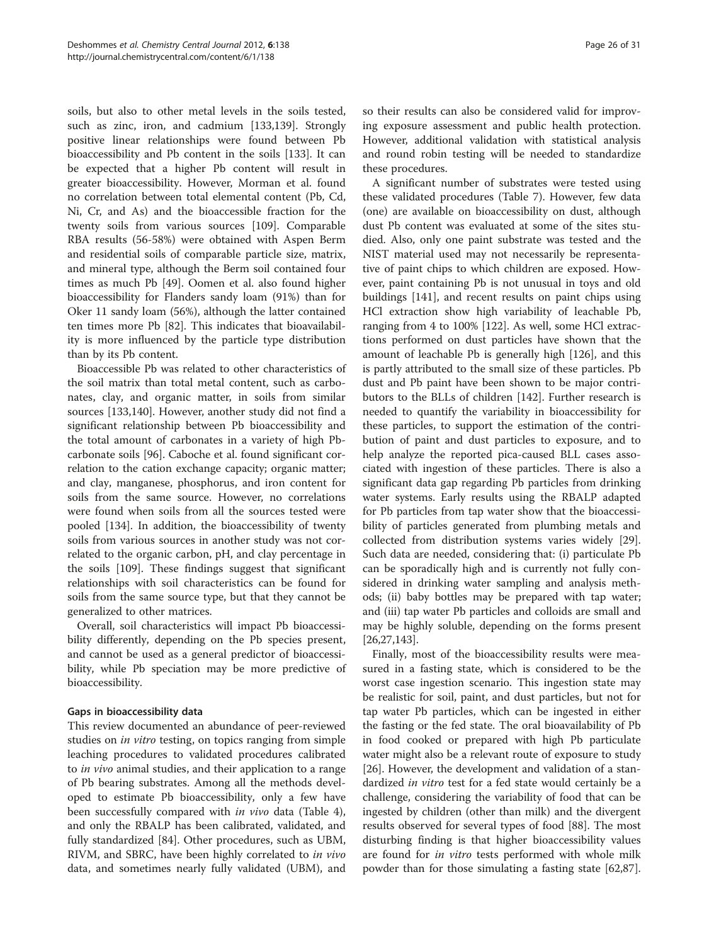soils, but also to other metal levels in the soils tested, such as zinc, iron, and cadmium [[133](#page-29-0),[139](#page-30-0)]. Strongly positive linear relationships were found between Pb bioaccessibility and Pb content in the soils [\[133](#page-29-0)]. It can be expected that a higher Pb content will result in greater bioaccessibility. However, Morman et al. found no correlation between total elemental content (Pb, Cd, Ni, Cr, and As) and the bioaccessible fraction for the twenty soils from various sources [[109](#page-29-0)]. Comparable RBA results (56-58%) were obtained with Aspen Berm and residential soils of comparable particle size, matrix, and mineral type, although the Berm soil contained four times as much Pb [\[49](#page-27-0)]. Oomen et al. also found higher bioaccessibility for Flanders sandy loam (91%) than for Oker 11 sandy loam (56%), although the latter contained ten times more Pb [[82](#page-28-0)]. This indicates that bioavailability is more influenced by the particle type distribution than by its Pb content.

Bioaccessible Pb was related to other characteristics of the soil matrix than total metal content, such as carbonates, clay, and organic matter, in soils from similar sources [\[133](#page-29-0)[,140](#page-30-0)]. However, another study did not find a significant relationship between Pb bioaccessibility and the total amount of carbonates in a variety of high Pbcarbonate soils [[96](#page-29-0)]. Caboche et al. found significant correlation to the cation exchange capacity; organic matter; and clay, manganese, phosphorus, and iron content for soils from the same source. However, no correlations were found when soils from all the sources tested were pooled [[134](#page-29-0)]. In addition, the bioaccessibility of twenty soils from various sources in another study was not correlated to the organic carbon, pH, and clay percentage in the soils [[109](#page-29-0)]. These findings suggest that significant relationships with soil characteristics can be found for soils from the same source type, but that they cannot be generalized to other matrices.

Overall, soil characteristics will impact Pb bioaccessibility differently, depending on the Pb species present, and cannot be used as a general predictor of bioaccessibility, while Pb speciation may be more predictive of bioaccessibility.

# Gaps in bioaccessibility data

This review documented an abundance of peer-reviewed studies on in vitro testing, on topics ranging from simple leaching procedures to validated procedures calibrated to in vivo animal studies, and their application to a range of Pb bearing substrates. Among all the methods developed to estimate Pb bioaccessibility, only a few have been successfully compared with *in vivo* data (Table [4](#page-15-0)), and only the RBALP has been calibrated, validated, and fully standardized [[84\]](#page-28-0). Other procedures, such as UBM, RIVM, and SBRC, have been highly correlated to in vivo data, and sometimes nearly fully validated (UBM), and

so their results can also be considered valid for improving exposure assessment and public health protection. However, additional validation with statistical analysis and round robin testing will be needed to standardize these procedures.

A significant number of substrates were tested using these validated procedures (Table [7\)](#page-23-0). However, few data (one) are available on bioaccessibility on dust, although dust Pb content was evaluated at some of the sites studied. Also, only one paint substrate was tested and the NIST material used may not necessarily be representative of paint chips to which children are exposed. However, paint containing Pb is not unusual in toys and old buildings [\[141\]](#page-30-0), and recent results on paint chips using HCl extraction show high variability of leachable Pb, ranging from 4 to 100% [\[122\]](#page-29-0). As well, some HCl extractions performed on dust particles have shown that the amount of leachable Pb is generally high [\[126](#page-29-0)], and this is partly attributed to the small size of these particles. Pb dust and Pb paint have been shown to be major contributors to the BLLs of children [\[142](#page-30-0)]. Further research is needed to quantify the variability in bioaccessibility for these particles, to support the estimation of the contribution of paint and dust particles to exposure, and to help analyze the reported pica-caused BLL cases associated with ingestion of these particles. There is also a significant data gap regarding Pb particles from drinking water systems. Early results using the RBALP adapted for Pb particles from tap water show that the bioaccessibility of particles generated from plumbing metals and collected from distribution systems varies widely [\[29](#page-27-0)]. Such data are needed, considering that: (i) particulate Pb can be sporadically high and is currently not fully considered in drinking water sampling and analysis methods; (ii) baby bottles may be prepared with tap water; and (iii) tap water Pb particles and colloids are small and may be highly soluble, depending on the forms present [[26,27,](#page-27-0)[143\]](#page-30-0).

Finally, most of the bioaccessibility results were measured in a fasting state, which is considered to be the worst case ingestion scenario. This ingestion state may be realistic for soil, paint, and dust particles, but not for tap water Pb particles, which can be ingested in either the fasting or the fed state. The oral bioavailability of Pb in food cooked or prepared with high Pb particulate water might also be a relevant route of exposure to study [[26\]](#page-27-0). However, the development and validation of a standardized *in vitro* test for a fed state would certainly be a challenge, considering the variability of food that can be ingested by children (other than milk) and the divergent results observed for several types of food [[88](#page-28-0)]. The most disturbing finding is that higher bioaccessibility values are found for *in vitro* tests performed with whole milk powder than for those simulating a fasting state [\[62,87](#page-28-0)].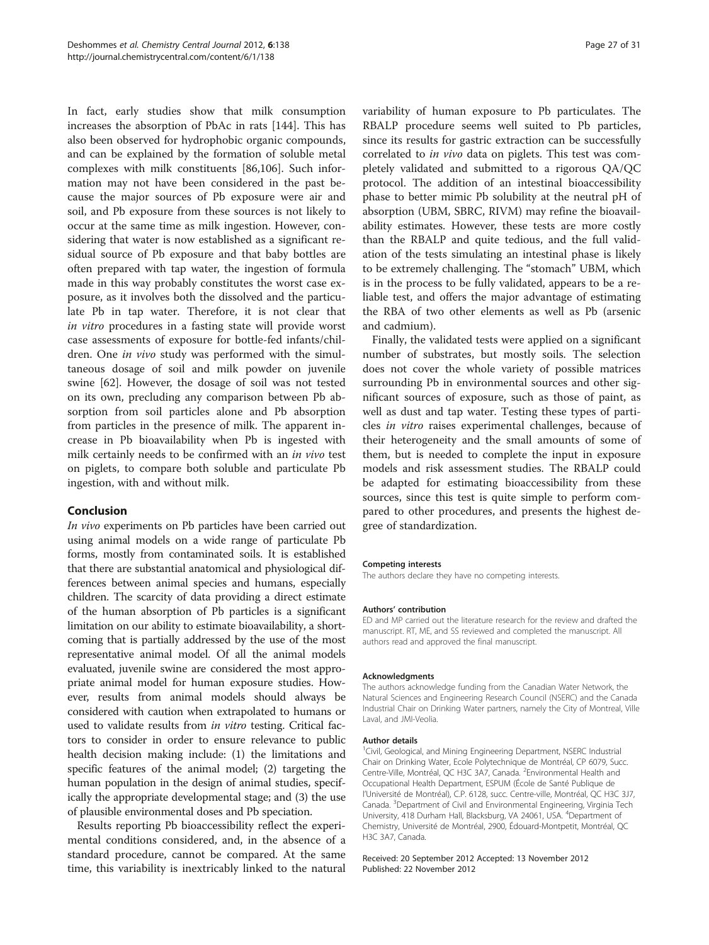In fact, early studies show that milk consumption increases the absorption of PbAc in rats [[144](#page-30-0)]. This has also been observed for hydrophobic organic compounds, and can be explained by the formation of soluble metal complexes with milk constituents [[86](#page-28-0)[,106](#page-29-0)]. Such information may not have been considered in the past because the major sources of Pb exposure were air and soil, and Pb exposure from these sources is not likely to occur at the same time as milk ingestion. However, considering that water is now established as a significant residual source of Pb exposure and that baby bottles are often prepared with tap water, the ingestion of formula made in this way probably constitutes the worst case exposure, as it involves both the dissolved and the particulate Pb in tap water. Therefore, it is not clear that in vitro procedures in a fasting state will provide worst case assessments of exposure for bottle-fed infants/children. One in vivo study was performed with the simultaneous dosage of soil and milk powder on juvenile swine [\[62\]](#page-28-0). However, the dosage of soil was not tested on its own, precluding any comparison between Pb absorption from soil particles alone and Pb absorption from particles in the presence of milk. The apparent increase in Pb bioavailability when Pb is ingested with milk certainly needs to be confirmed with an in vivo test on piglets, to compare both soluble and particulate Pb ingestion, with and without milk.

# Conclusion

In vivo experiments on Pb particles have been carried out using animal models on a wide range of particulate Pb forms, mostly from contaminated soils. It is established that there are substantial anatomical and physiological differences between animal species and humans, especially children. The scarcity of data providing a direct estimate of the human absorption of Pb particles is a significant limitation on our ability to estimate bioavailability, a shortcoming that is partially addressed by the use of the most representative animal model. Of all the animal models evaluated, juvenile swine are considered the most appropriate animal model for human exposure studies. However, results from animal models should always be considered with caution when extrapolated to humans or used to validate results from in vitro testing. Critical factors to consider in order to ensure relevance to public health decision making include: (1) the limitations and specific features of the animal model; (2) targeting the human population in the design of animal studies, specifically the appropriate developmental stage; and (3) the use of plausible environmental doses and Pb speciation.

Results reporting Pb bioaccessibility reflect the experimental conditions considered, and, in the absence of a standard procedure, cannot be compared. At the same time, this variability is inextricably linked to the natural variability of human exposure to Pb particulates. The RBALP procedure seems well suited to Pb particles, since its results for gastric extraction can be successfully correlated to in vivo data on piglets. This test was completely validated and submitted to a rigorous QA/QC protocol. The addition of an intestinal bioaccessibility phase to better mimic Pb solubility at the neutral pH of absorption (UBM, SBRC, RIVM) may refine the bioavailability estimates. However, these tests are more costly than the RBALP and quite tedious, and the full validation of the tests simulating an intestinal phase is likely to be extremely challenging. The "stomach" UBM, which is in the process to be fully validated, appears to be a reliable test, and offers the major advantage of estimating the RBA of two other elements as well as Pb (arsenic and cadmium).

Finally, the validated tests were applied on a significant number of substrates, but mostly soils. The selection does not cover the whole variety of possible matrices surrounding Pb in environmental sources and other significant sources of exposure, such as those of paint, as well as dust and tap water. Testing these types of particles in vitro raises experimental challenges, because of their heterogeneity and the small amounts of some of them, but is needed to complete the input in exposure models and risk assessment studies. The RBALP could be adapted for estimating bioaccessibility from these sources, since this test is quite simple to perform compared to other procedures, and presents the highest degree of standardization.

#### Competing interests

The authors declare they have no competing interests.

#### Authors' contribution

ED and MP carried out the literature research for the review and drafted the manuscript. RT, ME, and SS reviewed and completed the manuscript. All authors read and approved the final manuscript.

#### Acknowledgments

The authors acknowledge funding from the Canadian Water Network, the Natural Sciences and Engineering Research Council (NSERC) and the Canada Industrial Chair on Drinking Water partners, namely the City of Montreal, Ville Laval, and JMI-Veolia.

#### Author details

<sup>1</sup>Civil, Geological, and Mining Engineering Department, NSERC Industrial Chair on Drinking Water, Ecole Polytechnique de Montréal, CP 6079, Succ. Centre-Ville, Montréal, QC H3C 3A7, Canada. <sup>2</sup>Environmental Health and Occupational Health Department, ESPUM (École de Santé Publique de l'Université de Montréal), C.P. 6128, succ. Centre-ville, Montréal, QC H3C 3J7, Canada. <sup>3</sup> Department of Civil and Environmental Engineering, Virginia Tech University, 418 Durham Hall, Blacksburg, VA 24061, USA. <sup>4</sup>Department of Chemistry, Université de Montréal, 2900, Édouard-Montpetit, Montréal, QC H3C 3A7, Canada.

Received: 20 September 2012 Accepted: 13 November 2012 Published: 22 November 2012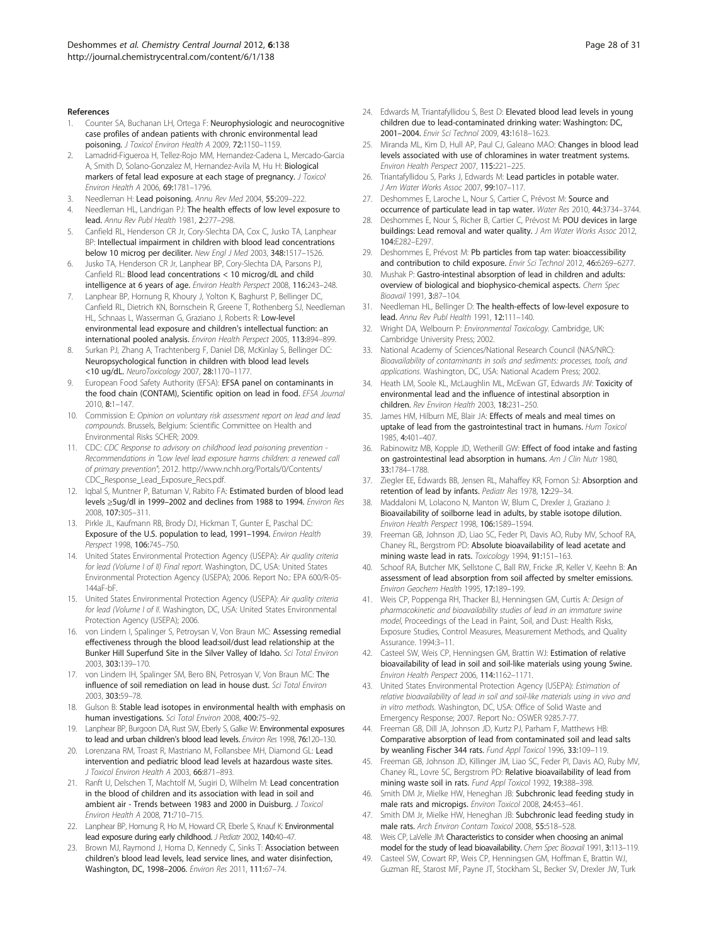#### <span id="page-27-0"></span>References

- Counter SA, Buchanan LH, Ortega F: Neurophysiologic and neurocognitive case profiles of andean patients with chronic environmental lead poisoning. J Toxicol Environ Health A 2009, 72:1150–1159.
- 2. Lamadrid-Figueroa H, Tellez-Rojo MM, Hernandez-Cadena L, Mercado-Garcia A, Smith D, Solano-Gonzalez M, Hernandez-Avila M, Hu H: Biological markers of fetal lead exposure at each stage of pregnancy. J Toxicol Environ Health A 2006, 69:1781–1796.
- 3. Needleman H: Lead poisoning. Annu Rev Med 2004, 55:209–222.
- 4. Needleman HL, Landrigan PJ: The health effects of low level exposure to lead. Annu Rev Publ Health 1981, 2:277–298.
- 5. Canfield RL, Henderson CR Jr, Cory-Slechta DA, Cox C, Jusko TA, Lanphear BP: Intellectual impairment in children with blood lead concentrations below 10 microg per deciliter. New Engl J Med 2003, 348:1517–1526.
- Jusko TA, Henderson CR Jr, Lanphear BP, Cory-Slechta DA, Parsons PJ, Canfield RL: Blood lead concentrations < 10 microg/dL and child intelligence at 6 years of age. Environ Health Perspect 2008, 116:243–248.
- 7. Lanphear BP, Hornung R, Khoury J, Yolton K, Baghurst P, Bellinger DC, Canfield RL, Dietrich KN, Bornschein R, Greene T, Rothenberg SJ, Needleman HL, Schnaas L, Wasserman G, Graziano J, Roberts R: Low-level environmental lead exposure and children's intellectual function: an international pooled analysis. Environ Health Perspect 2005, 113:894–899.
- 8. Surkan PJ, Zhang A, Trachtenberg F, Daniel DB, McKinlay S, Bellinger DC: Neuropsychological function in children with blood lead levels <10 ug/dL. NeuroToxicology 2007, 28:1170–1177.
- 9. European Food Safety Authority (EFSA): EFSA panel on contaminants in the food chain (CONTAM), Scientific opition on lead in food. EFSA Journal 2010, 8:1–147.
- 10. Commission E: Opinion on voluntary risk assessment report on lead and lead compounds. Brussels, Belgium: Scientific Committee on Health and Environmental Risks SCHER; 2009.
- 11. CDC: CDC Response to advisory on childhood lead poisoning prevention -Recommendations in "Low level lead exposure harms children: a renewed call of primary prevention"; 2012. [http://www.nchh.org/Portals/0/Contents/](http://www.nchh.org/Portals/0/Contents/CDC_Response_Lead_Exposure_Recs.pdf) [CDC\\_Response\\_Lead\\_Exposure\\_Recs.pdf](http://www.nchh.org/Portals/0/Contents/CDC_Response_Lead_Exposure_Recs.pdf).
- 12. Iqbal S, Muntner P, Batuman V, Rabito FA: Estimated burden of blood lead levels ≥5ug/dl in 1999–2002 and declines from 1988 to 1994. Environ Res 2008, 107:305–311.
- 13. Pirkle JL, Kaufmann RB, Brody DJ, Hickman T, Gunter E, Paschal DC: Exposure of the U.S. population to lead, 1991–1994. Environ Health Perspect 1998, 106:745–750.
- 14. United States Environmental Protection Agency (USEPA): Air quality criteria for lead (Volume I of II) Final report. Washington, DC, USA: United States Environmental Protection Agency (USEPA); 2006. Report No.: EPA 600/R-05- 144aF-bF.
- 15. United States Environmental Protection Agency (USEPA): Air quality criteria for lead (Volume I of II. Washington, DC, USA: United States Environmental Protection Agency (USEPA); 2006.
- 16. von Lindern I, Spalinger S, Petroysan V, Von Braun MC: Assessing remedial effectiveness through the blood lead:soil/dust lead relationship at the Bunker Hill Superfund Site in the Silver Valley of Idaho. Sci Total Environ 2003, 303:139–170.
- 17. von Lindern IH, Spalinger SM, Bero BN, Petrosyan V, Von Braun MC: The influence of soil remediation on lead in house dust. Sci Total Environ 2003, 303:59–78.
- 18. Gulson B: Stable lead isotopes in environmental health with emphasis on human investigations. Sci Total Environ 2008, 400:75–92.
- 19. Lanphear BP, Burgoon DA, Rust SW, Eberly S, Galke W: Environmental exposures to lead and urban children's blood lead levels. Environ Res 1998, 76:120-130.
- 20. Lorenzana RM, Troast R, Mastriano M, Follansbee MH, Diamond GL: Lead intervention and pediatric blood lead levels at hazardous waste sites. J Toxicol Environ Health A 2003, 66:871–893.
- 21. Ranft U, Delschen T, Machtolf M, Sugiri D, Wilhelm M: Lead concentration in the blood of children and its association with lead in soil and ambient air - Trends between 1983 and 2000 in Duisburg. J Toxicol Environ Health A 2008, 71:710–715.
- 22. Lanphear BP, Hornung R, Ho M, Howard CR, Eberle S, Knauf K: Environmental lead exposure during early childhood. J Pediatr 2002, 140:40–47.
- 23. Brown MJ, Raymond J, Homa D, Kennedy C, Sinks T: Association between children's blood lead levels, lead service lines, and water disinfection, Washington, DC, 1998–2006. Environ Res 2011, 111:67–74.
- 24. Edwards M, Triantafyllidou S, Best D: Elevated blood lead levels in young children due to lead-contaminated drinking water: Washington: DC, 2001–2004. Envir Sci Technol 2009, 43:1618–1623.
- 25. Miranda ML, Kim D, Hull AP, Paul CJ, Galeano MAO: Changes in blood lead levels associated with use of chloramines in water treatment systems. Environ Health Perspect 2007, 115:221–225.
- 26. Triantafyllidou S, Parks J, Edwards M: Lead particles in potable water. J Am Water Works Assoc 2007, 99:107-117
- 27. Deshommes E, Laroche L, Nour S, Cartier C, Prévost M: Source and occurrence of particulate lead in tap water. Water Res 2010, 44:3734–3744.
- Deshommes E, Nour S, Richer B, Cartier C, Prévost M: POU devices in large buildings: Lead removal and water quality. J Am Water Works Assoc 2012, 104:E282–E297.
- 29. Deshommes E, Prévost M: Pb particles from tap water: bioaccessibility and contribution to child exposure. Envir Sci Technol 2012, 46:6269-6277.
- 30. Mushak P: Gastro-intestinal absorption of lead in children and adults: overview of biological and biophysico-chemical aspects. Chem Spec Bioavail 1991, 3:87–104.
- 31. Needleman HL, Bellinger D: The health-effects of low-level exposure to lead. Annu Rev Publ Health 1991, 12:111–140.
- 32. Wright DA, Welbourn P: Environmental Toxicology. Cambridge, UK: Cambridge University Press; 2002.
- 33. National Academy of Sciences/National Research Council (NAS/NRC): Bioavailability of contaminants in soils and sediments: processes, tools, and applications. Washington, DC, USA: National Academ Press; 2002.
- 34. Heath LM, Soole KL, McLaughlin ML, McEwan GT, Edwards JW: Toxicity of environmental lead and the influence of intestinal absorption in children. Rev Environ Health 2003, 18:231–250.
- 35. James HM, Hilburn ME, Blair JA: Effects of meals and meal times on uptake of lead from the gastrointestinal tract in humans. Hum Toxicol 1985, 4:401–407.
- 36. Rabinowitz MB, Kopple JD, Wetherill GW: Effect of food intake and fasting on gastrointestinal lead absorption in humans. Am J Clin Nutr 1980, 33:1784–1788.
- 37. Ziegler EE, Edwards BB, Jensen RL, Mahaffey KR, Fomon SJ: Absorption and retention of lead by infants. Pediatr Res 1978, 12:29–34.
- 38. Maddaloni M, Lolacono N, Manton W, Blum C, Drexler J, Graziano J: Bioavailability of soilborne lead in adults, by stable isotope dilution. Environ Health Perspect 1998, 106:1589–1594.
- Freeman GB, Johnson JD, Liao SC, Feder PI, Davis AO, Ruby MV, Schoof RA, Chaney RL, Bergstrom PD: Absolute bioavailability of lead acetate and mining waste lead in rats. Toxicology 1994, 91:151-163.
- 40. Schoof RA, Butcher MK, Sellstone C, Ball RW, Fricke JR, Keller V, Keehn B: An assessment of lead absorption from soil affected by smelter emissions. Environ Geochem Health 1995, 17:189–199.
- 41. Weis CP, Poppenga RH, Thacker BJ, Henningsen GM, Curtis A: Design of pharmacokinetic and bioavailability studies of lead in an immature swine model, Proceedings of the Lead in Paint, Soil, and Dust: Health Risks, Exposure Studies, Control Measures, Measurement Methods, and Quality Assurance. 1994:3–11.
- 42. Casteel SW, Weis CP, Henningsen GM, Brattin WJ: Estimation of relative bioavailability of lead in soil and soil-like materials using young Swine. Environ Health Perspect 2006, 114:1162–1171.
- 43. United States Environmental Protection Agency (USEPA): Estimation of relative bioavailability of lead in soil and soil-like materials using in vivo and in vitro methods. Washington, DC, USA: Office of Solid Waste and Emergency Response; 2007. Report No.: OSWER 9285.7-77.
- 44. Freeman GB, Dill JA, Johnson JD, Kurtz PJ, Parham F, Matthews HB: Comparative absorption of lead from contaminated soil and lead salts by weanling Fischer 344 rats. Fund Appl Toxicol 1996, 33:109–119.
- 45. Freeman GB, Johnson JD, Killinger JM, Liao SC, Feder PI, Davis AO, Ruby MV, Chaney RL, Lovre SC, Bergstrom PD: Relative bioavailability of lead from mining waste soil in rats. Fund Appl Toxicol 1992, 19:388–398.
- 46. Smith DM Jr, Mielke HW, Heneghan JB: Subchronic lead feeding study in male rats and micropigs. Environ Toxicol 2008, 24:453–461.
- 47. Smith DM Jr, Mielke HW, Heneghan JB: Subchronic lead feeding study in male rats. Arch Environ Contam Toxicol 2008, 55:518–528.
- 48. Weis CP, LaVelle JM: Characteristics to consider when choosing an animal model for the study of lead bioavailability. Chem Spec Bioavail 1991, 3:113-119.
- 49. Casteel SW, Cowart RP, Weis CP, Henningsen GM, Hoffman E, Brattin WJ, Guzman RE, Starost MF, Payne JT, Stockham SL, Becker SV, Drexler JW, Turk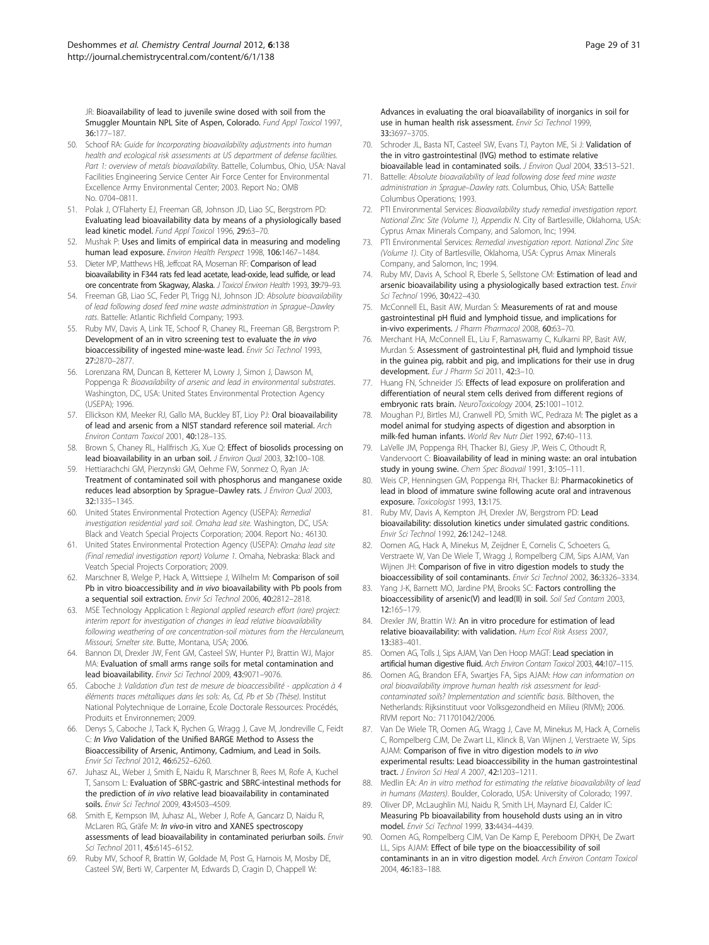<span id="page-28-0"></span>JR: Bioavailability of lead to juvenile swine dosed with soil from the Smuggler Mountain NPL Site of Aspen, Colorado. Fund Appl Toxicol 1997, 36:177–187.

- 50. Schoof RA: Guide for Incorporating bioavailability adjustments into human health and ecological risk assessments at US department of defense facilities. Part 1: overview of metals bioavailability. Battelle, Columbus, Ohio, USA: Naval Facilities Engineering Service Center Air Force Center for Environmental Excellence Army Environmental Center; 2003. Report No.: OMB No. 0704–0811.
- 51. Polak J, O'Flaherty EJ, Freeman GB, Johnson JD, Liao SC, Bergstrom PD: Evaluating lead bioavailability data by means of a physiologically based lead kinetic model. Fund Appl Toxicol 1996, 29:63–70.
- 52. Mushak P: Uses and limits of empirical data in measuring and modeling human lead exposure. Environ Health Perspect 1998, 106:1467–1484.
- 53. Dieter MP, Matthews HB, Jeffcoat RA, Moseman RF: Comparison of lead bioavailability in F344 rats fed lead acetate, lead-oxide, lead sulfide, or lead ore concentrate from Skagway, Alaska. J Toxicol Environ Health 1993, 39:79-93.
- 54. Freeman GB, Liao SC, Feder PI, Trigg NJ, Johnson JD: Absolute bioavailability of lead following dosed feed mine waste administration in Sprague–Dawley rats. Battelle: Atlantic Richfield Company; 1993.
- 55. Ruby MV, Davis A, Link TE, Schoof R, Chaney RL, Freeman GB, Bergstrom P: Development of an in vitro screening test to evaluate the in vivo bioaccessibility of ingested mine-waste lead. Envir Sci Technol 1993, 27:2870–2877.
- Lorenzana RM, Duncan B, Ketterer M, Lowry J, Simon J, Dawson M, Poppenga R: Bioavailability of arsenic and lead in environmental substrates. Washington, DC, USA: United States Environmental Protection Agency (USEPA); 1996.
- 57. Ellickson KM, Meeker RJ, Gallo MA, Buckley BT, Lioy PJ: Oral bioavailability of lead and arsenic from a NIST standard reference soil material. Arch Environ Contam Toxicol 2001, 40:128–135.
- 58. Brown S, Chaney RL, Hallfrisch JG, Xue Q: Effect of biosolids processing on lead bioavailability in an urban soil. J Environ Qual 2003, 32:100–108.
- 59. Hettiarachchi GM, Pierzynski GM, Oehme FW, Sonmez O, Ryan JA: Treatment of contaminated soil with phosphorus and manganese oxide reduces lead absorption by Sprague–Dawley rats. J Environ Qual 2003, 32:1335–1345.
- 60. United States Environmental Protection Agency (USEPA): Remedial investigation residential vard soil. Omaha lead site. Washington, DC, USA: Black and Veatch Special Projects Corporation; 2004. Report No.: 46130.
- 61. United States Environmental Protection Agency (USEPA): Omaha lead site (Final remedial investigation report) Volume 1. Omaha, Nebraska: Black and Veatch Special Projects Corporation; 2009.
- 62. Marschner B, Welge P, Hack A, Wittsiepe J, Wilhelm M: Comparison of soil Pb in vitro bioaccessibility and in vivo bioavailability with Pb pools from a sequential soil extraction. Envir Sci Technol 2006, 40:2812–2818.
- 63. MSE Technology Application I: Regional applied research effort (rare) project: interim report for investigation of changes in lead relative bioavailability following weathering of ore concentration-soil mixtures from the Herculaneum, Missouri, Smelter site. Butte, Montana, USA; 2006.
- 64. Bannon DI, Drexler JW, Fent GM, Casteel SW, Hunter PJ, Brattin WJ, Major MA: Evaluation of small arms range soils for metal contamination and lead bioavailability. Envir Sci Technol 2009, 43:9071–9076.
- 65. Caboche J: Validation d'un test de mesure de bioaccessibilité application à 4 éléments traces métalliques dans les sols: As, Cd, Pb et Sb (Thèse). Institut National Polytechnique de Lorraine, Ecole Doctorale Ressources: Procédés, Produits et Environnemen; 2009.
- 66. Denys S, Caboche J, Tack K, Rychen G, Wragg J, Cave M, Jondreville C, Feidt C: In Vivo Validation of the Unified BARGE Method to Assess the Bioaccessibility of Arsenic, Antimony, Cadmium, and Lead in Soils. Envir Sci Technol 2012, 46:6252–6260.
- 67. Juhasz AL, Weber J, Smith E, Naidu R, Marschner B, Rees M, Rofe A, Kuchel T, Sansom L: Evaluation of SBRC-gastric and SBRC-intestinal methods for the prediction of in vivo relative lead bioavailability in contaminated soils. Envir Sci Technol 2009, 43:4503–4509.
- 68. Smith E, Kempson IM, Juhasz AL, Weber J, Rofe A, Gancarz D, Naidu R, McLaren RG, Gräfe M: In vivo-in vitro and XANES spectroscopy assessments of lead bioavailability in contaminated periurban soils. Envir Sci Technol 2011, 45:6145–6152.
- 69. Ruby MV, Schoof R, Brattin W, Goldade M, Post G, Harnois M, Mosby DE, Casteel SW, Berti W, Carpenter M, Edwards D, Cragin D, Chappell W:

Advances in evaluating the oral bioavailability of inorganics in soil for use in human health risk assessment. Envir Sci Technol 1999, 33:3697–3705.

- 70. Schroder JL, Basta NT, Casteel SW, Evans TJ, Payton ME, Si J: Validation of the in vitro gastrointestinal (IVG) method to estimate relative bioavailable lead in contaminated soils. J Environ Qual 2004, 33:513-521.
- 71. Battelle: Absolute bioavailability of lead following dose feed mine waste administration in Sprague–Dawley rats. Columbus, Ohio, USA: Battelle Columbus Operations; 1993.
- 72. PTI Environmental Services: Bioavailability study remedial investigation report. National Zinc Site (Volume 1), Appendix N. City of Bartlesville, Oklahoma, USA: Cyprus Amax Minerals Company, and Salomon, Inc; 1994.
- 73. PTI Environmental Services: Remedial investigation report. National Zinc Site (Volume 1). City of Bartlesville, Oklahoma, USA: Cyprus Amax Minerals Company, and Salomon, Inc; 1994.
- 74. Ruby MV, Davis A, School R, Eberle S, Sellstone CM: Estimation of lead and arsenic bioavailability using a physiologically based extraction test. Envir Sci Technol 1996, 30:422-430.
- 75. McConnell EL, Basit AW, Murdan S: Measurements of rat and mouse gastrointestinal pH fluid and lymphoid tissue, and implications for in-vivo experiments. J Pharm Pharmacol 2008, 60:63–70.
- 76. Merchant HA, McConnell EL, Liu F, Ramaswamy C, Kulkarni RP, Basit AW, Murdan S: Assessment of gastrointestinal pH, fluid and lymphoid tissue in the guinea pig, rabbit and pig, and implications for their use in drug development. Eur J Pharm Sci 2011, 42:3-10.
- 77. Huang FN, Schneider JS: Effects of lead exposure on proliferation and differentiation of neural stem cells derived from different regions of embryonic rats brain. NeuroToxicology 2004, 25:1001-1012.
- Moughan PJ, Birtles MJ, Cranwell PD, Smith WC, Pedraza M: The piglet as a model animal for studying aspects of digestion and absorption in milk-fed human infants. World Rev Nutr Diet 1992, 67:40–113.
- 79. LaVelle JM, Poppenga RH, Thacker BJ, Giesy JP, Weis C, Othoudt R, Vandervoort C: Bioavailability of lead in mining waste: an oral intubation study in young swine. Chem Spec Bioavail 1991, 3:105–111.
- 80. Weis CP, Henningsen GM, Poppenga RH, Thacker BJ: Pharmacokinetics of lead in blood of immature swine following acute oral and intravenous exposure. Toxicologist 1993, 13:175.
- 81. Ruby MV, Davis A, Kempton JH, Drexler JW, Bergstrom PD: Lead bioavailability: dissolution kinetics under simulated gastric conditions. Envir Sci Technol 1992, 26:1242–1248.
- 82. Oomen AG, Hack A, Minekus M, Zeijdner E, Cornelis C, Schoeters G, Verstraete W, Van De Wiele T, Wragg J, Rompelberg CJM, Sips AJAM, Van Wijnen JH: Comparison of five in vitro digestion models to study the bioaccessibility of soil contaminants. Envir Sci Technol 2002, 36:3326–3334.
- 83. Yang J-K, Barnett MO, Jardine PM, Brooks SC: Factors controlling the bioaccessibility of arsenic(V) and lead(II) in soil. Soil Sed Contam 2003, 12:165–179.
- 84. Drexler JW, Brattin WJ: An in vitro procedure for estimation of lead relative bioavailability: with validation. Hum Ecol Risk Assess 2007, 13:383–401.
- 85. Oomen AG, Tolls J, Sips AJAM, Van Den Hoop MAGT: Lead speciation in artificial human digestive fluid. Arch Environ Contam Toxicol 2003, 44:107–115.
- 86. Oomen AG, Brandon EFA, Swartjes FA, Sips AJAM: How can information on oral bioavailability improve human health risk assessment for leadcontaminated soils? Implementation and scientific basis. Bilthoven, the Netherlands: Rijksinstituut voor Volksgezondheid en Milieu (RIVM); 2006. RIVM report No.: 711701042/2006.
- 87. Van De Wiele TR, Oomen AG, Wragg J, Cave M, Minekus M, Hack A, Cornelis C, Rompelberg CJM, De Zwart LL, Klinck B, Van Wijnen J, Verstraete W, Sips AJAM: Comparison of five in vitro digestion models to in vivo experimental results: Lead bioaccessibility in the human gastrointestinal tract. J Environ Sci Heal A 2007, 42:1203–1211.
- 88. Medlin EA: An in vitro method for estimating the relative bioavailability of lead in humans (Masters). Boulder, Colorado, USA: University of Colorado; 1997.
- 89. Oliver DP, McLaughlin MJ, Naidu R, Smith LH, Maynard EJ, Calder IC: Measuring Pb bioavailability from household dusts using an in vitro model. Envir Sci Technol 1999, 33:4434–4439.
- 90. Oomen AG, Rompelberg CJM, Van De Kamp E, Pereboom DPKH, De Zwart LL, Sips AJAM: Effect of bile type on the bioaccessibility of soil contaminants in an in vitro digestion model. Arch Environ Contam Toxicol 2004, 46:183–188.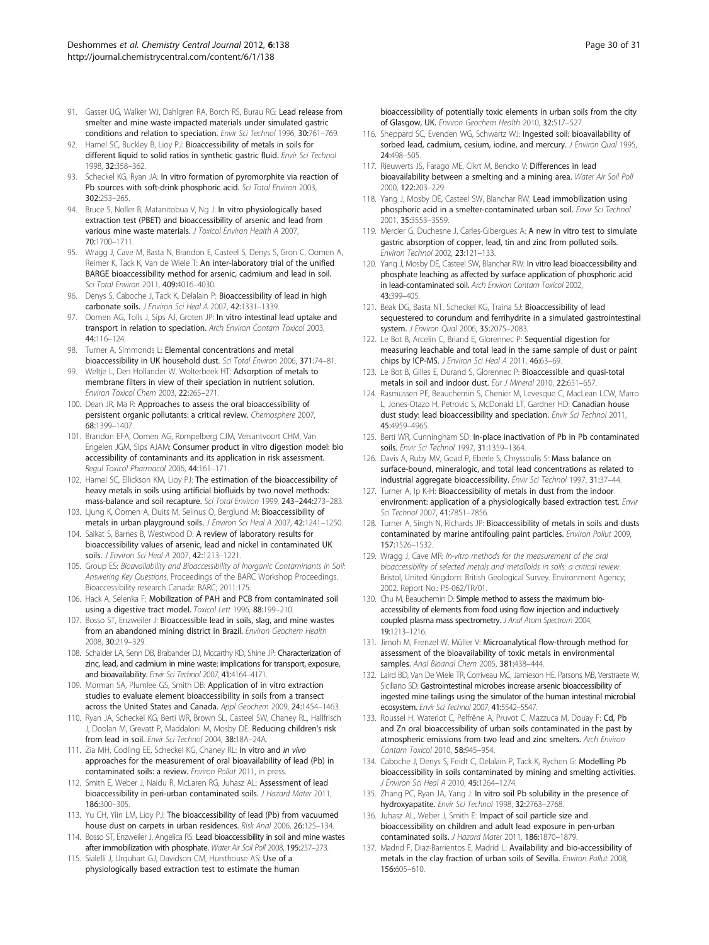- <span id="page-29-0"></span>91. Gasser UG, Walker WJ, Dahlgren RA, Borch RS, Burau RG: Lead release from smelter and mine waste impacted materials under simulated gastric conditions and relation to speciation. Envir Sci Technol 1996, 30:761–769.
- 92. Hamel SC, Buckley B, Lioy PJ: Bioaccessibility of metals in soils for different liquid to solid ratios in synthetic gastric fluid. Envir Sci Technol 1998, 32:358–362.
- 93. Scheckel KG, Ryan JA: In vitro formation of pyromorphite via reaction of Pb sources with soft-drink phosphoric acid. Sci Total Environ 2003, 302:253–265.
- 94. Bruce S, Noller B, Matanitobua V, Ng J: In vitro physiologically based extraction test (PBET) and bioaccessibility of arsenic and lead from various mine waste materials. *J Toxicol Environ Health A 2007*, 70:1700–1711.
- 95. Wragg J, Cave M, Basta N, Brandon E, Casteel S, Denys S, Gron C, Oomen A, Reimer K, Tack K, Van de Wiele T: An inter-laboratory trial of the unified BARGE bioaccessibility method for arsenic, cadmium and lead in soil. Sci Total Environ 2011, 409:4016–4030.
- 96. Denys S, Caboche J, Tack K, Delalain P: Bioaccessibility of lead in high carbonate soils. J Environ Sci Heal A 2007, 42:1331–1339.
- 97. Oomen AG, Tolls J, Sips AJ, Groten JP: In vitro intestinal lead uptake and transport in relation to speciation. Arch Environ Contam Toxicol 2003, 44:116–124.
- 98. Turner A, Simmonds L: Elemental concentrations and metal bioaccessibility in UK household dust. Sci Total Environ 2006, 371:74–81.
- 99. Weltje L, Den Hollander W, Wolterbeek HT: Adsorption of metals to membrane filters in view of their speciation in nutrient solution. Environ Toxicol Chem 2003, 22:265–271.
- 100. Dean JR, Ma R: Approaches to assess the oral bioaccessibility of persistent organic pollutants: a critical review. Chemosphere 2007, 68:1399–1407.
- 101. Brandon EFA, Oomen AG, Rompelberg CJM, Versantvoort CHM, Van Engelen JGM, Sips AJAM: Consumer product in vitro digestion model: bio accessibility of contaminants and its application in risk assessment. Regul Toxicol Pharmacol 2006, 44:161–171.
- 102. Hamel SC, Ellickson KM, Lioy PJ: The estimation of the bioaccessibility of heavy metals in soils using artificial biofluids by two novel methods: mass-balance and soil recapture. Sci Total Environ 1999, 243–244:273–283.
- 103. Ljung K, Oomen A, Duits M, Selinus O, Berglund M: Bioaccessibility of metals in urban playground soils. J Environ Sci Heal A 2007, 42:1241-1250.
- 104. Saikat S, Barnes B, Westwood D: A review of laboratory results for bioaccessibility values of arsenic, lead and nickel in contaminated UK soils. J Environ Sci Heal A 2007, 42:1213–1221.
- 105. Group ES: Bioavailability and Bioaccessibility of Inorganic Contaminants in Soil: Answering Key Questions, Proceedings of the BARC Workshop Proceedings. Bioaccessibility research Canada: BARC; 2011:175.
- 106. Hack A, Selenka F: Mobilization of PAH and PCB from contaminated soil using a digestive tract model. Toxicol Lett 1996, 88:199–210.
- 107. Bosso ST, Enzweiler J: Bioaccessible lead in soils, slag, and mine wastes from an abandoned mining district in Brazil. Environ Geochem Health 2008, 30:219–329.
- 108. Schaider LA, Senn DB, Brabander DJ, Mccarthy KD, Shine JP: Characterization of zinc, lead, and cadmium in mine waste: implications for transport, exposure, and bioavailability. Envir Sci Technol 2007, 41:4164–4171.
- 109. Morman SA, Plumlee GS, Smith DB: Application of in vitro extraction studies to evaluate element bioaccessibility in soils from a transect across the United States and Canada. Appl Geochem 2009, 24:1454–1463.
- 110. Ryan JA, Scheckel KG, Berti WR, Brown SL, Casteel SW, Chaney RL, Hallfrisch J, Doolan M, Grevatt P, Maddaloni M, Mosby DE: Reducing children's risk from lead in soil. Envir Sci Technol 2004, 38:18A–24A.
- 111. Zia MH, Codling EE, Scheckel KG, Chaney RL: In vitro and in vivo approaches for the measurement of oral bioavailability of lead (Pb) in contaminated soils: a review. Environ Pollut 2011, in press.
- 112. Smith E, Weber J, Naidu R, McLaren RG, Juhasz AL: Assessment of lead bioaccessibility in peri-urban contaminated soils. *J Hazard Mater* 2011, 186:300–305.
- 113. Yu CH, Yiin LM, Lioy PJ: The bioaccessibility of lead (Pb) from vacuumed house dust on carpets in urban residences. Risk Anal 2006, 26:125–134.
- 114. Bosso ST, Enzweiler J, Angelica RS: Lead bioaccessibility in soil and mine wastes after immobilization with phosphate. Water Air Soil Poll 2008, 195:257–273.
- 115. Sialelli J, Urquhart GJ, Davidson CM, Hursthouse AS: Use of a physiologically based extraction test to estimate the human

bioaccessibility of potentially toxic elements in urban soils from the city of Glasgow, UK. Environ Geochem Health 2010, 32:517–527.

- 116. Sheppard SC, Evenden WG, Schwartz WJ: Ingested soil: bioavailability of sorbed lead, cadmium, cesium, iodine, and mercury. J Environ Qual 1995, 24:498–505.
- 117. Rieuwerts JS, Farago ME, Cikrt M, Bencko V: Differences in lead bioavailability between a smelting and a mining area. Water Air Soil Poll 2000, 122:203–229.
- 118. Yang J, Mosby DE, Casteel SW, Blanchar RW: Lead immobilization using phosphoric acid in a smelter-contaminated urban soil. Envir Sci Technol 2001, 35:3553–3559.
- 119. Mercier G, Duchesne J, Carles-Gibergues A: A new in vitro test to simulate gastric absorption of copper, lead, tin and zinc from polluted soils. Environ Technol 2002, 23:121–133.
- 120. Yang J, Mosby DE, Casteel SW, Blanchar RW: In vitro lead bioaccessibility and phosphate leaching as affected by surface application of phosphoric acid in lead-contaminated soil. Arch Environ Contam Toxicol 2002, 43:399–405.
- 121. Beak DG, Basta NT, Scheckel KG, Traina SJ: Bioaccessibility of lead sequestered to corundum and ferrihydrite in a simulated gastrointestinal system. J Environ Qual 2006, 35:2075–2083.
- 122. Le Bot B, Arcelin C, Briand E, Glorennec P: Sequential digestion for measuring leachable and total lead in the same sample of dust or paint chips by ICP-MS. J Environ Sci Heal A 2011, 46:63-69.
- 123. Le Bot B, Gilles E, Durand S, Glorennec P: Bioaccessible and quasi-total metals in soil and indoor dust. Eur J Mineral 2010, 22:651–657.
- 124. Rasmussen PE, Beauchemin S, Chenier M, Levesque C, MacLean LCW, Marro L, Jones-Otazo H, Petrovic S, McDonald LT, Gardner HD: Canadian house dust study: lead bioaccessibility and speciation. Envir Sci Technol 2011, 45:4959–4965.
- 125. Berti WR, Cunningham SD: In-place inactivation of Pb in Pb contaminated soils. Envir Sci Technol 1997, 31:1359–1364.
- 126. Davis A, Ruby MV, Goad P, Eberle S, Chryssoulis S: Mass balance on surface-bound, mineralogic, and total lead concentrations as related to industrial aggregate bioaccessibility. Envir Sci Technol 1997, 31:37–44.
- 127. Turner A, Ip K-H: Bioaccessibility of metals in dust from the indoor environment: application of a physiologically based extraction test. Envir Sci Technol 2007, 41:7851–7856.
- 128. Turner A, Singh N, Richards JP: Bioaccessibility of metals in soils and dusts contaminated by marine antifouling paint particles. Environ Pollut 2009, 157:1526–1532.
- 129. Wragg J, Cave MR: In-vitro methods for the measurement of the oral bioaccessibility of selected metals and metalloids in soils: a critical review. Bristol, United Kingdom: British Geological Survey. Environment Agency; 2002. Report No.: P5-062/TR/01.
- 130. Chu M, Beauchemin D: Simple method to assess the maximum bioaccessibility of elements from food using flow injection and inductively coupled plasma mass spectrometry. J Anal Atom Spectrom 2004, 19:1213–1216.
- 131. Jimoh M, Frenzel W, Müller V: Microanalytical flow-through method for assessment of the bioavailability of toxic metals in environmental samples. Anal Bioanal Chem 2005, 381:438-444.
- 132. Laird BD, Van De Wiele TR, Corriveau MC, Jamieson HE, Parsons MB, Verstraete W, Siciliano SD: Gastrointestinal microbes increase arsenic bioaccessibility of ingested mine tailings using the simulator of the human intestinal microbial ecosystem. Envir Sci Technol 2007, 41:5542–5547.
- 133. Roussel H, Waterlot C, Pelfrêne A, Pruvot C, Mazzuca M, Douay F: Cd, Pb and Zn oral bioaccessibility of urban soils contaminated in the past by atmospheric emissions from two lead and zinc smelters. Arch Environ Contam Toxicol 2010, 58:945–954.
- 134. Caboche J, Denys S, Feidt C, Delalain P, Tack K, Rychen G: Modelling Pb bioaccessibility in soils contaminated by mining and smelting activities. J Environ Sci Heal A 2010, 45:1264–1274.
- 135. Zhang PC, Ryan JA, Yang J: In vitro soil Pb solubility in the presence of hydroxyapatite. Envir Sci Technol 1998, 32:2763–2768.
- 136. Juhasz AL, Weber J, Smith E: Impact of soil particle size and bioaccessibility on children and adult lead exposure in pen-urban contaminated soils. J Hazard Mater 2011, 186:1870–1879.
- 137. Madrid F, Diaz-Barrientos E, Madrid L: Availability and bio-accessibility of metals in the clay fraction of urban soils of Sevilla. Environ Pollut 2008, 156:605–610.